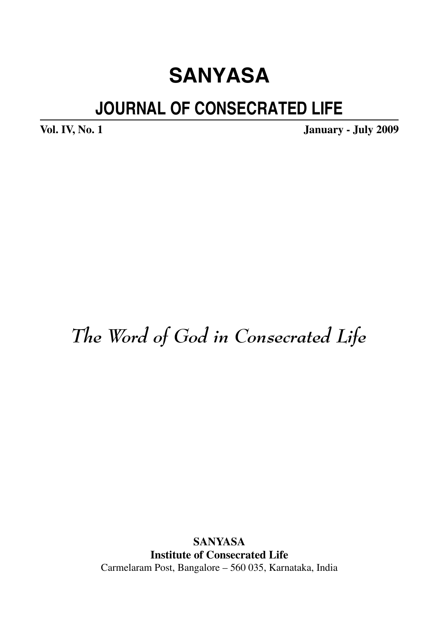# **SANYASA**

# **JOURNAL OF CONSECRATED LIFE**

**Vol. IV, No. 1 January - July 2009**

# *The Word of God in Consecrated Life*

**Sanyasa Institute of Consecrated Life** Carmelaram Post, Bangalore – 560 035, Karnataka, India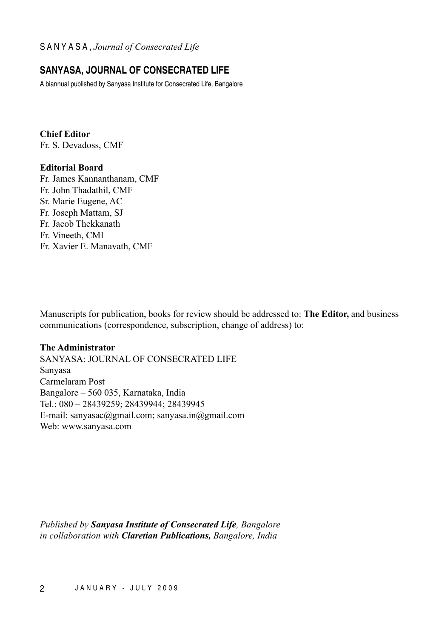#### **Sanyasa, Journal of Consecrated Life**

A biannual published by Sanyasa Institute for Consecrated Life, Bangalore

**Chief Editor** Fr. S. Devadoss, CMF

#### **Editorial Board**

Fr. James Kannanthanam, CMF Fr. John Thadathil, CMF Sr. Marie Eugene, AC Fr. Joseph Mattam, SJ Fr. Jacob Thekkanath Fr. Vineeth, CMI Fr. Xavier E. Manavath, CMF

Manuscripts for publication, books for review should be addressed to: **The Editor,** and business communications (correspondence, subscription, change of address) to:

#### **The Administrator**

SANYASA: JOURNAL OF CONSECRATED LIFE Sanyasa Carmelaram Post Bangalore – 560 035, Karnataka, India Tel.: 080 – 28439259; 28439944; 28439945 E-mail: sanyasac@gmail.com; sanyasa.in@gmail.com Web: www.sanyasa.com

*Published by Sanyasa Institute of Consecrated Life, Bangalore in collaboration with Claretian Publications, Bangalore, India*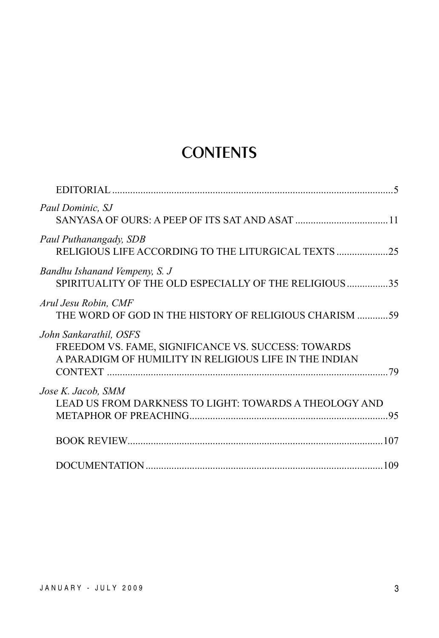# **CONTENTS**

| Paul Dominic, SJ                                                                                                                        |  |
|-----------------------------------------------------------------------------------------------------------------------------------------|--|
| Paul Puthanangady, SDB<br>RELIGIOUS LIFE ACCORDING TO THE LITURGICAL TEXTS  25                                                          |  |
| Bandhu Ishanand Vempeny, S. J<br>SPIRITUALITY OF THE OLD ESPECIALLY OF THE RELIGIOUS35                                                  |  |
| Arul Jesu Robin, CMF<br>THE WORD OF GOD IN THE HISTORY OF RELIGIOUS CHARISM 59                                                          |  |
| John Sankarathil, OSFS<br>FREEDOM VS. FAME, SIGNIFICANCE VS. SUCCESS: TOWARDS<br>A PARADIGM OF HUMILITY IN RELIGIOUS LIFE IN THE INDIAN |  |
| Jose K. Jacob, SMM<br>LEAD US FROM DARKNESS TO LIGHT: TOWARDS A THEOLOGY AND                                                            |  |
|                                                                                                                                         |  |
|                                                                                                                                         |  |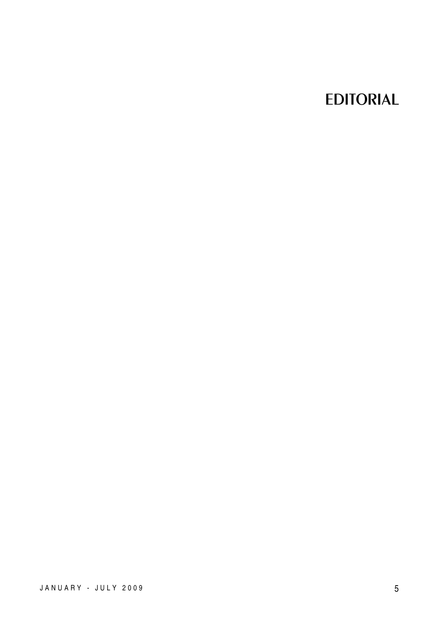## **EDITORIAL**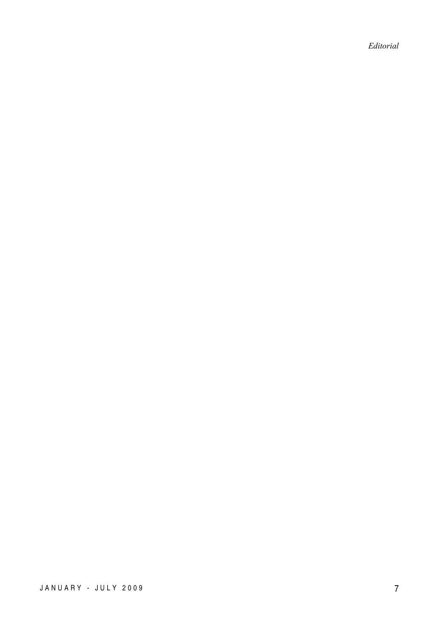*Editorial*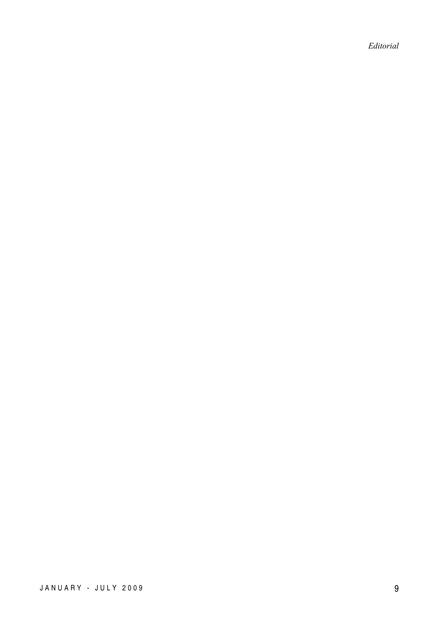*Editorial*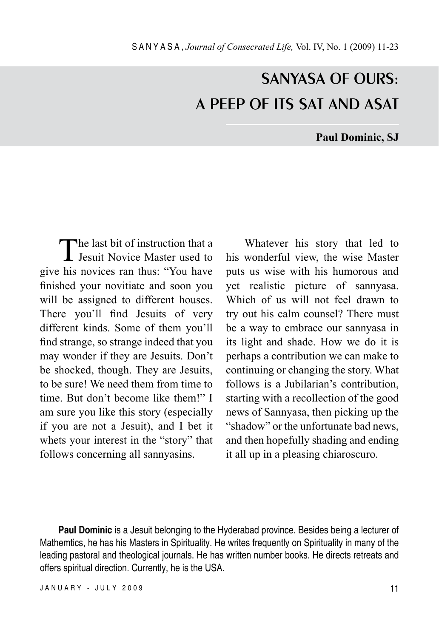# SANYASA OF OURS: A PEEP OF ITS SAT AND ASAT

### **Paul Dominic, SJ**

The last bit of instruction that a<br>Jesuit Novice Master used to give his novices ran thus: "You have finished your novitiate and soon you will be assigned to different houses. There you'll find Jesuits of very different kinds. Some of them you'll find strange, so strange indeed that you may wonder if they are Jesuits. Don't be shocked, though. They are Jesuits, to be sure! We need them from time to time. But don't become like them!" I am sure you like this story (especially if you are not a Jesuit), and I bet it whets your interest in the "story" that follows concerning all sannyasins.

Whatever his story that led to his wonderful view, the wise Master puts us wise with his humorous and yet realistic picture of sannyasa. Which of us will not feel drawn to try out his calm counsel? There must be a way to embrace our sannyasa in its light and shade. How we do it is perhaps a contribution we can make to continuing or changing the story. What follows is a Jubilarian's contribution, starting with a recollection of the good news of Sannyasa, then picking up the "shadow" or the unfortunate bad news, and then hopefully shading and ending it all up in a pleasing chiaroscuro.

**Paul Dominic** is a Jesuit belonging to the Hyderabad province. Besides being a lecturer of Mathemtics, he has his Masters in Spirituality. He writes frequently on Spirituality in many of the leading pastoral and theological journals. He has written number books. He directs retreats and offers spiritual direction. Currently, he is the USA.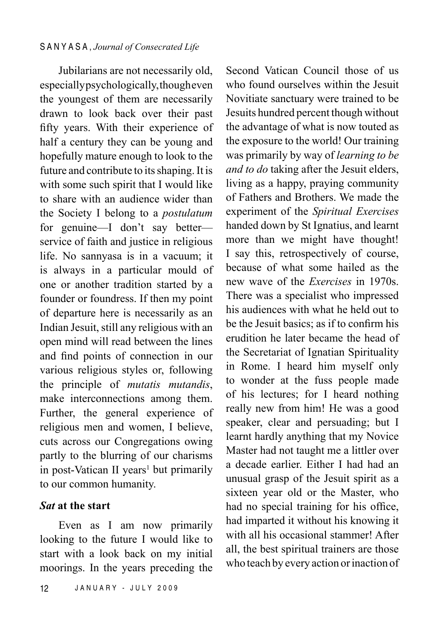Jubilarians are not necessarily old, especially psychologically, though even the youngest of them are necessarily drawn to look back over their past fifty years. With their experience of half a century they can be young and hopefully mature enough to look to the future and contribute to its shaping. It is with some such spirit that I would like to share with an audience wider than the Society I belong to a *postulatum* for genuine—I don't say better service of faith and justice in religious life. No sannyasa is in a vacuum; it is always in a particular mould of one or another tradition started by a founder or foundress. If then my point of departure here is necessarily as an Indian Jesuit, still any religious with an open mind will read between the lines and find points of connection in our various religious styles or, following the principle of *mutatis mutandis*, make interconnections among them. Further, the general experience of religious men and women, I believe, cuts across our Congregations owing partly to the blurring of our charisms in post-Vatican II years<sup>1</sup> but primarily to our common humanity.

#### *Sat* **at the start**

Even as I am now primarily looking to the future I would like to start with a look back on my initial moorings. In the years preceding the

12 JANUARY - JULY 2009

Second Vatican Council those of us who found ourselves within the Jesuit Novitiate sanctuary were trained to be Jesuits hundred percent though without the advantage of what is now touted as the exposure to the world! Our training was primarily by way of *learning to be and to do* taking after the Jesuit elders, living as a happy, praying community of Fathers and Brothers. We made the experiment of the *Spiritual Exercises* handed down by St Ignatius, and learnt more than we might have thought! I say this, retrospectively of course, because of what some hailed as the new wave of the *Exercises* in 1970s. There was a specialist who impressed his audiences with what he held out to be the Jesuit basics; as if to confirm his erudition he later became the head of the Secretariat of Ignatian Spirituality in Rome. I heard him myself only to wonder at the fuss people made of his lectures; for I heard nothing really new from him! He was a good speaker, clear and persuading; but I learnt hardly anything that my Novice Master had not taught me a littler over a decade earlier. Either I had had an unusual grasp of the Jesuit spirit as a sixteen year old or the Master, who had no special training for his office, had imparted it without his knowing it with all his occasional stammer! After all, the best spiritual trainers are those who teach by every action or inaction of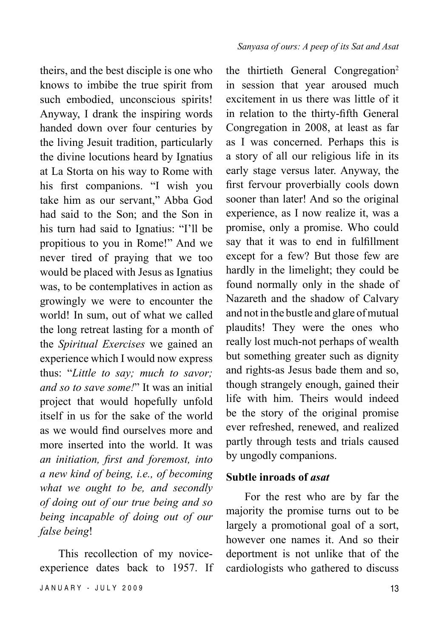theirs, and the best disciple is one who knows to imbibe the true spirit from such embodied, unconscious spirits! Anyway, I drank the inspiring words handed down over four centuries by the living Jesuit tradition, particularly the divine locutions heard by Ignatius at La Storta on his way to Rome with his first companions. "I wish you take him as our servant," Abba God had said to the Son; and the Son in his turn had said to Ignatius: "I'll be propitious to you in Rome!" And we never tired of praying that we too would be placed with Jesus as Ignatius was, to be contemplatives in action as growingly we were to encounter the world! In sum, out of what we called the long retreat lasting for a month of the *Spiritual Exercises* we gained an experience which I would now express thus: "*Little to say; much to savor; and so to save some!*" It was an initial project that would hopefully unfold itself in us for the sake of the world as we would find ourselves more and more inserted into the world. It was *an initiation, first and foremost, into a new kind of being, i.e., of becoming what we ought to be, and secondly of doing out of our true being and so being incapable of doing out of our false being*!

This recollection of my noviceexperience dates back to 1957. If the thirtieth General Congregation<sup>2</sup> in session that year aroused much excitement in us there was little of it in relation to the thirty-fifth General Congregation in 2008, at least as far as I was concerned. Perhaps this is a story of all our religious life in its early stage versus later. Anyway, the first fervour proverbially cools down sooner than later! And so the original experience, as I now realize it, was a promise, only a promise. Who could say that it was to end in fulfillment except for a few? But those few are hardly in the limelight; they could be found normally only in the shade of Nazareth and the shadow of Calvary and not in the bustle and glare of mutual plaudits! They were the ones who really lost much-not perhaps of wealth but something greater such as dignity and rights-as Jesus bade them and so, though strangely enough, gained their life with him. Theirs would indeed be the story of the original promise ever refreshed, renewed, and realized partly through tests and trials caused by ungodly companions.

### **Subtle inroads of** *asat*

For the rest who are by far the majority the promise turns out to be largely a promotional goal of a sort, however one names it. And so their deportment is not unlike that of the cardiologists who gathered to discuss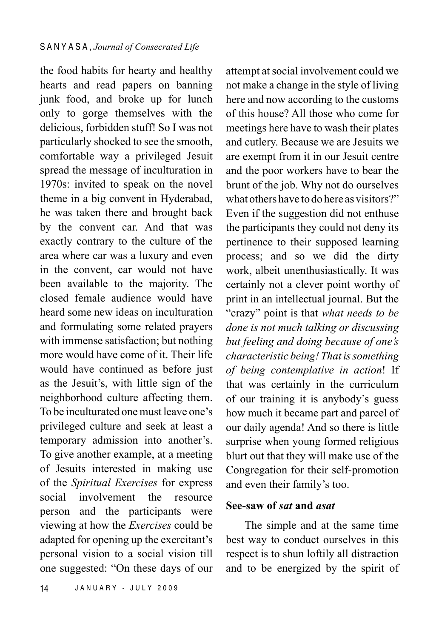the food habits for hearty and healthy hearts and read papers on banning junk food, and broke up for lunch only to gorge themselves with the delicious, forbidden stuff! So I was not particularly shocked to see the smooth, comfortable way a privileged Jesuit spread the message of inculturation in 1970s: invited to speak on the novel theme in a big convent in Hyderabad, he was taken there and brought back by the convent car. And that was exactly contrary to the culture of the area where car was a luxury and even in the convent, car would not have been available to the majority. The closed female audience would have heard some new ideas on inculturation and formulating some related prayers with immense satisfaction; but nothing more would have come of it. Their life would have continued as before just as the Jesuit's, with little sign of the neighborhood culture affecting them. To be inculturated one must leave one's privileged culture and seek at least a temporary admission into another's. To give another example, at a meeting of Jesuits interested in making use of the *Spiritual Exercises* for express social involvement the resource person and the participants were viewing at how the *Exercises* could be adapted for opening up the exercitant's personal vision to a social vision till one suggested: "On these days of our

14 JANUARY - JULY 2009

attempt at social involvement could we not make a change in the style of living here and now according to the customs of this house? All those who come for meetings here have to wash their plates and cutlery. Because we are Jesuits we are exempt from it in our Jesuit centre and the poor workers have to bear the brunt of the job. Why not do ourselves what others have to do here as visitors?" Even if the suggestion did not enthuse the participants they could not deny its pertinence to their supposed learning process; and so we did the dirty work, albeit unenthusiastically. It was certainly not a clever point worthy of print in an intellectual journal. But the "crazy" point is that *what needs to be done is not much talking or discussing but feeling and doing because of one's characteristic being! That is something of being contemplative in action*! If that was certainly in the curriculum of our training it is anybody's guess how much it became part and parcel of our daily agenda! And so there is little surprise when young formed religious blurt out that they will make use of the Congregation for their self-promotion and even their family's too.

#### **See-saw of** *sat* **and** *asat*

The simple and at the same time best way to conduct ourselves in this respect is to shun loftily all distraction and to be energized by the spirit of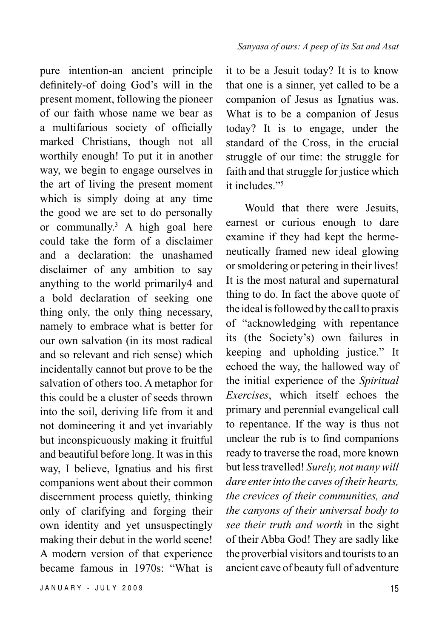pure intention-an ancient principle definitely-of doing God's will in the present moment, following the pioneer of our faith whose name we bear as a multifarious society of officially marked Christians, though not all worthily enough! To put it in another way, we begin to engage ourselves in the art of living the present moment which is simply doing at any time the good we are set to do personally or communally.3 A high goal here could take the form of a disclaimer and a declaration: the unashamed disclaimer of any ambition to say anything to the world primarily4 and a bold declaration of seeking one thing only, the only thing necessary, namely to embrace what is better for our own salvation (in its most radical and so relevant and rich sense) which incidentally cannot but prove to be the salvation of others too. A metaphor for this could be a cluster of seeds thrown into the soil, deriving life from it and not domineering it and yet invariably but inconspicuously making it fruitful and beautiful before long. It was in this way, I believe, Ignatius and his first companions went about their common discernment process quietly, thinking only of clarifying and forging their own identity and yet unsuspectingly making their debut in the world scene! A modern version of that experience became famous in 1970s: "What is

it to be a Jesuit today? It is to know that one is a sinner, yet called to be a companion of Jesus as Ignatius was. What is to be a companion of Jesus today? It is to engage, under the standard of the Cross, in the crucial struggle of our time: the struggle for faith and that struggle for justice which it includes<sup>"5</sup>

Would that there were Jesuits, earnest or curious enough to dare examine if they had kept the hermeneutically framed new ideal glowing or smoldering or petering in their lives! It is the most natural and supernatural thing to do. In fact the above quote of the ideal is followed by the call to praxis of "acknowledging with repentance its (the Society's) own failures in keeping and upholding justice." It echoed the way, the hallowed way of the initial experience of the *Spiritual Exercises*, which itself echoes the primary and perennial evangelical call to repentance. If the way is thus not unclear the rub is to find companions ready to traverse the road, more known but less travelled! *Surely, not many will dare enter into the caves of their hearts, the crevices of their communities, and the canyons of their universal body to see their truth and worth* in the sight of their Abba God! They are sadly like the proverbial visitors and tourists to an ancient cave of beauty full of adventure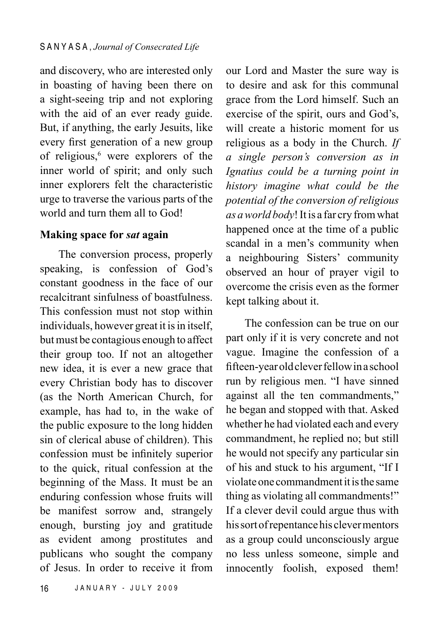and discovery, who are interested only in boasting of having been there on a sight-seeing trip and not exploring with the aid of an ever ready guide. But, if anything, the early Jesuits, like every first generation of a new group of religious,<sup>6</sup> were explorers of the inner world of spirit; and only such inner explorers felt the characteristic urge to traverse the various parts of the world and turn them all to God!

### **Making space for** *sat* **again**

The conversion process, properly speaking, is confession of God's constant goodness in the face of our recalcitrant sinfulness of boastfulness. This confession must not stop within individuals, however great it is in itself, but must be contagious enough to affect their group too. If not an altogether new idea, it is ever a new grace that every Christian body has to discover (as the North American Church, for example, has had to, in the wake of the public exposure to the long hidden sin of clerical abuse of children). This confession must be infinitely superior to the quick, ritual confession at the beginning of the Mass. It must be an enduring confession whose fruits will be manifest sorrow and, strangely enough, bursting joy and gratitude as evident among prostitutes and publicans who sought the company of Jesus. In order to receive it from

our Lord and Master the sure way is to desire and ask for this communal grace from the Lord himself. Such an exercise of the spirit, ours and God's, will create a historic moment for us religious as a body in the Church. *If a single person's conversion as in Ignatius could be a turning point in history imagine what could be the potential of the conversion of religious as a world body*! It is a far cry from what happened once at the time of a public scandal in a men's community when a neighbouring Sisters' community observed an hour of prayer vigil to overcome the crisis even as the former kept talking about it.

The confession can be true on our part only if it is very concrete and not vague. Imagine the confession of a fifteen-year old clever fellow in a school run by religious men. "I have sinned against all the ten commandments," he began and stopped with that. Asked whether he had violated each and every commandment, he replied no; but still he would not specify any particular sin of his and stuck to his argument, "If I violate one commandment it is the same thing as violating all commandments!" If a clever devil could argue thus with his sort of repentance his clever mentors as a group could unconsciously argue no less unless someone, simple and innocently foolish, exposed them!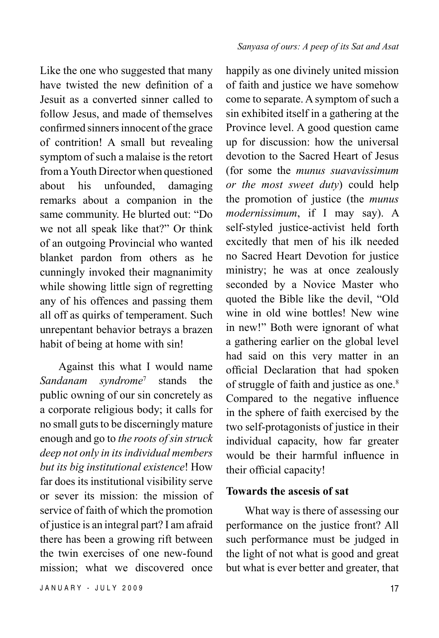Like the one who suggested that many have twisted the new definition of a Jesuit as a converted sinner called to follow Jesus, and made of themselves confirmed sinners innocent of the grace of contrition! A small but revealing symptom of such a malaise is the retort from a Youth Director when questioned about his unfounded, damaging remarks about a companion in the same community. He blurted out: "Do we not all speak like that?" Or think of an outgoing Provincial who wanted blanket pardon from others as he cunningly invoked their magnanimity while showing little sign of regretting any of his offences and passing them all off as quirks of temperament. Such unrepentant behavior betrays a brazen habit of being at home with sin!

Against this what I would name *Sandanam syndrome*<sup>7</sup> stands the public owning of our sin concretely as a corporate religious body; it calls for no small guts to be discerningly mature enough and go to *the roots of sin struck deep not only in its individual members but its big institutional existence*! How far does its institutional visibility serve or sever its mission: the mission of service of faith of which the promotion of justice is an integral part? I am afraid there has been a growing rift between the twin exercises of one new-found mission; what we discovered once happily as one divinely united mission of faith and justice we have somehow come to separate. A symptom of such a sin exhibited itself in a gathering at the Province level. A good question came up for discussion: how the universal devotion to the Sacred Heart of Jesus (for some the *munus suavavissimum or the most sweet duty*) could help the promotion of justice (the *munus modernissimum*, if I may say). A self-styled justice-activist held forth excitedly that men of his ilk needed no Sacred Heart Devotion for justice ministry; he was at once zealously seconded by a Novice Master who quoted the Bible like the devil, "Old wine in old wine bottles! New wine in new!" Both were ignorant of what a gathering earlier on the global level had said on this very matter in an official Declaration that had spoken of struggle of faith and justice as one.<sup>8</sup> Compared to the negative influence in the sphere of faith exercised by the two self-protagonists of justice in their individual capacity, how far greater would be their harmful influence in their official capacity!

#### **Towards the ascesis of sat**

What way is there of assessing our performance on the justice front? All such performance must be judged in the light of not what is good and great but what is ever better and greater, that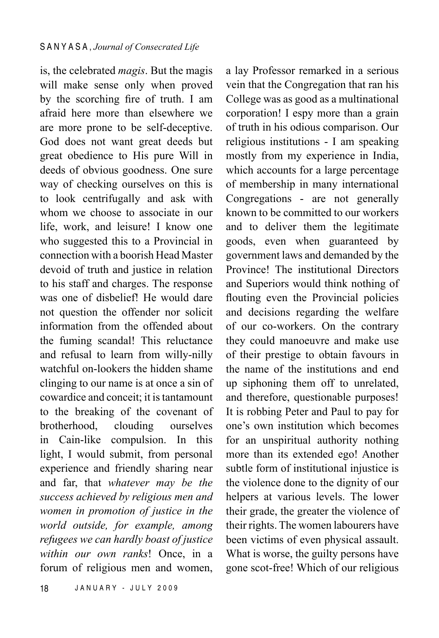is, the celebrated *magis*. But the magis will make sense only when proved by the scorching fire of truth. I am afraid here more than elsewhere we are more prone to be self-deceptive. God does not want great deeds but great obedience to His pure Will in deeds of obvious goodness. One sure way of checking ourselves on this is to look centrifugally and ask with whom we choose to associate in our life, work, and leisure! I know one who suggested this to a Provincial in connection with a boorish Head Master devoid of truth and justice in relation to his staff and charges. The response was one of disbelief! He would dare not question the offender nor solicit information from the offended about the fuming scandal! This reluctance and refusal to learn from willy-nilly watchful on-lookers the hidden shame clinging to our name is at once a sin of cowardice and conceit; it is tantamount to the breaking of the covenant of brotherhood, clouding ourselves in Cain-like compulsion. In this light, I would submit, from personal experience and friendly sharing near and far, that *whatever may be the success achieved by religious men and women in promotion of justice in the world outside, for example, among refugees we can hardly boast of justice within our own ranks*! Once, in a forum of religious men and women,

a lay Professor remarked in a serious vein that the Congregation that ran his College was as good as a multinational corporation! I espy more than a grain of truth in his odious comparison. Our religious institutions - I am speaking mostly from my experience in India, which accounts for a large percentage of membership in many international Congregations - are not generally known to be committed to our workers and to deliver them the legitimate goods, even when guaranteed by government laws and demanded by the Province! The institutional Directors and Superiors would think nothing of flouting even the Provincial policies and decisions regarding the welfare of our co-workers. On the contrary they could manoeuvre and make use of their prestige to obtain favours in the name of the institutions and end up siphoning them off to unrelated, and therefore, questionable purposes! It is robbing Peter and Paul to pay for one's own institution which becomes for an unspiritual authority nothing more than its extended ego! Another subtle form of institutional injustice is the violence done to the dignity of our helpers at various levels. The lower their grade, the greater the violence of their rights. The women labourers have been victims of even physical assault. What is worse, the guilty persons have gone scot-free! Which of our religious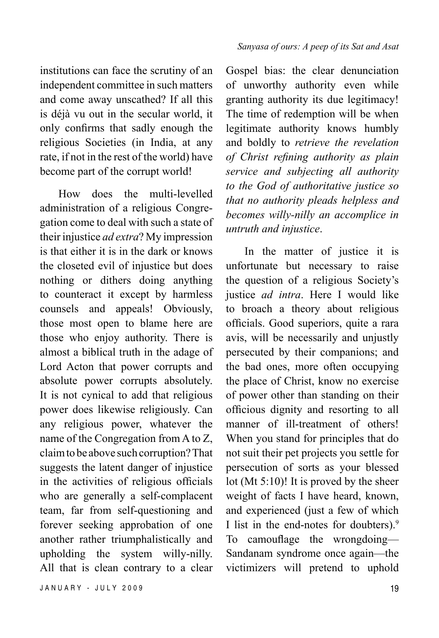institutions can face the scrutiny of an independent committee in such matters and come away unscathed? If all this is déjà vu out in the secular world, it only confirms that sadly enough the religious Societies (in India, at any rate, if not in the rest of the world) have become part of the corrupt world!

How does the multi-levelled administration of a religious Congregation come to deal with such a state of their injustice *ad extra*? My impression is that either it is in the dark or knows the closeted evil of injustice but does nothing or dithers doing anything to counteract it except by harmless counsels and appeals! Obviously, those most open to blame here are those who enjoy authority. There is almost a biblical truth in the adage of Lord Acton that power corrupts and absolute power corrupts absolutely. It is not cynical to add that religious power does likewise religiously. Can any religious power, whatever the name of the Congregation from A to Z, claim to be above such corruption? That suggests the latent danger of injustice in the activities of religious officials who are generally a self-complacent team, far from self-questioning and forever seeking approbation of one another rather triumphalistically and upholding the system willy-nilly. All that is clean contrary to a clear

Gospel bias: the clear denunciation of unworthy authority even while granting authority its due legitimacy! The time of redemption will be when legitimate authority knows humbly and boldly to *retrieve the revelation of Christ refining authority as plain service and subjecting all authority to the God of authoritative justice so that no authority pleads helpless and becomes willy-nilly an accomplice in untruth and injustice*.

In the matter of justice it is unfortunate but necessary to raise the question of a religious Society's justice *ad intra*. Here I would like to broach a theory about religious officials. Good superiors, quite a rara avis, will be necessarily and unjustly persecuted by their companions; and the bad ones, more often occupying the place of Christ, know no exercise of power other than standing on their officious dignity and resorting to all manner of ill-treatment of others! When you stand for principles that do not suit their pet projects you settle for persecution of sorts as your blessed lot (Mt 5:10)! It is proved by the sheer weight of facts I have heard, known, and experienced (just a few of which I list in the end-notes for doubters).9 To camouflage the wrongdoing— Sandanam syndrome once again—the victimizers will pretend to uphold

JANUARY - JULY 2009 19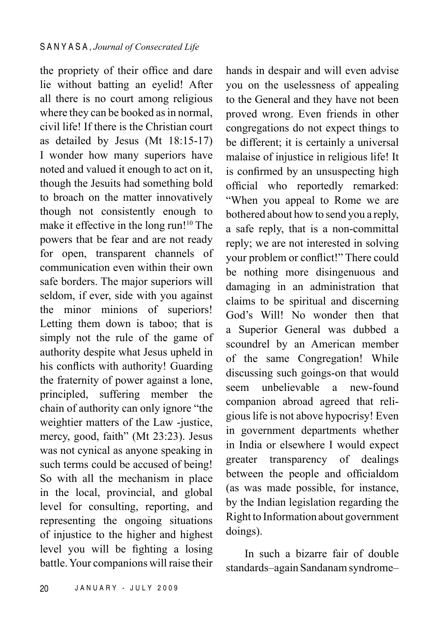the propriety of their office and dare lie without batting an eyelid! After all there is no court among religious where they can be booked as in normal, civil life! If there is the Christian court as detailed by Jesus (Mt 18:15-17) I wonder how many superiors have noted and valued it enough to act on it, though the Jesuits had something bold to broach on the matter innovatively though not consistently enough to make it effective in the long run!10 The powers that be fear and are not ready for open, transparent channels of communication even within their own safe borders. The major superiors will seldom, if ever, side with you against the minor minions of superiors! Letting them down is taboo; that is simply not the rule of the game of authority despite what Jesus upheld in his conflicts with authority! Guarding the fraternity of power against a lone, principled, suffering member the chain of authority can only ignore "the weightier matters of the Law -justice, mercy, good, faith" (Mt 23:23). Jesus was not cynical as anyone speaking in such terms could be accused of being! So with all the mechanism in place in the local, provincial, and global level for consulting, reporting, and representing the ongoing situations of injustice to the higher and highest level you will be fighting a losing battle. Your companions will raise their

hands in despair and will even advise you on the uselessness of appealing to the General and they have not been proved wrong. Even friends in other congregations do not expect things to be different; it is certainly a universal malaise of injustice in religious life! It is confirmed by an unsuspecting high official who reportedly remarked: "When you appeal to Rome we are bothered about how to send you a reply, a safe reply, that is a non-committal reply; we are not interested in solving your problem or conflict!" There could be nothing more disingenuous and damaging in an administration that claims to be spiritual and discerning God's Will! No wonder then that a Superior General was dubbed a scoundrel by an American member of the same Congregation! While discussing such goings-on that would seem unbelievable a new-found companion abroad agreed that religious life is not above hypocrisy! Even in government departments whether in India or elsewhere I would expect greater transparency of dealings between the people and officialdom (as was made possible, for instance, by the Indian legislation regarding the Right to Information about government doings).

In such a bizarre fair of double standards–again Sandanam syndrome–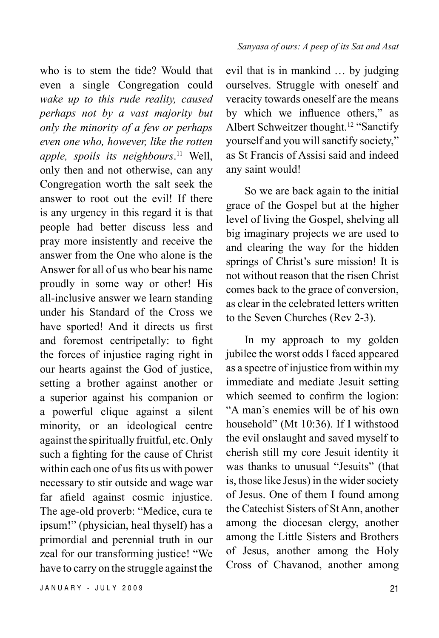who is to stem the tide? Would that even a single Congregation could *wake up to this rude reality, caused perhaps not by a vast majority but only the minority of a few or perhaps even one who, however, like the rotten apple, spoils its neighbours*. <sup>11</sup> Well, only then and not otherwise, can any Congregation worth the salt seek the answer to root out the evil! If there is any urgency in this regard it is that people had better discuss less and pray more insistently and receive the answer from the One who alone is the Answer for all of us who bear his name proudly in some way or other! His all-inclusive answer we learn standing under his Standard of the Cross we have sported! And it directs us first and foremost centripetally: to fight the forces of injustice raging right in our hearts against the God of justice, setting a brother against another or a superior against his companion or a powerful clique against a silent minority, or an ideological centre against the spiritually fruitful, etc. Only such a fighting for the cause of Christ within each one of us fits us with power necessary to stir outside and wage war far afield against cosmic injustice. The age-old proverb: "Medice, cura te ipsum!" (physician, heal thyself) has a primordial and perennial truth in our zeal for our transforming justice! "We have to carry on the struggle against the

evil that is in mankind … by judging ourselves. Struggle with oneself and veracity towards oneself are the means by which we influence others," as Albert Schweitzer thought.12 "Sanctify yourself and you will sanctify society," as St Francis of Assisi said and indeed any saint would!

So we are back again to the initial grace of the Gospel but at the higher level of living the Gospel, shelving all big imaginary projects we are used to and clearing the way for the hidden springs of Christ's sure mission! It is not without reason that the risen Christ comes back to the grace of conversion, as clear in the celebrated letters written to the Seven Churches (Rev 2-3).

In my approach to my golden jubilee the worst odds I faced appeared as a spectre of injustice from within my immediate and mediate Jesuit setting which seemed to confirm the logion: "A man's enemies will be of his own household" (Mt 10:36). If I withstood the evil onslaught and saved myself to cherish still my core Jesuit identity it was thanks to unusual "Jesuits" (that is, those like Jesus) in the wider society of Jesus. One of them I found among the Catechist Sisters of St Ann, another among the diocesan clergy, another among the Little Sisters and Brothers of Jesus, another among the Holy Cross of Chavanod, another among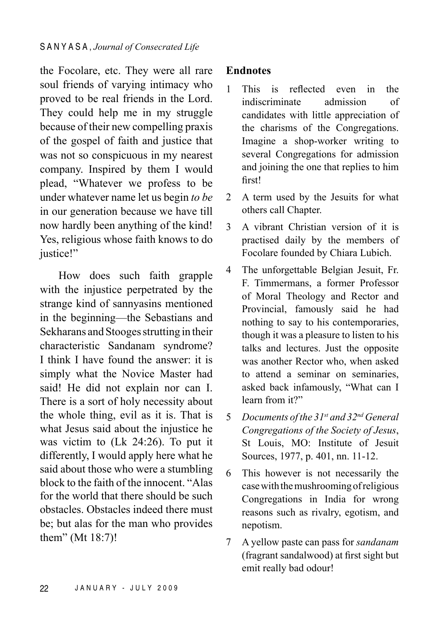the Focolare, etc. They were all rare soul friends of varying intimacy who proved to be real friends in the Lord. They could help me in my struggle because of their new compelling praxis of the gospel of faith and justice that was not so conspicuous in my nearest company. Inspired by them I would plead, "Whatever we profess to be under whatever name let us begin *to be* in our generation because we have till now hardly been anything of the kind! Yes, religious whose faith knows to do justice!"

How does such faith grapple with the injustice perpetrated by the strange kind of sannyasins mentioned in the beginning—the Sebastians and Sekharans and Stooges strutting in their characteristic Sandanam syndrome? I think I have found the answer: it is simply what the Novice Master had said! He did not explain nor can I. There is a sort of holy necessity about the whole thing, evil as it is. That is what Jesus said about the injustice he was victim to (Lk 24:26). To put it differently, I would apply here what he said about those who were a stumbling block to the faith of the innocent. "Alas for the world that there should be such obstacles. Obstacles indeed there must be; but alas for the man who provides them" (Mt 18:7)!

### **Endnotes**

- 1 This is reflected even in the indiscriminate admission of candidates with little appreciation of the charisms of the Congregations. Imagine a shop-worker writing to several Congregations for admission and joining the one that replies to him first!
- 2 A term used by the Jesuits for what others call Chapter.
- 3 A vibrant Christian version of it is practised daily by the members of Focolare founded by Chiara Lubich.
- 4 The unforgettable Belgian Jesuit, Fr. F. Timmermans, a former Professor of Moral Theology and Rector and Provincial, famously said he had nothing to say to his contemporaries, though it was a pleasure to listen to his talks and lectures. Just the opposite was another Rector who, when asked to attend a seminar on seminaries, asked back infamously, "What can I learn from it?"
- 5 *Documents of the 31st and 32nd General Congregations of the Society of Jesus*, St Louis, MO: Institute of Jesuit Sources, 1977, p. 401, nn. 11-12.
- 6 This however is not necessarily the case with the mushrooming of religious Congregations in India for wrong reasons such as rivalry, egotism, and nepotism.
- 7 A yellow paste can pass for *sandanam* (fragrant sandalwood) at first sight but emit really bad odour!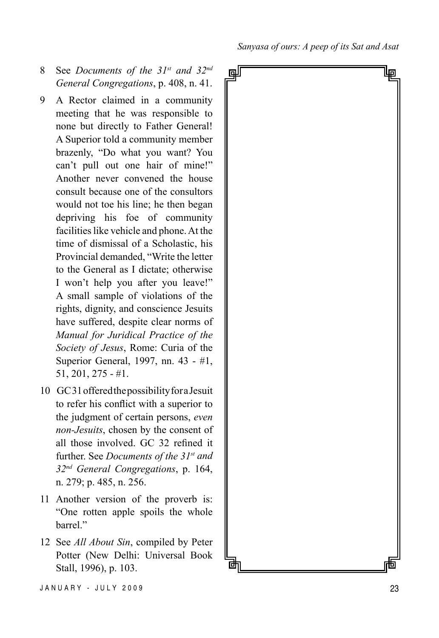- *Sanyasa of ours: A peep of its Sat and Asat*
- 8 See *Documents of the 31st and 32nd General Congregations*, p. 408, n. 41.
- 9 A Rector claimed in a community meeting that he was responsible to none but directly to Father General! A Superior told a community member brazenly, "Do what you want? You can't pull out one hair of mine!" Another never convened the house consult because one of the consultors would not toe his line; he then began depriving his foe of community facilities like vehicle and phone. At the time of dismissal of a Scholastic, his Provincial demanded, "Write the letter to the General as I dictate; otherwise I won't help you after you leave!" A small sample of violations of the rights, dignity, and conscience Jesuits have suffered, despite clear norms of *Manual for Juridical Practice of the Society of Jesus*, Rome: Curia of the Superior General, 1997, nn. 43 - #1, 51, 201, 275 - #1.
- 10 GC 31 offered the possibility for a Jesuit to refer his conflict with a superior to the judgment of certain persons, *even non-Jesuits*, chosen by the consent of all those involved. GC 32 refined it further. See *Documents of the 31st and 32nd General Congregations*, p. 164, n. 279; p. 485, n. 256.
- 11 Another version of the proverb is: "One rotten apple spoils the whole barrel."
- 12 See *All About Sin*, compiled by Peter Potter (New Delhi: Universal Book Stall, 1996), p. 103.



JANUARY - JULY 2009 23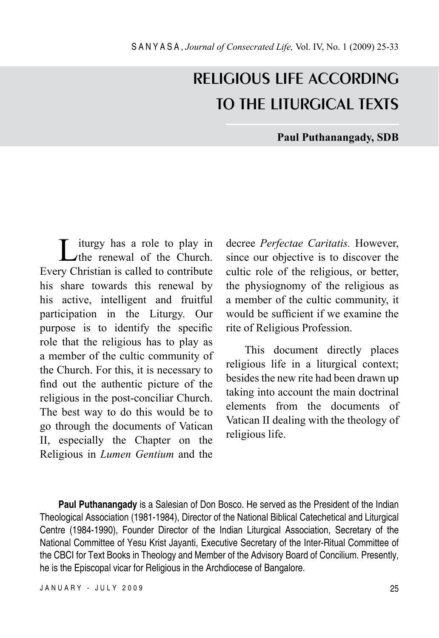# RELIGIOUS LIFE ACCORDING TO THE LITURGICAL TEXTS

#### **Paul Puthanangady, SDB**

Liturgy has a role to play in<br>
the renewal of the Church. Every Christian is called to contribute his share towards this renewal by his active, intelligent and fruitful participation in the Liturgy. Our purpose is to identify the specific role that the religious has to play as a member of the cultic community of the Church. For this, it is necessary to find out the authentic picture of the religious in the post-conciliar Church. The best way to do this would be to go through the documents of Vatican II, especially the Chapter on the Religious in *Lumen Gentium* and the

decree *Perfectae Caritatis.* However, since our objective is to discover the cultic role of the religious, or better, the physiognomy of the religious as a member of the cultic community, it would be sufficient if we examine the rite of Religious Profession.

This document directly places religious life in a liturgical context; besides the new rite had been drawn up taking into account the main doctrinal elements from the documents of Vatican II dealing with the theology of religious life.

**Paul Puthanangady** is a Salesian of Don Bosco. He served as the President of the Indian Theological Association (1981-1984), Director of the National Biblical Catechetical and Liturgical Centre (1984-1990), Founder Director of the Indian Liturgical Association, Secretary of the National Committee of Yesu Krist Jayanti, Executive Secretary of the Inter-Ritual Committee of the CBCI for Text Books in Theology and Member of the Advisory Board of Concilium. Presently, he is the Episcopal vicar for Religious in the Archdiocese of Bangalore.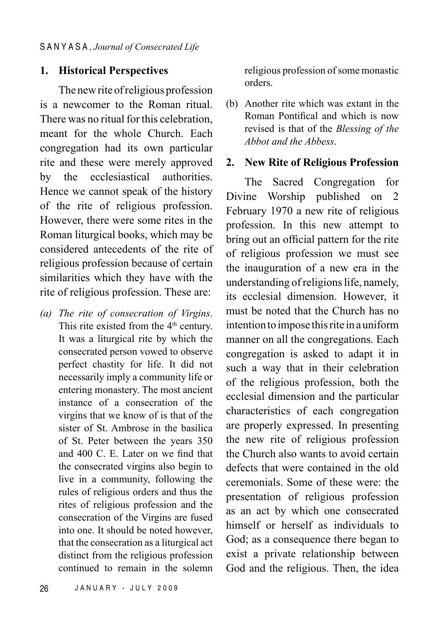### **1. Historical Perspectives**

The new rite of religious profession is a newcomer to the Roman ritual. There was no ritual for this celebration, meant for the whole Church. Each congregation had its own particular rite and these were merely approved by the ecclesiastical authorities. Hence we cannot speak of the history of the rite of religious profession. However, there were some rites in the Roman liturgical books, which may be considered antecedents of the rite of religious profession because of certain similarities which they have with the rite of religious profession. These are:

*(a) The rite of consecration of Virgins*. This rite existed from the  $4<sup>th</sup>$  century. It was a liturgical rite by which the consecrated person vowed to observe perfect chastity for life. It did not necessarily imply a community life or entering monastery. The most ancient instance of a consecration of the virgins that we know of is that of the sister of St. Ambrose in the basilica of St. Peter between the years 350 and 400 C. E. Later on we find that the consecrated virgins also begin to live in a community, following the rules of religious orders and thus the rites of religious profession and the consecration of the Virgins are fused into one. It should be noted however that the consecration as a liturgical act distinct from the religious profession continued to remain in the solemn religious profession of some monastic orders.

(b) Another rite which was extant in the Roman Pontifical and which is now revised is that of the *Blessing of the Abbot and the Abbess*.

### **2. New Rite of Religious Profession**

The Sacred Congregation for Divine Worship published on 2 February 1970 a new rite of religious profession. In this new attempt to bring out an official pattern for the rite of religious profession we must see the inauguration of a new era in the understanding of religions life, namely, its ecclesial dimension. However, it must be noted that the Church has no intention to impose this rite in a uniform manner on all the congregations. Each congregation is asked to adapt it in such a way that in their celebration of the religious profession, both the ecclesial dimension and the particular characteristics of each congregation are properly expressed. In presenting the new rite of religious profession the Church also wants to avoid certain defects that were contained in the old ceremonials. Some of these were: the presentation of religious profession as an act by which one consecrated himself or herself as individuals to God; as a consequence there began to exist a private relationship between God and the religious. Then, the idea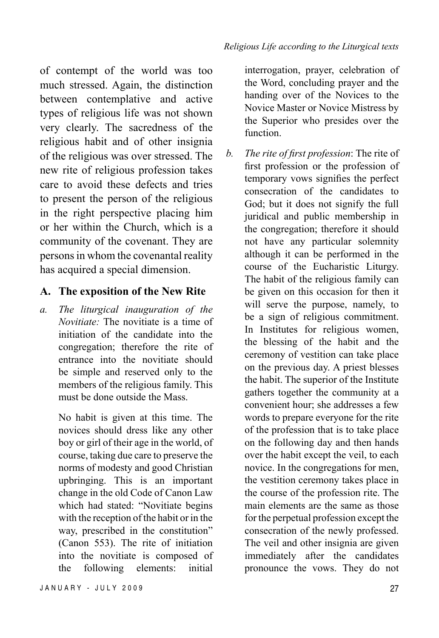of contempt of the world was too much stressed. Again, the distinction between contemplative and active types of religious life was not shown very clearly. The sacredness of the religious habit and of other insignia of the religious was over stressed. The new rite of religious profession takes care to avoid these defects and tries to present the person of the religious in the right perspective placing him or her within the Church, which is a community of the covenant. They are persons in whom the covenantal reality has acquired a special dimension.

### **A. The exposition of the New Rite**

*a. The liturgical inauguration of the Novitiate:* The novitiate is a time of initiation of the candidate into the congregation; therefore the rite of entrance into the novitiate should be simple and reserved only to the members of the religious family. This must be done outside the Mass.

> No habit is given at this time. The novices should dress like any other boy or girl of their age in the world, of course, taking due care to preserve the norms of modesty and good Christian upbringing. This is an important change in the old Code of Canon Law which had stated: "Novitiate begins with the reception of the habit or in the way, prescribed in the constitution" (Canon 553). The rite of initiation into the novitiate is composed of the following elements: initial

interrogation, prayer, celebration of the Word, concluding prayer and the handing over of the Novices to the Novice Master or Novice Mistress by the Superior who presides over the function.

*b. The rite of first profession*: The rite of first profession or the profession of temporary vows signifies the perfect consecration of the candidates to God; but it does not signify the full juridical and public membership in the congregation; therefore it should not have any particular solemnity although it can be performed in the course of the Eucharistic Liturgy. The habit of the religious family can be given on this occasion for then it will serve the purpose, namely, to be a sign of religious commitment. In Institutes for religious women, the blessing of the habit and the ceremony of vestition can take place on the previous day. A priest blesses the habit. The superior of the Institute gathers together the community at a convenient hour; she addresses a few words to prepare everyone for the rite of the profession that is to take place on the following day and then hands over the habit except the veil, to each novice. In the congregations for men, the vestition ceremony takes place in the course of the profession rite. The main elements are the same as those for the perpetual profession except the consecration of the newly professed. The veil and other insignia are given immediately after the candidates pronounce the vows. They do not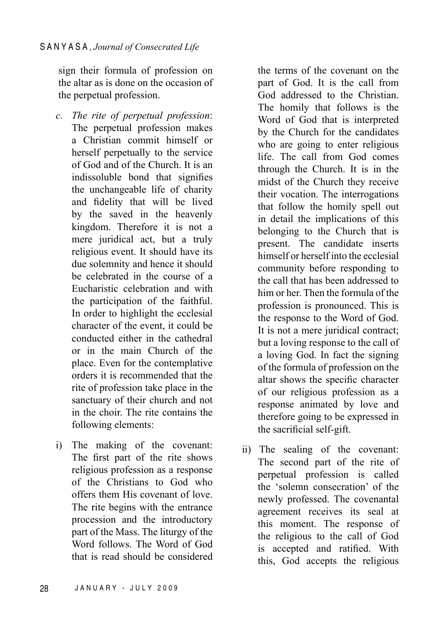sign their formula of profession on the altar as is done on the occasion of the perpetual profession.

- *c. The rite of perpetual profession*: The perpetual profession makes a Christian commit himself or herself perpetually to the service of God and of the Church. It is an indissoluble bond that signifies the unchangeable life of charity and fidelity that will be lived by the saved in the heavenly kingdom. Therefore it is not a mere juridical act, but a truly religious event. It should have its due solemnity and hence it should be celebrated in the course of a Eucharistic celebration and with the participation of the faithful. In order to highlight the ecclesial character of the event, it could be conducted either in the cathedral or in the main Church of the place. Even for the contemplative orders it is recommended that the rite of profession take place in the sanctuary of their church and not in the choir. The rite contains the following elements:
- i) The making of the covenant: The first part of the rite shows religious profession as a response of the Christians to God who offers them His covenant of love. The rite begins with the entrance procession and the introductory part of the Mass. The liturgy of the Word follows. The Word of God that is read should be considered

the terms of the covenant on the part of God. It is the call from God addressed to the Christian. The homily that follows is the Word of God that is interpreted by the Church for the candidates who are going to enter religious life. The call from God comes through the Church. It is in the midst of the Church they receive their vocation. The interrogations that follow the homily spell out in detail the implications of this belonging to the Church that is present. The candidate inserts himself or herself into the ecclesial community before responding to the call that has been addressed to him or her. Then the formula of the profession is pronounced. This is the response to the Word of God. It is not a mere juridical contract; but a loving response to the call of a loving God. In fact the signing of the formula of profession on the altar shows the specific character of our religious profession as a response animated by love and therefore going to be expressed in the sacrificial self-gift.

ii) The sealing of the covenant: The second part of the rite of perpetual profession is called the 'solemn consecration' of the newly professed. The covenantal agreement receives its seal at this moment. The response of the religious to the call of God is accepted and ratified. With this, God accepts the religious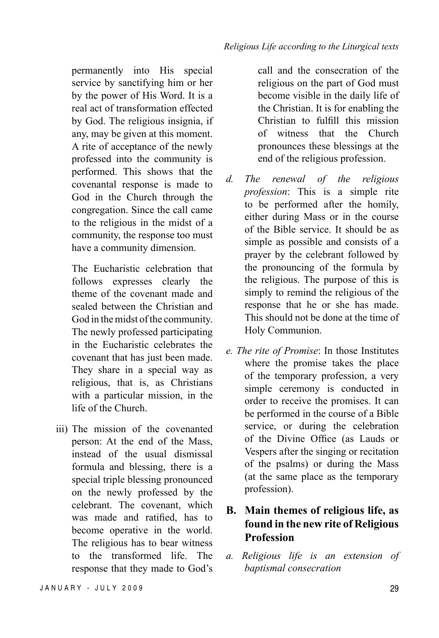permanently into His special service by sanctifying him or her by the power of His Word. It is a real act of transformation effected by God. The religious insignia, if any, may be given at this moment. A rite of acceptance of the newly professed into the community is performed. This shows that the covenantal response is made to God in the Church through the congregation. Since the call came to the religious in the midst of a community, the response too must have a community dimension.

The Eucharistic celebration that follows expresses clearly the theme of the covenant made and sealed between the Christian and God in the midst of the community. The newly professed participating in the Eucharistic celebrates the covenant that has just been made. They share in a special way as religious, that is, as Christians with a particular mission, in the life of the Church.

iii) The mission of the covenanted person: At the end of the Mass, instead of the usual dismissal formula and blessing, there is a special triple blessing pronounced on the newly professed by the celebrant. The covenant, which was made and ratified, has to become operative in the world. The religious has to bear witness to the transformed life. The response that they made to God's

call and the consecration of the religious on the part of God must become visible in the daily life of the Christian. It is for enabling the Christian to fulfill this mission of witness that the Church pronounces these blessings at the end of the religious profession.

- *d. The renewal of the religious profession*: This is a simple rite to be performed after the homily, either during Mass or in the course of the Bible service. It should be as simple as possible and consists of a prayer by the celebrant followed by the pronouncing of the formula by the religious. The purpose of this is simply to remind the religious of the response that he or she has made. This should not be done at the time of Holy Communion.
- *e. The rite of Promise*: In those Institutes where the promise takes the place of the temporary profession, a very simple ceremony is conducted in order to receive the promises. It can be performed in the course of a Bible service, or during the celebration of the Divine Office (as Lauds or Vespers after the singing or recitation of the psalms) or during the Mass (at the same place as the temporary profession).

## **B. Main themes of religious life, as found in the new rite of Religious Profession**

*a. Religious life is an extension of baptismal consecration*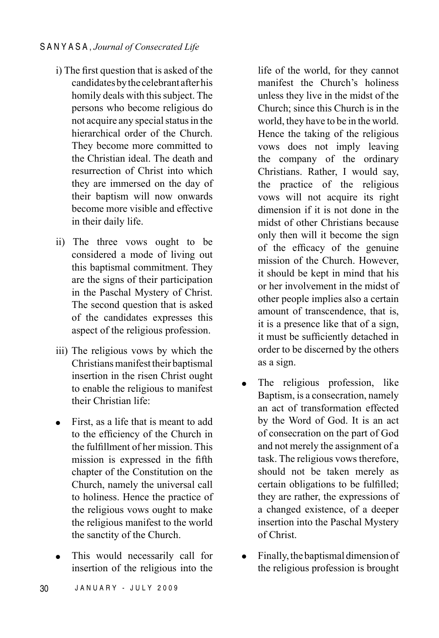- i) The first question that is asked of the candidates by the celebrant after his homily deals with this subject. The persons who become religious do not acquire any special status in the hierarchical order of the Church. They become more committed to the Christian ideal. The death and resurrection of Christ into which they are immersed on the day of their baptism will now onwards become more visible and effective in their daily life.
- ii) The three vows ought to be considered a mode of living out this baptismal commitment. They are the signs of their participation in the Paschal Mystery of Christ. The second question that is asked of the candidates expresses this aspect of the religious profession.
- iii) The religious vows by which the Christians manifest their baptismal insertion in the risen Christ ought to enable the religious to manifest their Christian life:
- First, as a life that is meant to add to the efficiency of the Church in the fulfillment of her mission. This mission is expressed in the fifth chapter of the Constitution on the Church, namely the universal call to holiness. Hence the practice of the religious vows ought to make the religious manifest to the world the sanctity of the Church.
- This would necessarily call for insertion of the religious into the

life of the world, for they cannot manifest the Church's holiness unless they live in the midst of the Church; since this Church is in the world, they have to be in the world. Hence the taking of the religious vows does not imply leaving the company of the ordinary Christians. Rather, I would say, the practice of the religious vows will not acquire its right dimension if it is not done in the midst of other Christians because only then will it become the sign of the efficacy of the genuine mission of the Church. However, it should be kept in mind that his or her involvement in the midst of other people implies also a certain amount of transcendence, that is, it is a presence like that of a sign, it must be sufficiently detached in order to be discerned by the others as a sign.

- The religious profession, like Baptism, is a consecration, namely an act of transformation effected by the Word of God. It is an act of consecration on the part of God and not merely the assignment of a task. The religious vows therefore, should not be taken merely as certain obligations to be fulfilled; they are rather, the expressions of a changed existence, of a deeper insertion into the Paschal Mystery of Christ.
- Finally, the baptismal dimension of the religious profession is brought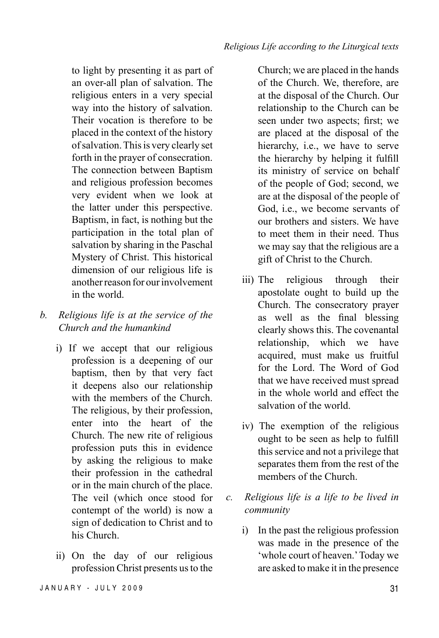to light by presenting it as part of an over-all plan of salvation. The religious enters in a very special way into the history of salvation. Their vocation is therefore to be placed in the context of the history of salvation. This is very clearly set forth in the prayer of consecration. The connection between Baptism and religious profession becomes very evident when we look at the latter under this perspective. Baptism, in fact, is nothing but the participation in the total plan of salvation by sharing in the Paschal Mystery of Christ. This historical dimension of our religious life is another reason for our involvement in the world.

- *b. Religious life is at the service of the Church and the humankind*
	- i) If we accept that our religious profession is a deepening of our baptism, then by that very fact it deepens also our relationship with the members of the Church. The religious, by their profession, enter into the heart of the Church. The new rite of religious profession puts this in evidence by asking the religious to make their profession in the cathedral or in the main church of the place. The veil (which once stood for contempt of the world) is now a sign of dedication to Christ and to his Church.
	- ii) On the day of our religious profession Christ presents us to the

Church; we are placed in the hands of the Church. We, therefore, are at the disposal of the Church. Our relationship to the Church can be seen under two aspects; first; we are placed at the disposal of the hierarchy, i.e., we have to serve the hierarchy by helping it fulfill its ministry of service on behalf of the people of God; second, we are at the disposal of the people of God, i.e., we become servants of our brothers and sisters. We have to meet them in their need. Thus we may say that the religious are a gift of Christ to the Church.

- iii) The religious through their apostolate ought to build up the Church. The consecratory prayer as well as the final blessing clearly shows this. The covenantal relationship, which we have acquired, must make us fruitful for the Lord. The Word of God that we have received must spread in the whole world and effect the salvation of the world.
- iv) The exemption of the religious ought to be seen as help to fulfill this service and not a privilege that separates them from the rest of the members of the Church.
- *c. Religious life is a life to be lived in community*
	- i) In the past the religious profession was made in the presence of the 'whole court of heaven.' Today we are asked to make it in the presence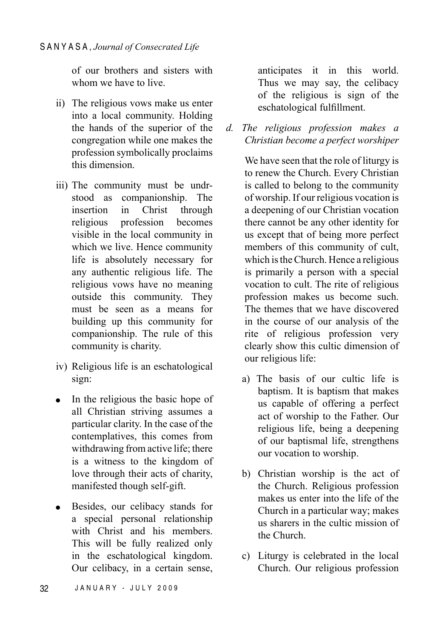of our brothers and sisters with whom we have to live.

- ii) The religious vows make us enter into a local community. Holding the hands of the superior of the congregation while one makes the profession symbolically proclaims this dimension.
- iii) The community must be undrstood as companionship. The insertion in Christ through religious profession becomes visible in the local community in which we live. Hence community life is absolutely necessary for any authentic religious life. The religious vows have no meaning outside this community. They must be seen as a means for building up this community for companionship. The rule of this community is charity.
- iv) Religious life is an eschatological sign:
- In the religious the basic hope of all Christian striving assumes a particular clarity. In the case of the contemplatives, this comes from withdrawing from active life; there is a witness to the kingdom of love through their acts of charity, manifested though self-gift.
- Besides, our celibacy stands for a special personal relationship with Christ and his members. This will be fully realized only in the eschatological kingdom. Our celibacy, in a certain sense,

anticipates it in this world. Thus we may say, the celibacy of the religious is sign of the eschatological fulfillment.

*d. The religious profession makes a Christian become a perfect worshiper*

> We have seen that the role of liturgy is to renew the Church. Every Christian is called to belong to the community of worship. If our religious vocation is a deepening of our Christian vocation there cannot be any other identity for us except that of being more perfect members of this community of cult, which is the Church. Hence a religious is primarily a person with a special vocation to cult. The rite of religious profession makes us become such. The themes that we have discovered in the course of our analysis of the rite of religious profession very clearly show this cultic dimension of our religious life:

- a) The basis of our cultic life is baptism. It is baptism that makes us capable of offering a perfect act of worship to the Father. Our religious life, being a deepening of our baptismal life, strengthens our vocation to worship.
- b) Christian worship is the act of the Church. Religious profession makes us enter into the life of the Church in a particular way; makes us sharers in the cultic mission of the Church.
- c) Liturgy is celebrated in the local Church. Our religious profession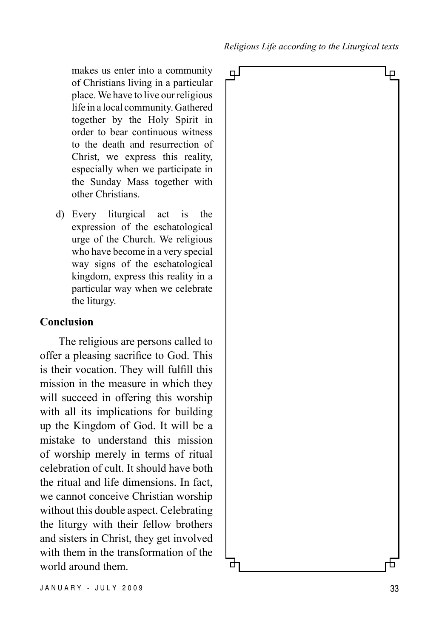*Religious Life according to the Liturgical texts*

makes us enter into a community of Christians living in a particular place. We have to live our religious life in a local community. Gathered together by the Holy Spirit in order to bear continuous witness to the death and resurrection of Christ, we express this reality, especially when we participate in the Sunday Mass together with other Christians.

d) Every liturgical act is the expression of the eschatological urge of the Church. We religious who have become in a very special way signs of the eschatological kingdom, express this reality in a particular way when we celebrate the liturgy.

### **Conclusion**

The religious are persons called to offer a pleasing sacrifice to God. This is their vocation. They will fulfill this mission in the measure in which they will succeed in offering this worship with all its implications for building up the Kingdom of God. It will be a mistake to understand this mission of worship merely in terms of ritual celebration of cult. It should have both the ritual and life dimensions. In fact, we cannot conceive Christian worship without this double aspect. Celebrating the liturgy with their fellow brothers and sisters in Christ, they get involved with them in the transformation of the world around them.

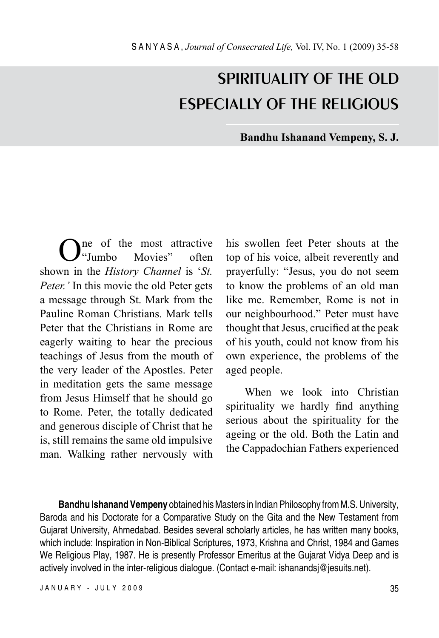# SPIRITUALITY OF THE OLD ESPECIALLY OF THE RELIGIOUS

#### **Bandhu Ishanand Vempeny, S. J.**

**O**ne of the most attractive<br>
"Jumbo Movies" often shown in the *History Channel* is '*St. Peter.'* In this movie the old Peter gets a message through St. Mark from the Pauline Roman Christians. Mark tells Peter that the Christians in Rome are eagerly waiting to hear the precious teachings of Jesus from the mouth of the very leader of the Apostles. Peter in meditation gets the same message from Jesus Himself that he should go to Rome. Peter, the totally dedicated and generous disciple of Christ that he is, still remains the same old impulsive man. Walking rather nervously with

his swollen feet Peter shouts at the top of his voice, albeit reverently and prayerfully: "Jesus, you do not seem to know the problems of an old man like me. Remember, Rome is not in our neighbourhood." Peter must have thought that Jesus, crucified at the peak of his youth, could not know from his own experience, the problems of the aged people.

When we look into Christian spirituality we hardly find anything serious about the spirituality for the ageing or the old. Both the Latin and the Cappadochian Fathers experienced

**Bandhu Ishanand Vempeny** obtained his Masters in Indian Philosophy from M.S. University, Baroda and his Doctorate for a Comparative Study on the Gita and the New Testament from Gujarat University, Ahmedabad. Besides several scholarly articles, he has written many books, which include: Inspiration in Non-Biblical Scriptures, 1973, Krishna and Christ, 1984 and Games We Religious Play, 1987. He is presently Professor Emeritus at the Gujarat Vidya Deep and is actively involved in the inter-religious dialogue. (Contact e-mail: ishanandsj@jesuits.net).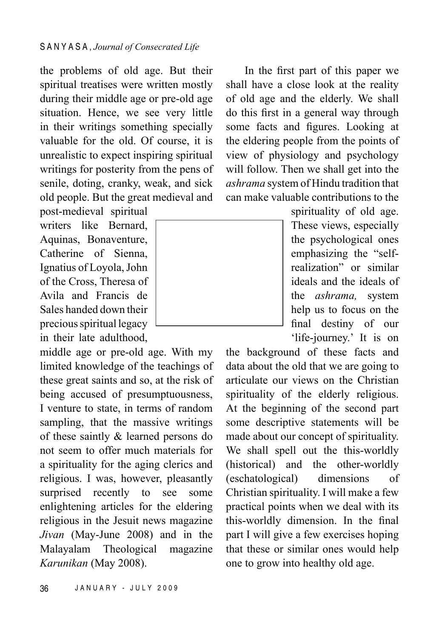the problems of old age. But their spiritual treatises were written mostly during their middle age or pre-old age situation. Hence, we see very little in their writings something specially valuable for the old. Of course, it is unrealistic to expect inspiring spiritual writings for posterity from the pens of senile, doting, cranky, weak, and sick old people. But the great medieval and

post-medieval spiritual writers like Bernard, Aquinas, Bonaventure, Catherine of Sienna, Ignatius of Loyola, John of the Cross, Theresa of Avila and Francis de Sales handed down their precious spiritual legacy in their late adulthood,

middle age or pre-old age. With my limited knowledge of the teachings of these great saints and so, at the risk of being accused of presumptuousness, I venture to state, in terms of random sampling, that the massive writings of these saintly & learned persons do not seem to offer much materials for a spirituality for the aging clerics and religious. I was, however, pleasantly surprised recently to see some enlightening articles for the eldering religious in the Jesuit news magazine *Jivan* (May-June 2008) and in the Malayalam Theological magazine *Karunikan* (May 2008).

In the first part of this paper we shall have a close look at the reality of old age and the elderly. We shall do this first in a general way through some facts and figures. Looking at the eldering people from the points of view of physiology and psychology will follow. Then we shall get into the *ashrama* system of Hindu tradition that can make valuable contributions to the

> spirituality of old age. These views, especially the psychological ones emphasizing the "selfrealization" or similar ideals and the ideals of the *ashrama,* system help us to focus on the final destiny of our 'life-journey.' It is on

the background of these facts and data about the old that we are going to articulate our views on the Christian spirituality of the elderly religious. At the beginning of the second part some descriptive statements will be made about our concept of spirituality. We shall spell out the this-worldly (historical) and the other-worldly (eschatological) dimensions of Christian spirituality. I will make a few practical points when we deal with its this-worldly dimension. In the final part I will give a few exercises hoping that these or similar ones would help one to grow into healthy old age.

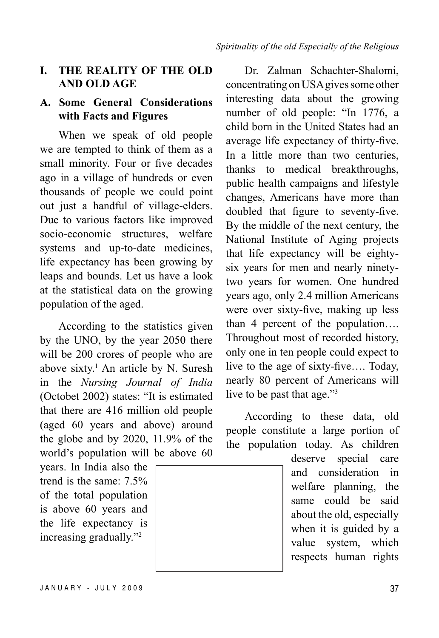# **I. THE REALITY OF THE OLD AND OLD AGE**

## **A. Some General Considerations with Facts and Figures**

When we speak of old people we are tempted to think of them as a small minority. Four or five decades ago in a village of hundreds or even thousands of people we could point out just a handful of village-elders. Due to various factors like improved socio-economic structures, welfare systems and up-to-date medicines, life expectancy has been growing by leaps and bounds. Let us have a look at the statistical data on the growing population of the aged.

According to the statistics given by the UNO, by the year 2050 there will be 200 crores of people who are above sixty.<sup>1</sup> An article by N. Suresh in the *Nursing Journal of India*  (Octobet 2002) states: "It is estimated that there are 416 million old people (aged 60 years and above) around the globe and by 2020, 11.9% of the world's population will be above 60

years. In India also the trend is the same: 7.5% of the total population is above 60 years and the life expectancy is increasing gradually."2

Dr. Zalman Schachter-Shalomi, concentrating on USA gives some other interesting data about the growing number of old people: "In 1776, a child born in the United States had an average life expectancy of thirty-five. In a little more than two centuries, thanks to medical breakthroughs, public health campaigns and lifestyle changes, Americans have more than doubled that figure to seventy-five. By the middle of the next century, the National Institute of Aging projects that life expectancy will be eightysix years for men and nearly ninetytwo years for women. One hundred years ago, only 2.4 million Americans were over sixty-five, making up less than 4 percent of the population…. Throughout most of recorded history, only one in ten people could expect to live to the age of sixty-five…. Today, nearly 80 percent of Americans will live to be past that age."3

According to these data, old people constitute a large portion of the population today. As children

> deserve special care and consideration in welfare planning, the same could be said about the old, especially when it is guided by a value system, which respects human rights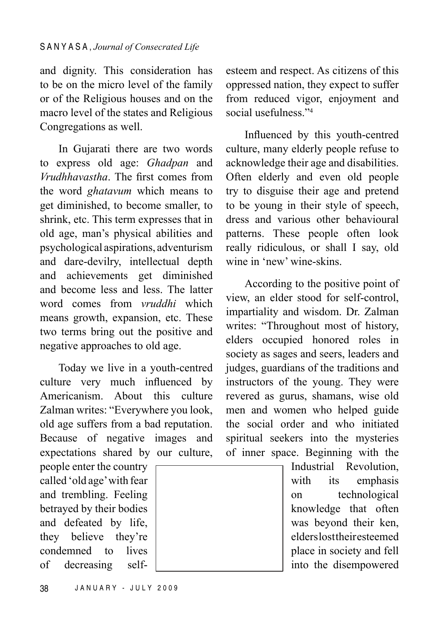#### S A N Y A S A , *Journal of Consecrated Life*

and dignity. This consideration has to be on the micro level of the family or of the Religious houses and on the macro level of the states and Religious Congregations as well.

In Gujarati there are two words to express old age: *Ghadpan* and *Vrudhhavastha*. The first comes from the word *ghatavum* which means to get diminished, to become smaller, to shrink, etc. This term expresses that in old age, man's physical abilities and psychological aspirations, adventurism and dare-devilry, intellectual depth and achievements get diminished and become less and less. The latter word comes from *vruddhi* which means growth, expansion, etc. These two terms bring out the positive and negative approaches to old age.

Today we live in a youth-centred culture very much influenced by Americanism. About this culture Zalman writes: "Everywhere you look, old age suffers from a bad reputation. Because of negative images and expectations shared by our culture,

people enter the country called 'old age' with fear and trembling. Feeling betrayed by their bodies and defeated by life, they believe they're condemned to lives of decreasing self-

esteem and respect. As citizens of this oppressed nation, they expect to suffer from reduced vigor, enjoyment and social usefulness<sup>"4</sup>

Influenced by this youth-centred culture, many elderly people refuse to acknowledge their age and disabilities. Often elderly and even old people try to disguise their age and pretend to be young in their style of speech, dress and various other behavioural patterns. These people often look really ridiculous, or shall I say, old wine in 'new' wine-skins.

According to the positive point of view, an elder stood for self-control, impartiality and wisdom. Dr. Zalman writes: "Throughout most of history, elders occupied honored roles in society as sages and seers, leaders and judges, guardians of the traditions and instructors of the young. They were revered as gurus, shamans, wise old men and women who helped guide the social order and who initiated spiritual seekers into the mysteries of inner space. Beginning with the

> Industrial Revolution, with its emphasis on technological knowledge that often was beyond their ken, elders lost their esteemed place in society and fell into the disempowered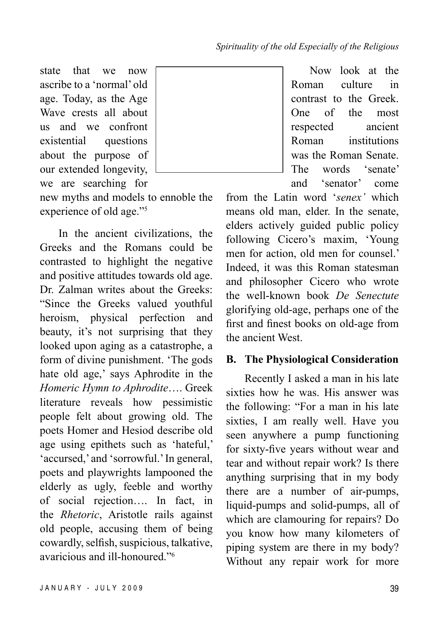*Spirituality of the old Especially of the Religious*

state that we now ascribe to a 'normal' old age. Today, as the Age Wave crests all about us and we confront existential questions about the purpose of our extended longevity, we are searching for

new myths and models to ennoble the experience of old age."<sup>5</sup>

In the ancient civilizations, the Greeks and the Romans could be contrasted to highlight the negative and positive attitudes towards old age. Dr. Zalman writes about the Greeks: "Since the Greeks valued youthful heroism, physical perfection and beauty, it's not surprising that they looked upon aging as a catastrophe, a form of divine punishment. 'The gods hate old age,' says Aphrodite in the *Homeric Hymn to Aphrodite*…. Greek literature reveals how pessimistic people felt about growing old. The poets Homer and Hesiod describe old age using epithets such as 'hateful,' 'accursed,' and 'sorrowful.' In general, poets and playwrights lampooned the elderly as ugly, feeble and worthy of social rejection…. In fact, in the *Rhetoric*, Aristotle rails against old people, accusing them of being cowardly, selfish, suspicious, talkative, avaricious and ill-honoured<sup>"6</sup>



Now look at the Roman culture in contrast to the Greek. One of the most respected ancient Roman institutions was the Roman Senate. The words 'senate' and 'senator' come

from the Latin word '*senex'* which means old man, elder. In the senate, elders actively guided public policy following Cicero's maxim, 'Young men for action, old men for counsel.' Indeed, it was this Roman statesman and philosopher Cicero who wrote the well-known book *De Senectute* glorifying old-age, perhaps one of the first and finest books on old-age from the ancient West.

#### **B. The Physiological Consideration**

Recently I asked a man in his late sixties how he was. His answer was the following: "For a man in his late sixties, I am really well. Have you seen anywhere a pump functioning for sixty-five years without wear and tear and without repair work? Is there anything surprising that in my body there are a number of air-pumps, liquid-pumps and solid-pumps, all of which are clamouring for repairs? Do you know how many kilometers of piping system are there in my body? Without any repair work for more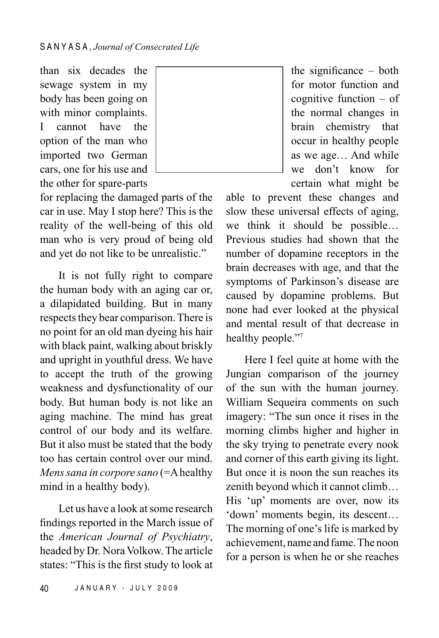than six decades the sewage system in my body has been going on with minor complaints. I cannot have the option of the man who imported two German cars, one for his use and the other for spare-parts

for replacing the damaged parts of the car in use. May I stop here? This is the reality of the well-being of this old man who is very proud of being old and yet do not like to be unrealistic."

It is not fully right to compare the human body with an aging car or, a dilapidated building. But in many respects they bear comparison. There is no point for an old man dyeing his hair with black paint, walking about briskly and upright in youthful dress. We have to accept the truth of the growing weakness and dysfunctionality of our body. But human body is not like an aging machine. The mind has great control of our body and its welfare. But it also must be stated that the body too has certain control over our mind. *Mens sana in corpore sano* (=A healthy mind in a healthy body).

Let us have a look at some research findings reported in the March issue of the *American Journal of Psychiatry*, headed by Dr. Nora Volkow. The article states: "This is the first study to look at



the significance – both for motor function and cognitive function – of the normal changes in brain chemistry that occur in healthy people as we age… And while we don't know for certain what might be

able to prevent these changes and slow these universal effects of aging, we think it should be possible… Previous studies had shown that the number of dopamine receptors in the brain decreases with age, and that the symptoms of Parkinson's disease are caused by dopamine problems. But none had ever looked at the physical and mental result of that decrease in healthy people."7

Here I feel quite at home with the Jungian comparison of the journey of the sun with the human journey. William Sequeira comments on such imagery: "The sun once it rises in the morning climbs higher and higher in the sky trying to penetrate every nook and corner of this earth giving its light. But once it is noon the sun reaches its zenith beyond which it cannot climb… His 'up' moments are over, now its 'down' moments begin, its descent… The morning of one's life is marked by achievement, name and fame. The noon for a person is when he or she reaches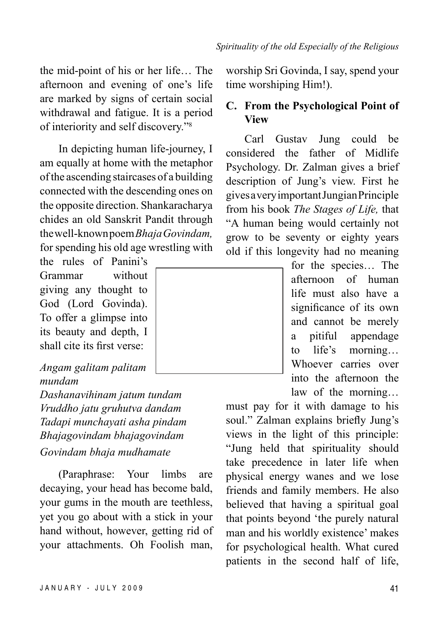the mid-point of his or her life… The afternoon and evening of one's life are marked by signs of certain social withdrawal and fatigue. It is a period of interiority and self discovery."8

In depicting human life-journey, I am equally at home with the metaphor of the ascending staircases of a building connected with the descending ones on the opposite direction. Shankaracharya chides an old Sanskrit Pandit through the well-known poem *Bhaja Govindam,*  for spending his old age wrestling with

the rules of Panini's Grammar without giving any thought to God (Lord Govinda). To offer a glimpse into its beauty and depth, I shall cite its first verse:

## *Angam galitam palitam mundam*

*Dashanavihinam jatum tundam Vruddho jatu gruhutva dandam Tadapi munchayati asha pindam Bhajagovindam bhajagovindam Govindam bhaja mudhamate* 

(Paraphrase: Your limbs are decaying, your head has become bald, your gums in the mouth are teethless, yet you go about with a stick in your hand without, however, getting rid of your attachments. Oh Foolish man,

worship Sri Govinda, I say, spend your time worshiping Him!).

# **C. From the Psychological Point of View**

Carl Gustav Jung could be considered the father of Midlife Psychology. Dr. Zalman gives a brief description of Jung's view. First he gives a very important Jungian Principle from his book *The Stages of Life,* that "A human being would certainly not grow to be seventy or eighty years old if this longevity had no meaning

> for the species… The afternoon of human life must also have a significance of its own and cannot be merely a pitiful appendage to life's morning… Whoever carries over into the afternoon the law of the morning…

must pay for it with damage to his soul." Zalman explains briefly Jung's views in the light of this principle: "Jung held that spirituality should take precedence in later life when physical energy wanes and we lose friends and family members. He also believed that having a spiritual goal that points beyond 'the purely natural man and his worldly existence' makes for psychological health. What cured patients in the second half of life,

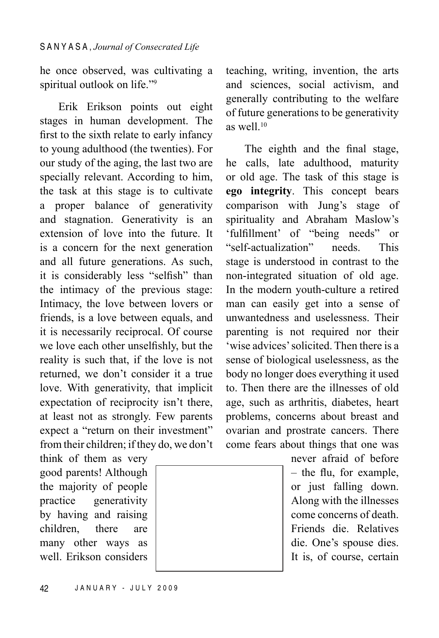he once observed, was cultivating a spiritual outlook on life."<sup>9</sup>

Erik Erikson points out eight stages in human development. The first to the sixth relate to early infancy to young adulthood (the twenties). For our study of the aging, the last two are specially relevant. According to him, the task at this stage is to cultivate a proper balance of generativity and stagnation. Generativity is an extension of love into the future. It is a concern for the next generation and all future generations. As such, it is considerably less "selfish" than the intimacy of the previous stage: Intimacy, the love between lovers or friends, is a love between equals, and it is necessarily reciprocal. Of course we love each other unselfishly, but the reality is such that, if the love is not returned, we don't consider it a true love. With generativity, that implicit expectation of reciprocity isn't there, at least not as strongly. Few parents expect a "return on their investment" from their children; if they do, we don't

think of them as very good parents! Although the majority of people practice generativity by having and raising children, there are many other ways as well. Erikson considers

teaching, writing, invention, the arts and sciences, social activism, and generally contributing to the welfare of future generations to be generativity as well $10$ 

The eighth and the final stage, he calls, late adulthood, maturity or old age. The task of this stage is **ego integrity**. This concept bears comparison with Jung's stage of spirituality and Abraham Maslow's 'fulfillment' of "being needs" or "self-actualization" needs. This stage is understood in contrast to the non-integrated situation of old age. In the modern youth-culture a retired man can easily get into a sense of unwantedness and uselessness. Their parenting is not required nor their 'wise advices' solicited. Then there is a sense of biological uselessness, as the body no longer does everything it used to. Then there are the illnesses of old age, such as arthritis, diabetes, heart problems, concerns about breast and ovarian and prostrate cancers. There come fears about things that one was

> never afraid of before – the flu, for example, or just falling down. Along with the illnesses come concerns of death. Friends die. Relatives die. One's spouse dies. It is, of course, certain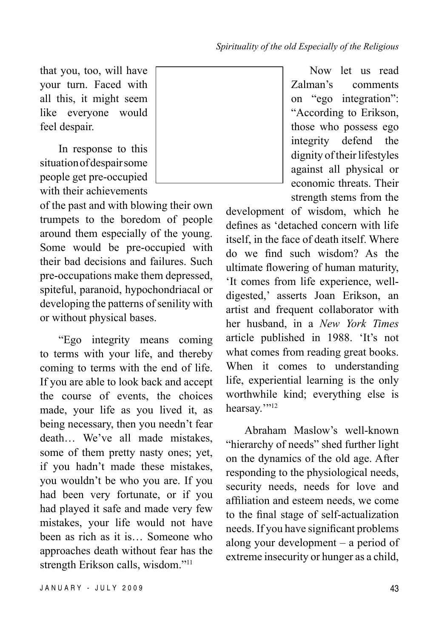that you, too, will have your turn. Faced with all this, it might seem like everyone would feel despair.

In response to this situation of despair some people get pre-occupied with their achievements

of the past and with blowing their own trumpets to the boredom of people around them especially of the young. Some would be pre-occupied with their bad decisions and failures. Such pre-occupations make them depressed, spiteful, paranoid, hypochondriacal or developing the patterns of senility with or without physical bases.

"Ego integrity means coming to terms with your life, and thereby coming to terms with the end of life. If you are able to look back and accept the course of events, the choices made, your life as you lived it, as being necessary, then you needn't fear death… We've all made mistakes, some of them pretty nasty ones; yet, if you hadn't made these mistakes, you wouldn't be who you are. If you had been very fortunate, or if you had played it safe and made very few mistakes, your life would not have been as rich as it is… Someone who approaches death without fear has the strength Erikson calls, wisdom."11



Now let us read Zalman's comments on "ego integration": "According to Erikson, those who possess ego integrity defend the dignity of their lifestyles against all physical or economic threats. Their strength stems from the

development of wisdom, which he defines as 'detached concern with life itself, in the face of death itself. Where do we find such wisdom? As the ultimate flowering of human maturity, 'It comes from life experience, welldigested,' asserts Joan Erikson, an artist and frequent collaborator with her husband, in a *New York Times*  article published in 1988. 'It's not what comes from reading great books. When it comes to understanding life, experiential learning is the only worthwhile kind; everything else is hearsay.""<sup>12</sup>

Abraham Maslow's well-known "hierarchy of needs" shed further light on the dynamics of the old age. After responding to the physiological needs, security needs, needs for love and affiliation and esteem needs, we come to the final stage of self-actualization needs. If you have significant problems along your development – a period of extreme insecurity or hunger as a child,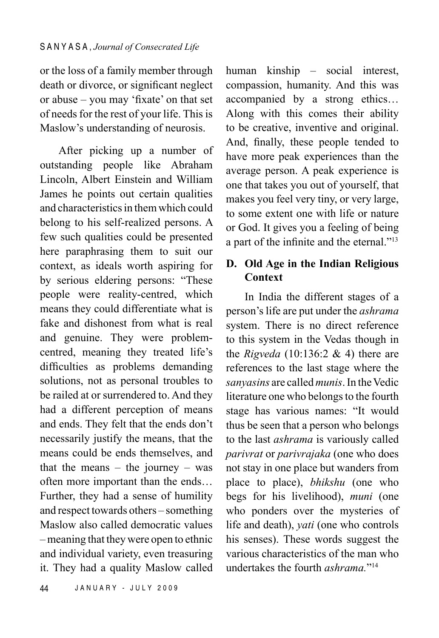or the loss of a family member through death or divorce, or significant neglect or abuse – you may 'fixate' on that set of needs for the rest of your life. This is Maslow's understanding of neurosis.

After picking up a number of outstanding people like Abraham Lincoln, Albert Einstein and William James he points out certain qualities and characteristics in them which could belong to his self-realized persons. A few such qualities could be presented here paraphrasing them to suit our context, as ideals worth aspiring for by serious eldering persons: "These people were reality-centred, which means they could differentiate what is fake and dishonest from what is real and genuine. They were problemcentred, meaning they treated life's difficulties as problems demanding solutions, not as personal troubles to be railed at or surrendered to. And they had a different perception of means and ends. They felt that the ends don't necessarily justify the means, that the means could be ends themselves, and that the means – the journey – was often more important than the ends… Further, they had a sense of humility and respect towards others – something Maslow also called democratic values – meaning that they were open to ethnic and individual variety, even treasuring it. They had a quality Maslow called

44 JANUARY - JULY 2009

human kinship – social interest, compassion, humanity. And this was accompanied by a strong ethics… Along with this comes their ability to be creative, inventive and original. And, finally, these people tended to have more peak experiences than the average person. A peak experience is one that takes you out of yourself, that makes you feel very tiny, or very large, to some extent one with life or nature or God. It gives you a feeling of being a part of the infinite and the eternal."<sup>13</sup>

# **D. Old Age in the Indian Religious Context**

In India the different stages of a person's life are put under the *ashrama*  system. There is no direct reference to this system in the Vedas though in the *Rigveda* (10:136:2 & 4) there are references to the last stage where the *sanyasins* are called *munis*. In the Vedic literature one who belongs to the fourth stage has various names: "It would thus be seen that a person who belongs to the last *ashrama* is variously called *parivrat* or *parivrajaka* (one who does not stay in one place but wanders from place to place), *bhikshu* (one who begs for his livelihood), *muni* (one who ponders over the mysteries of life and death), *yati* (one who controls his senses). These words suggest the various characteristics of the man who undertakes the fourth *ashrama*<sup>"14</sup>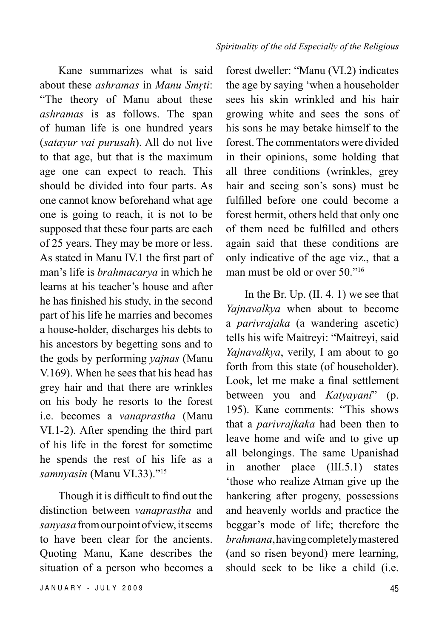Kane summarizes what is said about these *ashramas* in *Manu Smŗti*: "The theory of Manu about these *ashramas* is as follows. The span of human life is one hundred years (*satayur vai purusah*). All do not live to that age, but that is the maximum age one can expect to reach. This should be divided into four parts. As one cannot know beforehand what age one is going to reach, it is not to be supposed that these four parts are each of 25 years. They may be more or less. As stated in Manu IV.1 the first part of man's life is *brahmacarya* in which he learns at his teacher's house and after he has finished his study, in the second part of his life he marries and becomes a house-holder, discharges his debts to his ancestors by begetting sons and to the gods by performing *yajnas* (Manu V.169). When he sees that his head has grey hair and that there are wrinkles on his body he resorts to the forest i.e. becomes a *vanaprastha* (Manu VI.1-2). After spending the third part of his life in the forest for sometime he spends the rest of his life as a *samnyasin* (Manu VI.33)."15

Though it is difficult to find out the distinction between *vanaprastha* and *sanyasa* from our point of view, it seems to have been clear for the ancients. Quoting Manu, Kane describes the situation of a person who becomes a

forest dweller: "Manu (VI.2) indicates the age by saying 'when a householder sees his skin wrinkled and his hair growing white and sees the sons of his sons he may betake himself to the forest. The commentators were divided in their opinions, some holding that all three conditions (wrinkles, grey hair and seeing son's sons) must be fulfilled before one could become a forest hermit, others held that only one of them need be fulfilled and others again said that these conditions are only indicative of the age viz., that a man must be old or over 50<sup>"16</sup>

In the Br. Up. (II. 4. 1) we see that *Yajnavalkya* when about to become a *parivrajaka* (a wandering ascetic) tells his wife Maitreyi: "Maitreyi, said *Yajnavalkya*, verily, I am about to go forth from this state (of householder). Look, let me make a final settlement between you and *Katyayani*" (p. 195). Kane comments: "This shows that a *parivrajkaka* had been then to leave home and wife and to give up all belongings. The same Upanishad in another place (III.5.1) states 'those who realize Atman give up the hankering after progeny, possessions and heavenly worlds and practice the beggar's mode of life; therefore the *brahmana*, having completely mastered (and so risen beyond) mere learning, should seek to be like a child (i.e.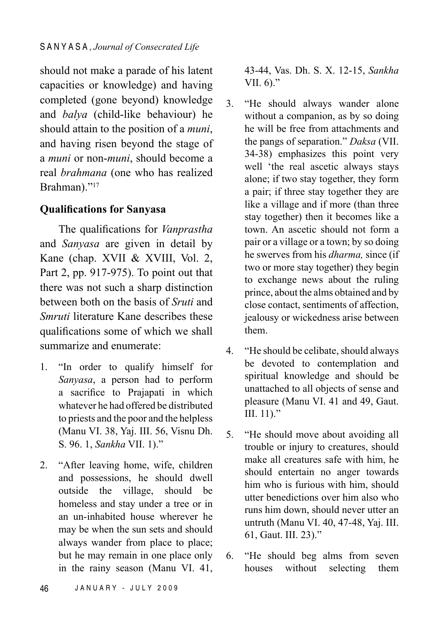should not make a parade of his latent capacities or knowledge) and having completed (gone beyond) knowledge and *balya* (child-like behaviour) he should attain to the position of a *muni*, and having risen beyond the stage of a *muni* or non-*muni*, should become a real *brahmana* (one who has realized Brahman)."17

# **Qualifications for Sanyasa**

The qualifications for *Vanprastha* and *Sanyasa* are given in detail by Kane (chap. XVII & XVIII, Vol. 2, Part 2, pp. 917-975). To point out that there was not such a sharp distinction between both on the basis of *Sruti* and *Smruti* literature Kane describes these qualifications some of which we shall summarize and enumerate:

- 1. "In order to qualify himself for *Sanyasa*, a person had to perform a sacrifice to Prajapati in which whatever he had offered be distributed to priests and the poor and the helpless (Manu VI. 38, Yaj. III. 56, Visnu Dh. S. 96. 1, *Sankha* VII. 1)."
- 2. "After leaving home, wife, children and possessions, he should dwell outside the village, should be homeless and stay under a tree or in an un-inhabited house wherever he may be when the sun sets and should always wander from place to place; but he may remain in one place only in the rainy season (Manu VI. 41,

43-44, Vas. Dh. S. X. 12-15, *Sankha* VII. 6)."

- 3. "He should always wander alone without a companion, as by so doing he will be free from attachments and the pangs of separation." *Daksa* (VII. 34-38) emphasizes this point very well 'the real ascetic always stays alone; if two stay together, they form a pair; if three stay together they are like a village and if more (than three stay together) then it becomes like a town. An ascetic should not form a pair or a village or a town; by so doing he swerves from his *dharma,* since (if two or more stay together) they begin to exchange news about the ruling prince, about the alms obtained and by close contact, sentiments of affection, jealousy or wickedness arise between them.
- 4. "He should be celibate, should always be devoted to contemplation and spiritual knowledge and should be unattached to all objects of sense and pleasure (Manu VI. 41 and 49, Gaut. III. 11)."
- 5. "He should move about avoiding all trouble or injury to creatures, should make all creatures safe with him, he should entertain no anger towards him who is furious with him, should utter benedictions over him also who runs him down, should never utter an untruth (Manu VI. 40, 47-48, Yaj. III. 61, Gaut. III. 23)."
- 6. "He should beg alms from seven houses without selecting them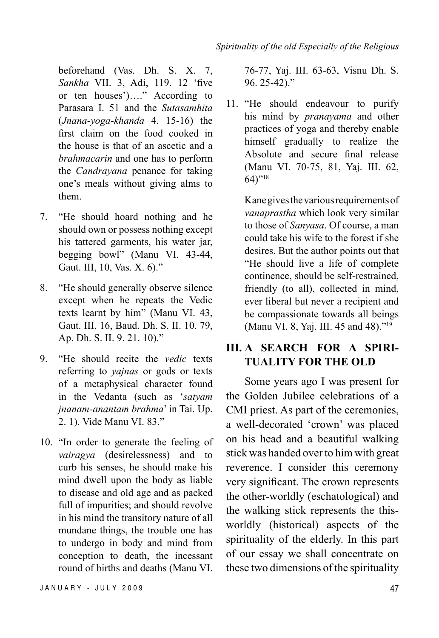beforehand (Vas. Dh. S. X. 7, *Sankha* VII. 3, Adi, 119. 12 'five or ten houses')…." According to Parasara I. 51 and the *Sutasamhita* (*Jnana-yoga-khanda* 4. 15-16) the first claim on the food cooked in the house is that of an ascetic and a *brahmacarin* and one has to perform the *Candrayana* penance for taking one's meals without giving alms to them.

- 7. "He should hoard nothing and he should own or possess nothing except his tattered garments, his water jar, begging bowl" (Manu VI. 43-44, Gaut. III, 10, Vas. X. 6)."
- 8. "He should generally observe silence except when he repeats the Vedic texts learnt by him" (Manu VI. 43, Gaut. III. 16, Baud. Dh. S. II. 10. 79, Ap. Dh. S. II. 9. 21. 10)."
- 9. "He should recite the *vedic* texts referring to *yajnas* or gods or texts of a metaphysical character found in the Vedanta (such as '*satyam jnanam-anantam brahma*' in Tai. Up. 2. 1). Vide Manu VI. 83."
- 10. "In order to generate the feeling of *vairagya* (desirelessness) and to curb his senses, he should make his mind dwell upon the body as liable to disease and old age and as packed full of impurities; and should revolve in his mind the transitory nature of all mundane things, the trouble one has to undergo in body and mind from conception to death, the incessant round of births and deaths (Manu VI.

76-77, Yaj. III. 63-63, Visnu Dh. S. 96. 25-42)."

11. "He should endeavour to purify his mind by *pranayama* and other practices of yoga and thereby enable himself gradually to realize the Absolute and secure final release (Manu VI. 70-75, 81, Yaj. III. 62, 64)"18

Kane gives the various requirements of *vanaprastha* which look very similar to those of *Sanyasa*. Of course, a man could take his wife to the forest if she desires. But the author points out that "He should live a life of complete continence, should be self-restrained, friendly (to all), collected in mind, ever liberal but never a recipient and be compassionate towards all beings (Manu VI. 8, Yaj. III. 45 and 48)."19

## **III. A SEARCH FOR A SPIRI-TUALITY FOR THE OLD**

Some years ago I was present for the Golden Jubilee celebrations of a CMI priest. As part of the ceremonies, a well-decorated 'crown' was placed on his head and a beautiful walking stick was handed over to him with great reverence. I consider this ceremony very significant. The crown represents the other-worldly (eschatological) and the walking stick represents the thisworldly (historical) aspects of the spirituality of the elderly. In this part of our essay we shall concentrate on these two dimensions of the spirituality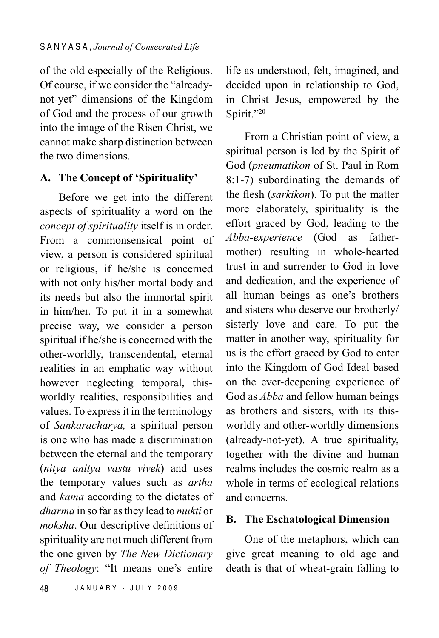of the old especially of the Religious. Of course, if we consider the "alreadynot-yet" dimensions of the Kingdom of God and the process of our growth into the image of the Risen Christ, we cannot make sharp distinction between the two dimensions.

## **A. The Concept of 'Spirituality'**

Before we get into the different aspects of spirituality a word on the *concept of spirituality* itself is in order. From a commonsensical point of view, a person is considered spiritual or religious, if he/she is concerned with not only his/her mortal body and its needs but also the immortal spirit in him/her. To put it in a somewhat precise way, we consider a person spiritual if he/she is concerned with the other-worldly, transcendental, eternal realities in an emphatic way without however neglecting temporal, thisworldly realities, responsibilities and values. To express it in the terminology of *Sankaracharya,* a spiritual person is one who has made a discrimination between the eternal and the temporary (*nitya anitya vastu vivek*) and uses the temporary values such as *artha* and *kama* according to the dictates of *dharma* in so far as they lead to *mukti* or *moksha*. Our descriptive definitions of spirituality are not much different from the one given by *The New Dictionary of Theology*: "It means one's entire

life as understood, felt, imagined, and decided upon in relationship to God, in Christ Jesus, empowered by the Spirit."20

From a Christian point of view, a spiritual person is led by the Spirit of God (*pneumatikon* of St. Paul in Rom 8:1-7) subordinating the demands of the flesh (*sarkikon*). To put the matter more elaborately, spirituality is the effort graced by God, leading to the *Abba-experience* (God as fathermother) resulting in whole-hearted trust in and surrender to God in love and dedication, and the experience of all human beings as one's brothers and sisters who deserve our brotherly/ sisterly love and care. To put the matter in another way, spirituality for us is the effort graced by God to enter into the Kingdom of God Ideal based on the ever-deepening experience of God as *Abba* and fellow human beings as brothers and sisters, with its thisworldly and other-worldly dimensions (already-not-yet). A true spirituality, together with the divine and human realms includes the cosmic realm as a whole in terms of ecological relations and concerns.

#### **B. The Eschatological Dimension**

One of the metaphors, which can give great meaning to old age and death is that of wheat-grain falling to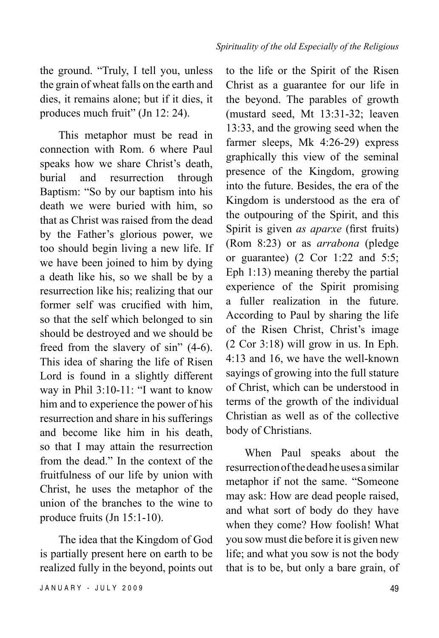the ground. "Truly, I tell you, unless the grain of wheat falls on the earth and dies, it remains alone; but if it dies, it produces much fruit" (Jn 12: 24).

This metaphor must be read in connection with Rom. 6 where Paul speaks how we share Christ's death, burial and resurrection through Baptism: "So by our baptism into his death we were buried with him, so that as Christ was raised from the dead by the Father's glorious power, we too should begin living a new life. If we have been joined to him by dying a death like his, so we shall be by a resurrection like his; realizing that our former self was crucified with him, so that the self which belonged to sin should be destroyed and we should be freed from the slavery of sin" (4-6). This idea of sharing the life of Risen Lord is found in a slightly different way in Phil 3:10-11: "I want to know him and to experience the power of his resurrection and share in his sufferings and become like him in his death, so that I may attain the resurrection from the dead." In the context of the fruitfulness of our life by union with Christ, he uses the metaphor of the union of the branches to the wine to produce fruits (Jn 15:1-10).

The idea that the Kingdom of God is partially present here on earth to be realized fully in the beyond, points out

JANUARY - JULY 2009 49

to the life or the Spirit of the Risen Christ as a guarantee for our life in the beyond. The parables of growth (mustard seed, Mt 13:31-32; leaven 13:33, and the growing seed when the farmer sleeps, Mk 4:26-29) express graphically this view of the seminal presence of the Kingdom, growing into the future. Besides, the era of the Kingdom is understood as the era of the outpouring of the Spirit, and this Spirit is given *as aparxe* (first fruits) (Rom 8:23) or as *arrabona* (pledge or guarantee) (2 Cor 1:22 and 5:5; Eph 1:13) meaning thereby the partial experience of the Spirit promising a fuller realization in the future. According to Paul by sharing the life of the Risen Christ, Christ's image (2 Cor 3:18) will grow in us. In Eph. 4:13 and 16, we have the well-known sayings of growing into the full stature of Christ, which can be understood in terms of the growth of the individual Christian as well as of the collective body of Christians.

When Paul speaks about the resurrection of the dead he uses a similar metaphor if not the same. "Someone may ask: How are dead people raised, and what sort of body do they have when they come? How foolish! What you sow must die before it is given new life; and what you sow is not the body that is to be, but only a bare grain, of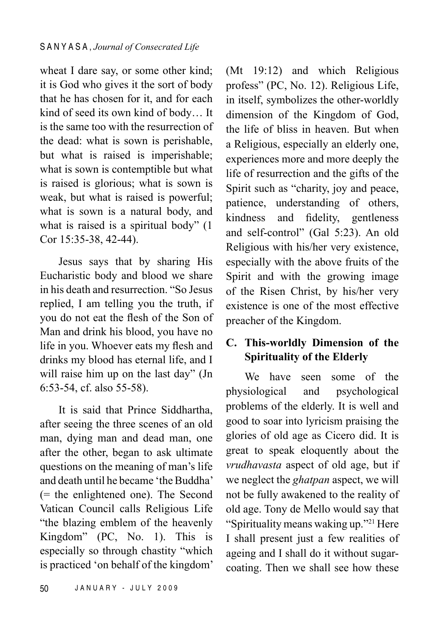wheat I dare say, or some other kind; it is God who gives it the sort of body that he has chosen for it, and for each kind of seed its own kind of body… It is the same too with the resurrection of the dead: what is sown is perishable, but what is raised is imperishable; what is sown is contemptible but what is raised is glorious; what is sown is weak, but what is raised is powerful; what is sown is a natural body, and what is raised is a spiritual body" (1 Cor 15:35-38, 42-44).

Jesus says that by sharing His Eucharistic body and blood we share in his death and resurrection. "So Jesus replied, I am telling you the truth, if you do not eat the flesh of the Son of Man and drink his blood, you have no life in you. Whoever eats my flesh and drinks my blood has eternal life, and I will raise him up on the last day" (Jn 6:53-54, cf. also 55-58).

It is said that Prince Siddhartha, after seeing the three scenes of an old man, dying man and dead man, one after the other, began to ask ultimate questions on the meaning of man's life and death until he became 'the Buddha' (= the enlightened one). The Second Vatican Council calls Religious Life "the blazing emblem of the heavenly Kingdom" (PC, No. 1). This is especially so through chastity "which is practiced 'on behalf of the kingdom'

(Mt 19:12) and which Religious profess" (PC, No. 12). Religious Life, in itself, symbolizes the other-worldly dimension of the Kingdom of God, the life of bliss in heaven. But when a Religious, especially an elderly one, experiences more and more deeply the life of resurrection and the gifts of the Spirit such as "charity, joy and peace, patience, understanding of others, kindness and fidelity, gentleness and self-control" (Gal 5:23). An old Religious with his/her very existence, especially with the above fruits of the Spirit and with the growing image of the Risen Christ, by his/her very existence is one of the most effective preacher of the Kingdom.

# **C. This-worldly Dimension of the Spirituality of the Elderly**

We have seen some of the physiological and psychological problems of the elderly. It is well and good to soar into lyricism praising the glories of old age as Cicero did. It is great to speak eloquently about the *vrudhavasta* aspect of old age, but if we neglect the *ghatpan* aspect, we will not be fully awakened to the reality of old age. Tony de Mello would say that "Spirituality means waking up."21 Here I shall present just a few realities of ageing and I shall do it without sugarcoating. Then we shall see how these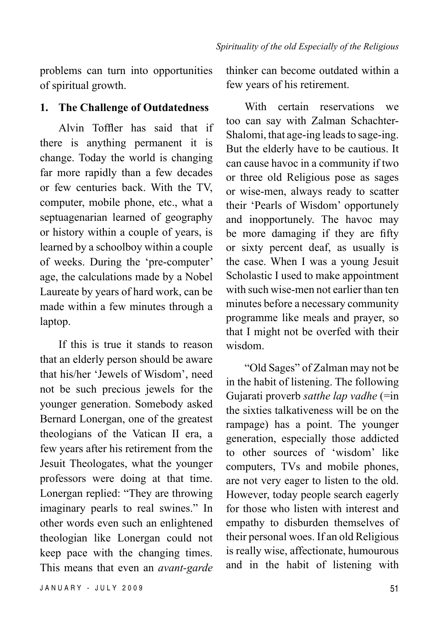problems can turn into opportunities of spiritual growth.

### **1. The Challenge of Outdatedness**

Alvin Toffler has said that if there is anything permanent it is change. Today the world is changing far more rapidly than a few decades or few centuries back. With the TV, computer, mobile phone, etc., what a septuagenarian learned of geography or history within a couple of years, is learned by a schoolboy within a couple of weeks. During the 'pre-computer' age, the calculations made by a Nobel Laureate by years of hard work, can be made within a few minutes through a laptop.

If this is true it stands to reason that an elderly person should be aware that his/her 'Jewels of Wisdom', need not be such precious jewels for the younger generation. Somebody asked Bernard Lonergan, one of the greatest theologians of the Vatican II era, a few years after his retirement from the Jesuit Theologates, what the younger professors were doing at that time. Lonergan replied: "They are throwing imaginary pearls to real swines." In other words even such an enlightened theologian like Lonergan could not keep pace with the changing times. This means that even an *avant-garde*

thinker can become outdated within a few years of his retirement.

With certain reservations we too can say with Zalman Schachter-Shalomi, that age-ing leads to sage-ing. But the elderly have to be cautious. It can cause havoc in a community if two or three old Religious pose as sages or wise-men, always ready to scatter their 'Pearls of Wisdom' opportunely and inopportunely. The havoc may be more damaging if they are fifty or sixty percent deaf, as usually is the case. When I was a young Jesuit Scholastic I used to make appointment with such wise-men not earlier than ten minutes before a necessary community programme like meals and prayer, so that I might not be overfed with their wisdom.

"Old Sages" of Zalman may not be in the habit of listening. The following Gujarati proverb *satthe lap vadhe* (=in the sixties talkativeness will be on the rampage) has a point. The younger generation, especially those addicted to other sources of 'wisdom' like computers, TVs and mobile phones, are not very eager to listen to the old. However, today people search eagerly for those who listen with interest and empathy to disburden themselves of their personal woes. If an old Religious is really wise, affectionate, humourous and in the habit of listening with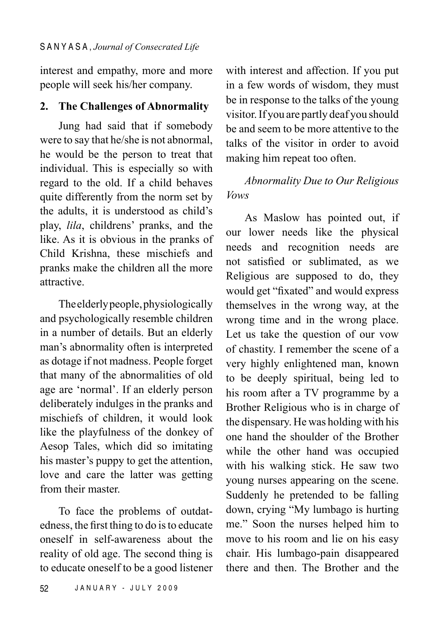interest and empathy, more and more people will seek his/her company.

## **2. The Challenges of Abnormality**

Jung had said that if somebody were to say that he/she is not abnormal, he would be the person to treat that individual. This is especially so with regard to the old. If a child behaves quite differently from the norm set by the adults, it is understood as child's play, *lila*, childrens' pranks, and the like. As it is obvious in the pranks of Child Krishna, these mischiefs and pranks make the children all the more attractive.

The elderly people, physiologically and psychologically resemble children in a number of details. But an elderly man's abnormality often is interpreted as dotage if not madness. People forget that many of the abnormalities of old age are 'normal'. If an elderly person deliberately indulges in the pranks and mischiefs of children, it would look like the playfulness of the donkey of Aesop Tales, which did so imitating his master's puppy to get the attention, love and care the latter was getting from their master.

To face the problems of outdatedness, the first thing to do is to educate oneself in self-awareness about the reality of old age. The second thing is to educate oneself to be a good listener with interest and affection. If you put in a few words of wisdom, they must be in response to the talks of the young visitor. If you are partly deaf you should be and seem to be more attentive to the talks of the visitor in order to avoid making him repeat too often.

# *Abnormality Due to Our Religious Vows*

As Maslow has pointed out, if our lower needs like the physical needs and recognition needs are not satisfied or sublimated, as we Religious are supposed to do, they would get "fixated" and would express themselves in the wrong way, at the wrong time and in the wrong place. Let us take the question of our vow of chastity. I remember the scene of a very highly enlightened man, known to be deeply spiritual, being led to his room after a TV programme by a Brother Religious who is in charge of the dispensary. He was holding with his one hand the shoulder of the Brother while the other hand was occupied with his walking stick. He saw two young nurses appearing on the scene. Suddenly he pretended to be falling down, crying "My lumbago is hurting me." Soon the nurses helped him to move to his room and lie on his easy chair. His lumbago-pain disappeared there and then. The Brother and the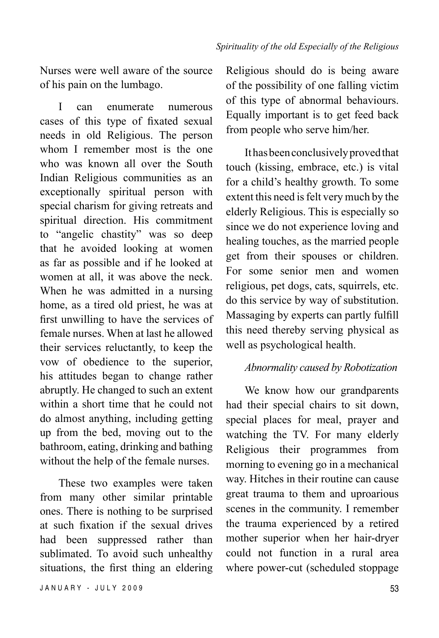Nurses were well aware of the source of his pain on the lumbago.

I can enumerate numerous cases of this type of fixated sexual needs in old Religious. The person whom I remember most is the one who was known all over the South Indian Religious communities as an exceptionally spiritual person with special charism for giving retreats and spiritual direction. His commitment to "angelic chastity" was so deep that he avoided looking at women as far as possible and if he looked at women at all, it was above the neck. When he was admitted in a nursing home, as a tired old priest, he was at first unwilling to have the services of female nurses. When at last he allowed their services reluctantly, to keep the vow of obedience to the superior, his attitudes began to change rather abruptly. He changed to such an extent within a short time that he could not do almost anything, including getting up from the bed, moving out to the bathroom, eating, drinking and bathing without the help of the female nurses.

These two examples were taken from many other similar printable ones. There is nothing to be surprised at such fixation if the sexual drives had been suppressed rather than sublimated. To avoid such unhealthy situations, the first thing an eldering Religious should do is being aware of the possibility of one falling victim of this type of abnormal behaviours. Equally important is to get feed back from people who serve him/her.

It has been conclusively proved that touch (kissing, embrace, etc.) is vital for a child's healthy growth. To some extent this need is felt very much by the elderly Religious. This is especially so since we do not experience loving and healing touches, as the married people get from their spouses or children. For some senior men and women religious, pet dogs, cats, squirrels, etc. do this service by way of substitution. Massaging by experts can partly fulfill this need thereby serving physical as well as psychological health.

## *Abnormality caused by Robotization*

We know how our grandparents had their special chairs to sit down, special places for meal, prayer and watching the TV. For many elderly Religious their programmes from morning to evening go in a mechanical way. Hitches in their routine can cause great trauma to them and uproarious scenes in the community. I remember the trauma experienced by a retired mother superior when her hair-dryer could not function in a rural area where power-cut (scheduled stoppage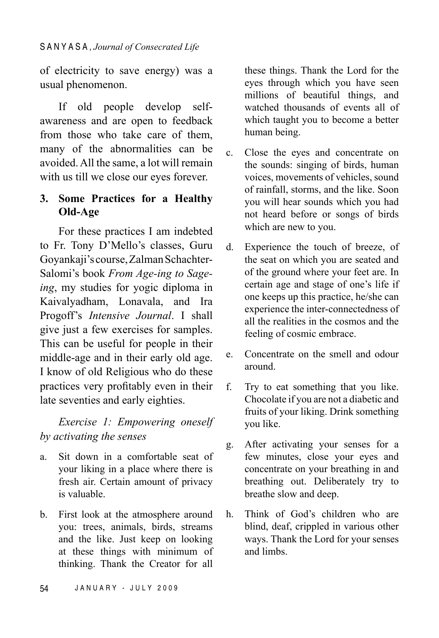of electricity to save energy) was a usual phenomenon.

If old people develop selfawareness and are open to feedback from those who take care of them, many of the abnormalities can be avoided. All the same, a lot will remain with us till we close our eyes forever.

# **3. Some Practices for a Healthy Old-Age**

For these practices I am indebted to Fr. Tony D'Mello's classes, Guru Goyankaji's course, Zalman Schachter-Salomi's book *From Age-ing to Sageing*, my studies for yogic diploma in Kaivalyadham, Lonavala, and Ira Progoff's *Intensive Journal*. I shall give just a few exercises for samples. This can be useful for people in their middle-age and in their early old age. I know of old Religious who do these practices very profitably even in their late seventies and early eighties.

# *Exercise 1: Empowering oneself by activating the senses*

- a. Sit down in a comfortable seat of your liking in a place where there is fresh air. Certain amount of privacy is valuable.
- b. First look at the atmosphere around you: trees, animals, birds, streams and the like. Just keep on looking at these things with minimum of thinking. Thank the Creator for all

these things. Thank the Lord for the eyes through which you have seen millions of beautiful things, and watched thousands of events all of which taught you to become a better human being.

- c. Close the eyes and concentrate on the sounds: singing of birds, human voices, movements of vehicles, sound of rainfall, storms, and the like. Soon you will hear sounds which you had not heard before or songs of birds which are new to you.
- d. Experience the touch of breeze, of the seat on which you are seated and of the ground where your feet are. In certain age and stage of one's life if one keeps up this practice, he/she can experience the inter-connectedness of all the realities in the cosmos and the feeling of cosmic embrace.
- e. Concentrate on the smell and odour around.
- f. Try to eat something that you like. Chocolate if you are not a diabetic and fruits of your liking. Drink something you like.
- g. After activating your senses for a few minutes, close your eyes and concentrate on your breathing in and breathing out. Deliberately try to breathe slow and deep.
- h. Think of God's children who are blind, deaf, crippled in various other ways. Thank the Lord for your senses and limbs.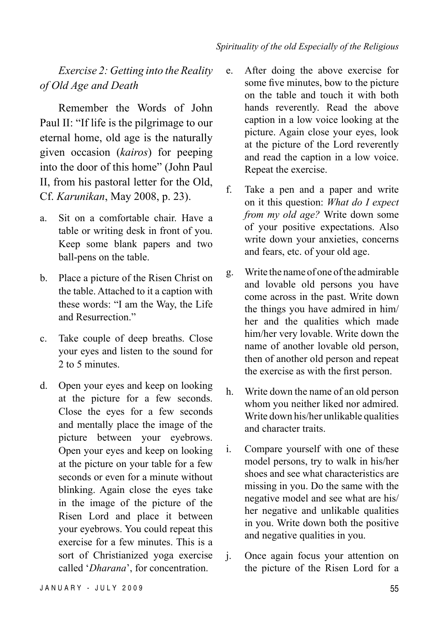*Exercise 2: Getting into the Reality of Old Age and Death*

Remember the Words of John Paul II: "If life is the pilgrimage to our eternal home, old age is the naturally given occasion (*kairos*) for peeping into the door of this home" (John Paul II, from his pastoral letter for the Old, Cf. *Karunikan*, May 2008, p. 23).

- a. Sit on a comfortable chair. Have a table or writing desk in front of you. Keep some blank papers and two ball-pens on the table.
- b. Place a picture of the Risen Christ on the table. Attached to it a caption with these words: "I am the Way, the Life and Resurrection"
- c. Take couple of deep breaths. Close your eyes and listen to the sound for 2 to 5 minutes.
- d. Open your eyes and keep on looking at the picture for a few seconds. Close the eyes for a few seconds and mentally place the image of the picture between your eyebrows. Open your eyes and keep on looking at the picture on your table for a few seconds or even for a minute without blinking. Again close the eyes take in the image of the picture of the Risen Lord and place it between your eyebrows. You could repeat this exercise for a few minutes. This is a sort of Christianized yoga exercise called '*Dharana*', for concentration.
- e. After doing the above exercise for some five minutes, bow to the picture on the table and touch it with both hands reverently. Read the above caption in a low voice looking at the picture. Again close your eyes, look at the picture of the Lord reverently and read the caption in a low voice. Repeat the exercise.
- f. Take a pen and a paper and write on it this question: *What do I expect from my old age?* Write down some of your positive expectations. Also write down your anxieties, concerns and fears, etc. of your old age.
- g. Write the name of one of the admirable and lovable old persons you have come across in the past. Write down the things you have admired in him/ her and the qualities which made him/her very lovable. Write down the name of another lovable old person, then of another old person and repeat the exercise as with the first person.
- h. Write down the name of an old person whom you neither liked nor admired. Write down his/her unlikable qualities and character traits.
- i. Compare yourself with one of these model persons, try to walk in his/her shoes and see what characteristics are missing in you. Do the same with the negative model and see what are his/ her negative and unlikable qualities in you. Write down both the positive and negative qualities in you.
- j. Once again focus your attention on the picture of the Risen Lord for a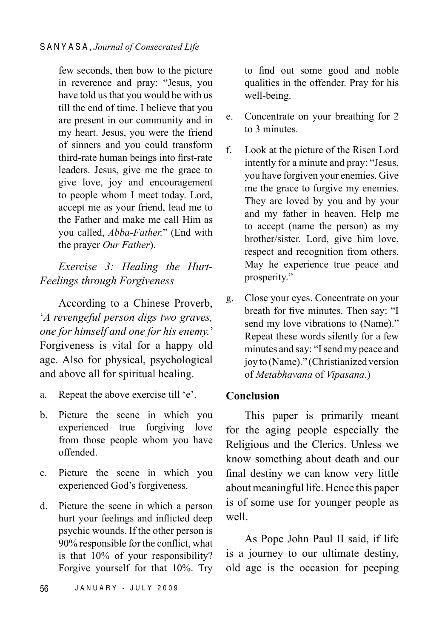few seconds, then bow to the picture in reverence and pray: "Jesus, you have told us that you would be with us till the end of time. I believe that you are present in our community and in my heart. Jesus, you were the friend of sinners and you could transform third-rate human beings into first-rate leaders. Jesus, give me the grace to give love, joy and encouragement to people whom I meet today. Lord, accept me as your friend, lead me to the Father and make me call Him as you called, *Abba-Father.*" (End with the prayer *Our Father*).

*Exercise 3: Healing the Hurt-Feelings through Forgiveness* 

According to a Chinese Proverb, '*A revengeful person digs two graves, one for himself and one for his enemy.*' Forgiveness is vital for a happy old age. Also for physical, psychological and above all for spiritual healing.

- a. Repeat the above exercise till 'e'.
- b. Picture the scene in which you experienced true forgiving love from those people whom you have offended.
- c. Picture the scene in which you experienced God's forgiveness.
- d. Picture the scene in which a person hurt your feelings and inflicted deep psychic wounds. If the other person is 90% responsible for the conflict, what is that 10% of your responsibility? Forgive yourself for that 10%. Try

to find out some good and noble qualities in the offender. Pray for his well-being.

- e. Concentrate on your breathing for 2 to 3 minutes.
- f. Look at the picture of the Risen Lord intently for a minute and pray: "Jesus, you have forgiven your enemies. Give me the grace to forgive my enemies. They are loved by you and by your and my father in heaven. Help me to accept (name the person) as my brother/sister. Lord, give him love, respect and recognition from others. May he experience true peace and prosperity."
- g. Close your eyes. Concentrate on your breath for five minutes. Then say: "I send my love vibrations to (Name)." Repeat these words silently for a few minutes and say: "I send my peace and joy to (Name)." (Christianized version of *Metabhavana* of *Vipasana*.)

## **Conclusion**

This paper is primarily meant for the aging people especially the Religious and the Clerics. Unless we know something about death and our final destiny we can know very little about meaningful life. Hence this paper is of some use for younger people as well.

As Pope John Paul II said, if life is a journey to our ultimate destiny, old age is the occasion for peeping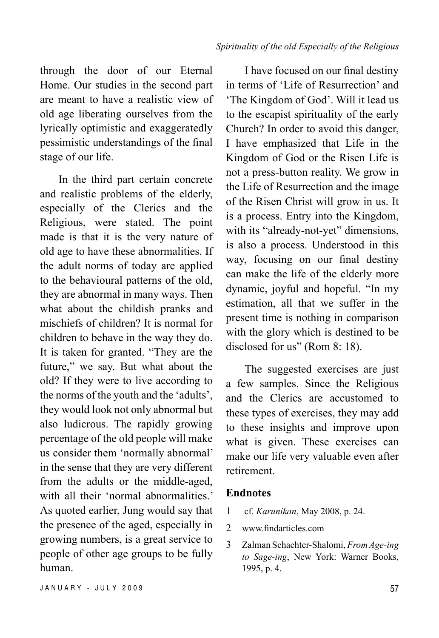through the door of our Eternal Home. Our studies in the second part are meant to have a realistic view of old age liberating ourselves from the lyrically optimistic and exaggeratedly pessimistic understandings of the final stage of our life.

In the third part certain concrete and realistic problems of the elderly, especially of the Clerics and the Religious, were stated. The point made is that it is the very nature of old age to have these abnormalities. If the adult norms of today are applied to the behavioural patterns of the old, they are abnormal in many ways. Then what about the childish pranks and mischiefs of children? It is normal for children to behave in the way they do. It is taken for granted. "They are the future," we say. But what about the old? If they were to live according to the norms of the youth and the 'adults', they would look not only abnormal but also ludicrous. The rapidly growing percentage of the old people will make us consider them 'normally abnormal' in the sense that they are very different from the adults or the middle-aged, with all their 'normal abnormalities' As quoted earlier, Jung would say that the presence of the aged, especially in growing numbers, is a great service to people of other age groups to be fully human.

I have focused on our final destiny in terms of 'Life of Resurrection' and 'The Kingdom of God'. Will it lead us to the escapist spirituality of the early Church? In order to avoid this danger, I have emphasized that Life in the Kingdom of God or the Risen Life is not a press-button reality. We grow in the Life of Resurrection and the image of the Risen Christ will grow in us. It is a process. Entry into the Kingdom, with its "already-not-yet" dimensions, is also a process. Understood in this way, focusing on our final destiny can make the life of the elderly more dynamic, joyful and hopeful. "In my estimation, all that we suffer in the present time is nothing in comparison with the glory which is destined to be disclosed for us" (Rom 8: 18).

The suggested exercises are just a few samples. Since the Religious and the Clerics are accustomed to these types of exercises, they may add to these insights and improve upon what is given. These exercises can make our life very valuable even after retirement.

#### **Endnotes**

- 1 cf. *Karunikan*, May 2008, p. 24.
- 2 www.findarticles.com
- 3 Zalman Schachter-Shalomi, *From Age-ing to Sage-ing*, New York: Warner Books, 1995, p. 4.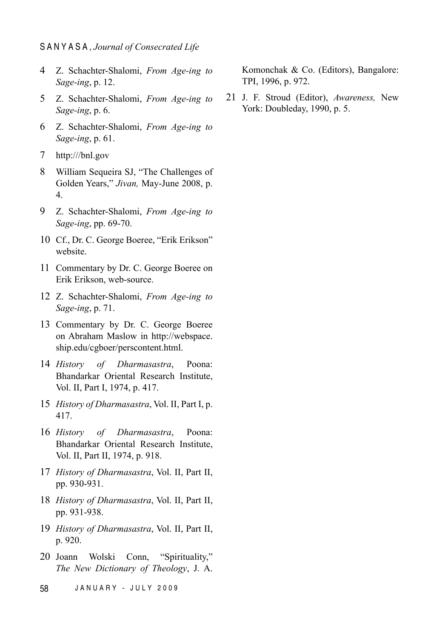- 4 Z. Schachter-Shalomi, *From Age-ing to Sage-ing*, p. 12.
- 5 Z. Schachter-Shalomi, *From Age-ing to Sage-ing*, p. 6.
- 6 Z. Schachter-Shalomi, *From Age-ing to Sage-ing*, p. 61.
- 7 http:///bnl.gov
- 8 William Sequeira SJ, "The Challenges of Golden Years," *Jivan,* May-June 2008, p. 4.
- 9 Z. Schachter-Shalomi, *From Age-ing to Sage-ing*, pp. 69-70.
- 10 Cf., Dr. C. George Boeree, "Erik Erikson" website.
- 11 Commentary by Dr. C. George Boeree on Erik Erikson, web-source.
- 12 Z. Schachter-Shalomi, *From Age-ing to Sage-ing*, p. 71.
- 13 Commentary by Dr. C. George Boeree on Abraham Maslow in http://webspace. ship.edu/cgboer/perscontent.html.
- 14 *History of Dharmasastra*, Poona: Bhandarkar Oriental Research Institute, Vol. II, Part I, 1974, p. 417.
- 15 *History of Dharmasastra*, Vol. II, Part I, p. 417.
- 16 *History of Dharmasastra*, Poona: Bhandarkar Oriental Research Institute, Vol. II, Part II, 1974, p. 918.
- 17 *History of Dharmasastra*, Vol. II, Part II, pp. 930-931.
- 18 *History of Dharmasastra*, Vol. II, Part II, pp. 931-938.
- 19 *History of Dharmasastra*, Vol. II, Part II, p. 920.
- 20 Joann Wolski Conn, "Spirituality," *The New Dictionary of Theology*, J. A.
- 58 JANUARY JULY 2009

Komonchak & Co. (Editors), Bangalore: TPI, 1996, p. 972.

21 J. F. Stroud (Editor), *Awareness,* New York: Doubleday, 1990, p. 5.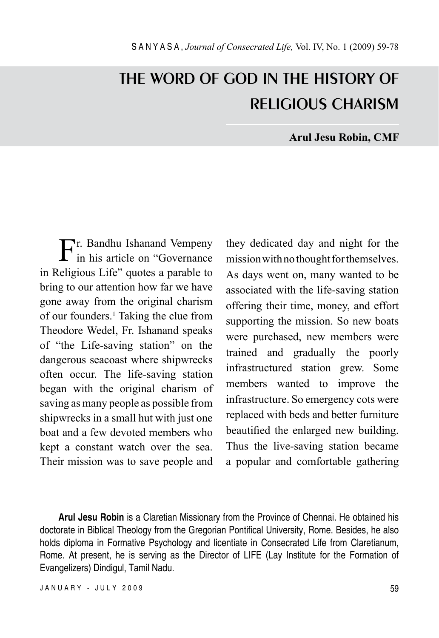# The Word of God in the History of Religious Charism

#### **Arul Jesu Robin, CMF**

Fr. Bandhu Ishanand Vempeny in his article on "Governance in Religious Life" quotes a parable to bring to our attention how far we have gone away from the original charism of our founders.<sup>1</sup> Taking the clue from Theodore Wedel, Fr. Ishanand speaks of "the Life-saving station" on the dangerous seacoast where shipwrecks often occur. The life-saving station began with the original charism of saving as many people as possible from shipwrecks in a small hut with just one boat and a few devoted members who kept a constant watch over the sea. Their mission was to save people and

they dedicated day and night for the mission with no thought for themselves. As days went on, many wanted to be associated with the life-saving station offering their time, money, and effort supporting the mission. So new boats were purchased, new members were trained and gradually the poorly infrastructured station grew. Some members wanted to improve the infrastructure. So emergency cots were replaced with beds and better furniture beautified the enlarged new building. Thus the live-saving station became a popular and comfortable gathering

**Arul Jesu Robin** is a Claretian Missionary from the Province of Chennai. He obtained his doctorate in Biblical Theology from the Gregorian Pontifical University, Rome. Besides, he also holds diploma in Formative Psychology and licentiate in Consecrated Life from Claretianum, Rome. At present, he is serving as the Director of LIFE (Lay Institute for the Formation of Evangelizers) Dindigul, Tamil Nadu.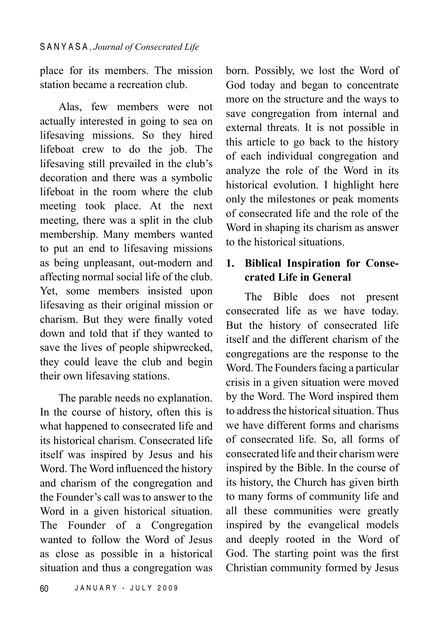place for its members. The mission station became a recreation club.

Alas, few members were not actually interested in going to sea on lifesaving missions. So they hired lifeboat crew to do the job. The lifesaving still prevailed in the club's decoration and there was a symbolic lifeboat in the room where the club meeting took place. At the next meeting, there was a split in the club membership. Many members wanted to put an end to lifesaving missions as being unpleasant, out-modern and affecting normal social life of the club. Yet, some members insisted upon lifesaving as their original mission or charism. But they were finally voted down and told that if they wanted to save the lives of people shipwrecked, they could leave the club and begin their own lifesaving stations.

The parable needs no explanation. In the course of history, often this is what happened to consecrated life and its historical charism. Consecrated life itself was inspired by Jesus and his Word. The Word influenced the history and charism of the congregation and the Founder's call was to answer to the Word in a given historical situation. The Founder of a Congregation wanted to follow the Word of Jesus as close as possible in a historical situation and thus a congregation was born. Possibly, we lost the Word of God today and began to concentrate more on the structure and the ways to save congregation from internal and external threats. It is not possible in this article to go back to the history of each individual congregation and analyze the role of the Word in its historical evolution. I highlight here only the milestones or peak moments of consecrated life and the role of the Word in shaping its charism as answer to the historical situations.

# **1. Biblical Inspiration for Consecrated Life in General**

The Bible does not present consecrated life as we have today. But the history of consecrated life itself and the different charism of the congregations are the response to the Word. The Founders facing a particular crisis in a given situation were moved by the Word. The Word inspired them to address the historical situation. Thus we have different forms and charisms of consecrated life. So, all forms of consecrated life and their charism were inspired by the Bible. In the course of its history, the Church has given birth to many forms of community life and all these communities were greatly inspired by the evangelical models and deeply rooted in the Word of God. The starting point was the first Christian community formed by Jesus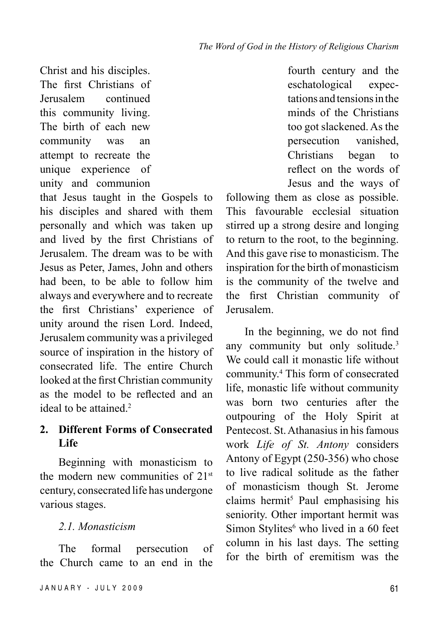Christ and his disciples. The first Christians of Jerusalem continued this community living. The birth of each new community was an attempt to recreate the unique experience of unity and communion

that Jesus taught in the Gospels to his disciples and shared with them personally and which was taken up and lived by the first Christians of Jerusalem. The dream was to be with Jesus as Peter, James, John and others had been, to be able to follow him always and everywhere and to recreate the first Christians' experience of unity around the risen Lord. Indeed, Jerusalem community was a privileged source of inspiration in the history of consecrated life. The entire Church looked at the first Christian community as the model to be reflected and an ideal to be attained. $2$ 

# **2. Different Forms of Consecrated Life**

Beginning with monasticism to the modern new communities of 21st century, consecrated life has undergone various stages.

## *2.1. Monasticism*

The formal persecution of the Church came to an end in the

fourth century and the eschatological expectations and tensions in the minds of the Christians too got slackened. As the persecution vanished, Christians began to reflect on the words of Jesus and the ways of

following them as close as possible. This favourable ecclesial situation stirred up a strong desire and longing to return to the root, to the beginning. And this gave rise to monasticism. The inspiration for the birth of monasticism is the community of the twelve and the first Christian community of Jerusalem.

In the beginning, we do not find any community but only solitude.<sup>3</sup> We could call it monastic life without community.4 This form of consecrated life, monastic life without community was born two centuries after the outpouring of the Holy Spirit at Pentecost. St. Athanasius in his famous work *Life of St. Antony* considers Antony of Egypt (250-356) who chose to live radical solitude as the father of monasticism though St. Jerome claims hermit<sup>5</sup> Paul emphasising his seniority. Other important hermit was Simon Stylites<sup>6</sup> who lived in a 60 feet column in his last days. The setting for the birth of eremitism was the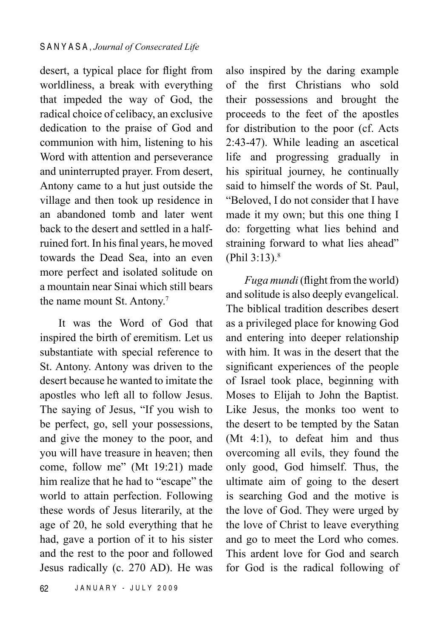desert, a typical place for flight from worldliness, a break with everything that impeded the way of God, the radical choice of celibacy, an exclusive dedication to the praise of God and communion with him, listening to his Word with attention and perseverance and uninterrupted prayer. From desert, Antony came to a hut just outside the village and then took up residence in an abandoned tomb and later went back to the desert and settled in a halfruined fort. In his final years, he moved towards the Dead Sea, into an even more perfect and isolated solitude on a mountain near Sinai which still bears the name mount St. Antony.7

It was the Word of God that inspired the birth of eremitism. Let us substantiate with special reference to St. Antony. Antony was driven to the desert because he wanted to imitate the apostles who left all to follow Jesus. The saying of Jesus, "If you wish to be perfect, go, sell your possessions, and give the money to the poor, and you will have treasure in heaven; then come, follow me" (Mt 19:21) made him realize that he had to "escape" the world to attain perfection. Following these words of Jesus literarily, at the age of 20, he sold everything that he had, gave a portion of it to his sister and the rest to the poor and followed Jesus radically (c. 270 AD). He was also inspired by the daring example of the first Christians who sold their possessions and brought the proceeds to the feet of the apostles for distribution to the poor (cf. Acts 2:43-47). While leading an ascetical life and progressing gradually in his spiritual journey, he continually said to himself the words of St. Paul, "Beloved, I do not consider that I have made it my own; but this one thing I do: forgetting what lies behind and straining forward to what lies ahead" (Phil 3:13).8

*Fuga mundi* (flight from the world) and solitude is also deeply evangelical. The biblical tradition describes desert as a privileged place for knowing God and entering into deeper relationship with him. It was in the desert that the significant experiences of the people of Israel took place, beginning with Moses to Elijah to John the Baptist. Like Jesus, the monks too went to the desert to be tempted by the Satan (Mt 4:1), to defeat him and thus overcoming all evils, they found the only good, God himself. Thus, the ultimate aim of going to the desert is searching God and the motive is the love of God. They were urged by the love of Christ to leave everything and go to meet the Lord who comes. This ardent love for God and search for God is the radical following of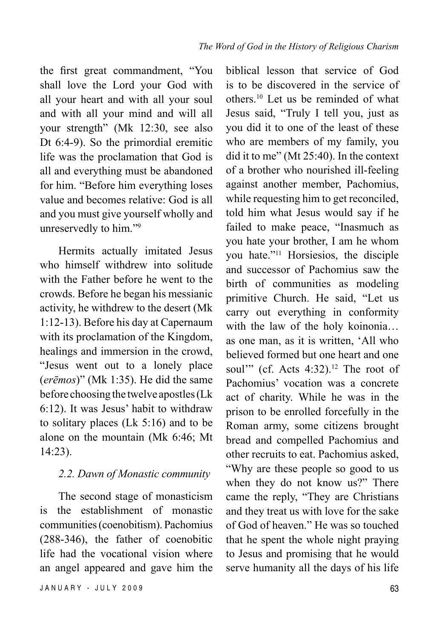the first great commandment, "You shall love the Lord your God with all your heart and with all your soul and with all your mind and will all your strength" (Mk 12:30, see also Dt 6:4-9). So the primordial eremitic life was the proclamation that God is all and everything must be abandoned for him. "Before him everything loses value and becomes relative: God is all and you must give yourself wholly and unreservedly to him."<sup>9</sup>

Hermits actually imitated Jesus who himself withdrew into solitude with the Father before he went to the crowds. Before he began his messianic activity, he withdrew to the desert (Mk 1:12-13). Before his day at Capernaum with its proclamation of the Kingdom, healings and immersion in the crowd, "Jesus went out to a lonely place (*erēmos*)" (Mk 1:35). He did the same before choosing the twelve apostles (Lk 6:12). It was Jesus' habit to withdraw to solitary places (Lk 5:16) and to be alone on the mountain (Mk 6:46; Mt 14:23).

## *2.2. Dawn of Monastic community*

The second stage of monasticism is the establishment of monastic communities (coenobitism). Pachomius (288-346), the father of coenobitic life had the vocational vision where an angel appeared and gave him the

JANUARY - JULY 2009 63

biblical lesson that service of God is to be discovered in the service of others.10 Let us be reminded of what Jesus said, "Truly I tell you, just as you did it to one of the least of these who are members of my family, you did it to me" (Mt 25:40). In the context of a brother who nourished ill-feeling against another member, Pachomius, while requesting him to get reconciled, told him what Jesus would say if he failed to make peace, "Inasmuch as you hate your brother, I am he whom you hate."11 Horsiesios, the disciple and successor of Pachomius saw the birth of communities as modeling primitive Church. He said, "Let us carry out everything in conformity with the law of the holy koinonia... as one man, as it is written, 'All who believed formed but one heart and one soul'" (cf. Acts  $4:32$ ).<sup>12</sup> The root of Pachomius' vocation was a concrete act of charity. While he was in the prison to be enrolled forcefully in the Roman army, some citizens brought bread and compelled Pachomius and other recruits to eat. Pachomius asked, "Why are these people so good to us when they do not know us?" There came the reply, "They are Christians and they treat us with love for the sake of God of heaven." He was so touched that he spent the whole night praying to Jesus and promising that he would serve humanity all the days of his life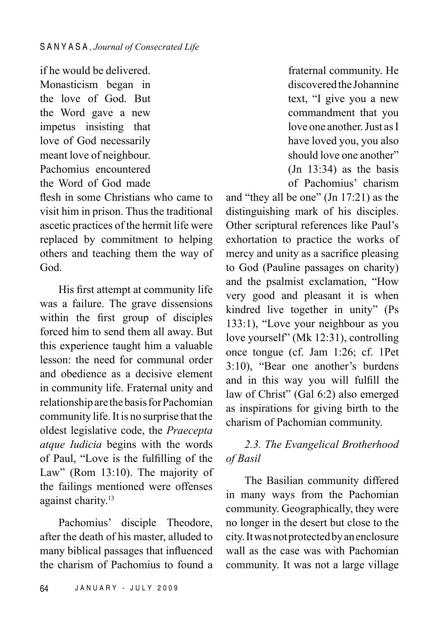if he would be delivered. Monasticism began in the love of God. But the Word gave a new impetus insisting that love of God necessarily meant love of neighbour. Pachomius encountered the Word of God made

flesh in some Christians who came to visit him in prison. Thus the traditional ascetic practices of the hermit life were replaced by commitment to helping others and teaching them the way of God.

His first attempt at community life was a failure. The grave dissensions within the first group of disciples forced him to send them all away. But this experience taught him a valuable lesson: the need for communal order and obedience as a decisive element in community life. Fraternal unity and relationship are the basis for Pachomian community life. It is no surprise that the oldest legislative code, the *Praecepta atque Iudicia* begins with the words of Paul, "Love is the fulfilling of the Law" (Rom 13:10). The majority of the failings mentioned were offenses against charity.<sup>13</sup>

Pachomius' disciple Theodore, after the death of his master, alluded to many biblical passages that influenced the charism of Pachomius to found a

and in this way you will fulfill the law of Christ" (Gal 6:2) also emerged as inspirations for giving birth to the charism of Pachomian community.

# *2.3. The Evangelical Brotherhood of Basil*

The Basilian community differed in many ways from the Pachomian community. Geographically, they were no longer in the desert but close to the city. It was not protected by an enclosure wall as the case was with Pachomian community. It was not a large village

fraternal community. He discovered the Johannine text, "I give you a new commandment that you love one another. Just as I have loved you, you also should love one another"  $(In 13:34)$  as the basis of Pachomius' charism and "they all be one" (Jn 17:21) as the

distinguishing mark of his disciples. Other scriptural references like Paul's exhortation to practice the works of mercy and unity as a sacrifice pleasing to God (Pauline passages on charity) and the psalmist exclamation, "How very good and pleasant it is when kindred live together in unity" (Ps 133:1), "Love your neighbour as you love yourself" (Mk 12:31), controlling once tongue (cf. Jam 1:26; cf. 1Pet 3:10), "Bear one another's burdens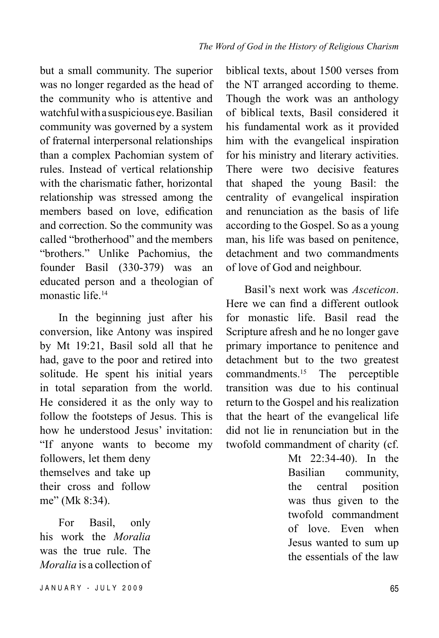but a small community. The superior was no longer regarded as the head of the community who is attentive and watchful with a suspicious eye. Basilian community was governed by a system of fraternal interpersonal relationships than a complex Pachomian system of rules. Instead of vertical relationship with the charismatic father, horizontal relationship was stressed among the members based on love, edification and correction. So the community was called "brotherhood" and the members "brothers." Unlike Pachomius, the founder Basil (330-379) was an educated person and a theologian of monastic life.<sup>14</sup>

In the beginning just after his conversion, like Antony was inspired by Mt 19:21, Basil sold all that he had, gave to the poor and retired into solitude. He spent his initial years in total separation from the world. He considered it as the only way to follow the footsteps of Jesus. This is how he understood Jesus' invitation: "If anyone wants to become my followers, let them deny themselves and take up their cross and follow me" (Mk 8:34).

For Basil, only his work the *Moralia* was the true rule. The *Moralia* is a collection of biblical texts, about 1500 verses from the NT arranged according to theme. Though the work was an anthology of biblical texts, Basil considered it his fundamental work as it provided him with the evangelical inspiration for his ministry and literary activities. There were two decisive features that shaped the young Basil: the centrality of evangelical inspiration and renunciation as the basis of life according to the Gospel. So as a young man, his life was based on penitence, detachment and two commandments of love of God and neighbour.

Basil's next work was *Asceticon*. Here we can find a different outlook for monastic life. Basil read the Scripture afresh and he no longer gave primary importance to penitence and detachment but to the two greatest commandments.15 The perceptible transition was due to his continual return to the Gospel and his realization that the heart of the evangelical life did not lie in renunciation but in the twofold commandment of charity (cf.

> Mt 22:34-40). In the Basilian community, the central position was thus given to the twofold commandment of love. Even when Jesus wanted to sum up the essentials of the law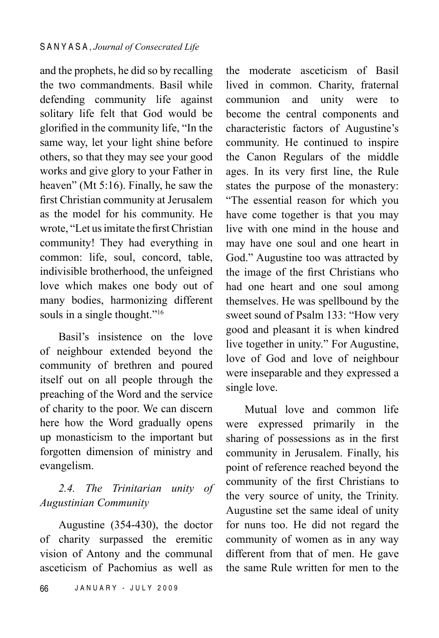and the prophets, he did so by recalling the two commandments. Basil while defending community life against solitary life felt that God would be glorified in the community life, "In the same way, let your light shine before others, so that they may see your good works and give glory to your Father in heaven" (Mt 5:16). Finally, he saw the first Christian community at Jerusalem as the model for his community. He wrote, "Let us imitate the first Christian community! They had everything in common: life, soul, concord, table, indivisible brotherhood, the unfeigned love which makes one body out of many bodies, harmonizing different souls in a single thought."<sup>16</sup>

Basil's insistence on the love of neighbour extended beyond the community of brethren and poured itself out on all people through the preaching of the Word and the service of charity to the poor. We can discern here how the Word gradually opens up monasticism to the important but forgotten dimension of ministry and evangelism.

*2.4. The Trinitarian unity of Augustinian Community* 

Augustine (354-430), the doctor of charity surpassed the eremitic vision of Antony and the communal asceticism of Pachomius as well as the moderate asceticism of Basil lived in common. Charity, fraternal communion and unity were to become the central components and characteristic factors of Augustine's community. He continued to inspire the Canon Regulars of the middle ages. In its very first line, the Rule states the purpose of the monastery: "The essential reason for which you have come together is that you may live with one mind in the house and may have one soul and one heart in God." Augustine too was attracted by the image of the first Christians who had one heart and one soul among themselves. He was spellbound by the sweet sound of Psalm 133: "How very good and pleasant it is when kindred live together in unity." For Augustine, love of God and love of neighbour were inseparable and they expressed a single love.

Mutual love and common life were expressed primarily in the sharing of possessions as in the first community in Jerusalem. Finally, his point of reference reached beyond the community of the first Christians to the very source of unity, the Trinity. Augustine set the same ideal of unity for nuns too. He did not regard the community of women as in any way different from that of men. He gave the same Rule written for men to the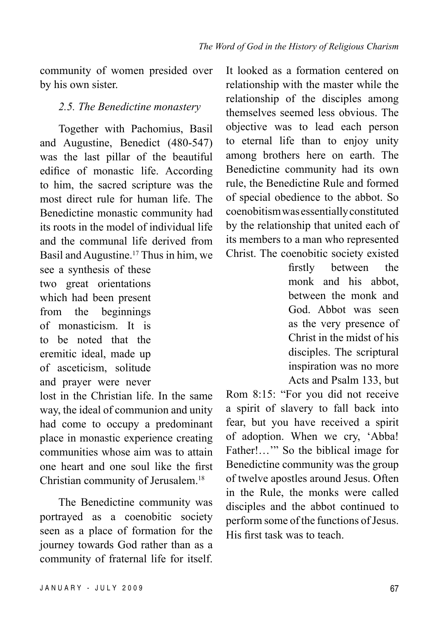community of women presided over by his own sister.

#### *2.5. The Benedictine monastery*

Together with Pachomius, Basil and Augustine, Benedict (480-547) was the last pillar of the beautiful edifice of monastic life. According to him, the sacred scripture was the most direct rule for human life. The Benedictine monastic community had its roots in the model of individual life and the communal life derived from Basil and Augustine.17 Thus in him, we

see a synthesis of these two great orientations which had been present from the beginnings of monasticism. It is to be noted that the eremitic ideal, made up of asceticism, solitude and prayer were never

lost in the Christian life. In the same way, the ideal of communion and unity had come to occupy a predominant place in monastic experience creating communities whose aim was to attain one heart and one soul like the first Christian community of Jerusalem.18

The Benedictine community was portrayed as a coenobitic society seen as a place of formation for the journey towards God rather than as a community of fraternal life for itself. It looked as a formation centered on relationship with the master while the relationship of the disciples among themselves seemed less obvious. The objective was to lead each person to eternal life than to enjoy unity among brothers here on earth. The Benedictine community had its own rule, the Benedictine Rule and formed of special obedience to the abbot. So coenobitism was essentially constituted by the relationship that united each of its members to a man who represented Christ. The coenobitic society existed

> firstly between the monk and his abbot, between the monk and God. Abbot was seen as the very presence of Christ in the midst of his disciples. The scriptural inspiration was no more Acts and Psalm 133, but

Rom 8:15: "For you did not receive a spirit of slavery to fall back into fear, but you have received a spirit of adoption. When we cry, 'Abba! Father!…'" So the biblical image for Benedictine community was the group of twelve apostles around Jesus. Often in the Rule, the monks were called disciples and the abbot continued to perform some of the functions of Jesus. His first task was to teach.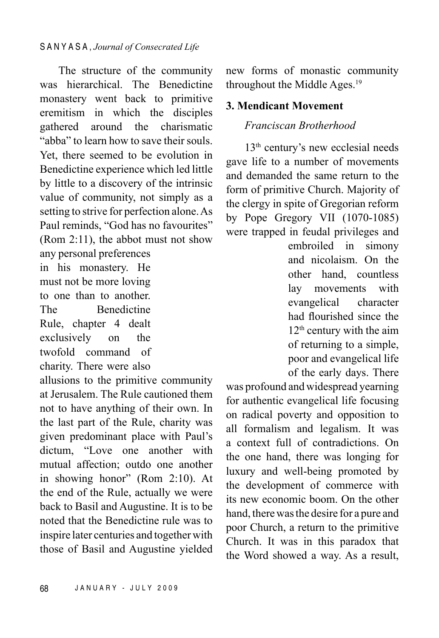#### S A N Y A S A , *Journal of Consecrated Life*

The structure of the community was hierarchical. The Benedictine monastery went back to primitive eremitism in which the disciples gathered around the charismatic "abba" to learn how to save their souls. Yet, there seemed to be evolution in Benedictine experience which led little by little to a discovery of the intrinsic value of community, not simply as a setting to strive for perfection alone. As Paul reminds, "God has no favourites" (Rom 2:11), the abbot must not show

any personal preferences in his monastery. He must not be more loving to one than to another. The Benedictine Rule, chapter 4 dealt exclusively on the twofold command of charity. There were also

allusions to the primitive community at Jerusalem. The Rule cautioned them not to have anything of their own. In the last part of the Rule, charity was given predominant place with Paul's dictum, "Love one another with mutual affection; outdo one another in showing honor" (Rom 2:10). At the end of the Rule, actually we were back to Basil and Augustine. It is to be noted that the Benedictine rule was to inspire later centuries and together with those of Basil and Augustine yielded new forms of monastic community throughout the Middle Ages.<sup>19</sup>

## **3. Mendicant Movement**

#### *Franciscan Brotherhood*

13<sup>th</sup> century's new ecclesial needs gave life to a number of movements and demanded the same return to the form of primitive Church. Majority of the clergy in spite of Gregorian reform by Pope Gregory VII (1070-1085) were trapped in feudal privileges and

> embroiled in simony and nicolaism. On the other hand, countless lay movements with evangelical character had flourished since the  $12<sup>th</sup>$  century with the aim of returning to a simple, poor and evangelical life of the early days. There

was profound and widespread yearning for authentic evangelical life focusing on radical poverty and opposition to all formalism and legalism. It was a context full of contradictions. On the one hand, there was longing for luxury and well-being promoted by the development of commerce with its new economic boom. On the other hand, there was the desire for a pure and poor Church, a return to the primitive Church. It was in this paradox that the Word showed a way. As a result,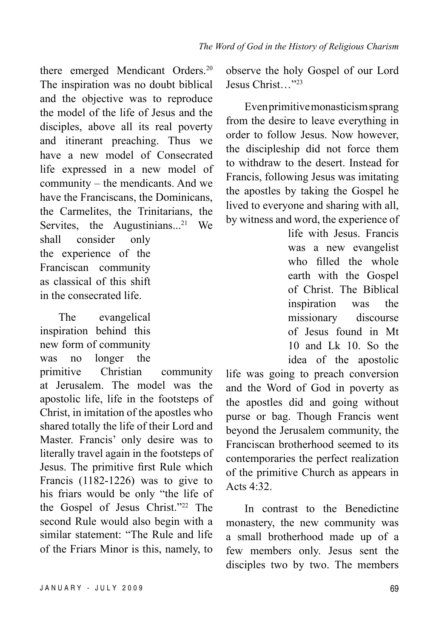there emerged Mendicant Orders.20 The inspiration was no doubt biblical and the objective was to reproduce the model of the life of Jesus and the disciples, above all its real poverty and itinerant preaching. Thus we have a new model of Consecrated life expressed in a new model of community – the mendicants. And we have the Franciscans, the Dominicans, the Carmelites, the Trinitarians, the Servites, the Augustinians...<sup>21</sup> We

shall consider only the experience of the Franciscan community as classical of this shift in the consecrated life.

The evangelical inspiration behind this new form of community was no longer the

primitive Christian community at Jerusalem. The model was the apostolic life, life in the footsteps of Christ, in imitation of the apostles who shared totally the life of their Lord and Master. Francis' only desire was to literally travel again in the footsteps of Jesus. The primitive first Rule which Francis (1182-1226) was to give to his friars would be only "the life of the Gospel of Jesus Christ."22 The second Rule would also begin with a similar statement: "The Rule and life of the Friars Minor is this, namely, to

observe the holy Gospel of our Lord Jesus Christ…"23

Even primitive monasticism sprang from the desire to leave everything in order to follow Jesus. Now however, the discipleship did not force them to withdraw to the desert. Instead for Francis, following Jesus was imitating the apostles by taking the Gospel he lived to everyone and sharing with all, by witness and word, the experience of

> life with Jesus. Francis was a new evangelist who filled the whole earth with the Gospel of Christ. The Biblical inspiration was the missionary discourse of Jesus found in Mt 10 and Lk 10. So the idea of the apostolic

life was going to preach conversion and the Word of God in poverty as the apostles did and going without purse or bag. Though Francis went beyond the Jerusalem community, the Franciscan brotherhood seemed to its contemporaries the perfect realization of the primitive Church as appears in Acts 4:32.

In contrast to the Benedictine monastery, the new community was a small brotherhood made up of a few members only. Jesus sent the disciples two by two. The members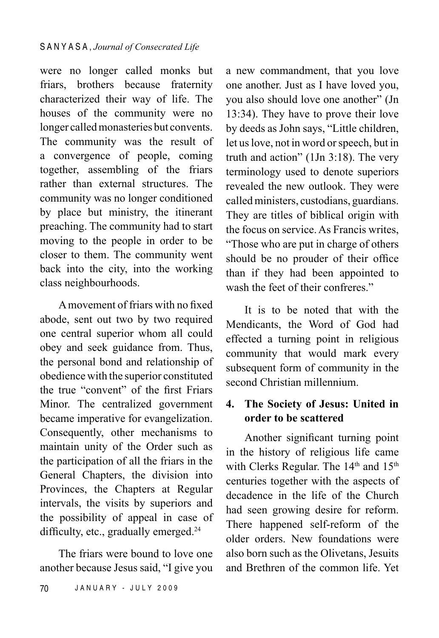were no longer called monks but friars, brothers because fraternity characterized their way of life. The houses of the community were no longer called monasteries but convents. The community was the result of a convergence of people, coming together, assembling of the friars rather than external structures. The community was no longer conditioned by place but ministry, the itinerant preaching. The community had to start moving to the people in order to be closer to them. The community went back into the city, into the working class neighbourhoods.

A movement of friars with no fixed abode, sent out two by two required one central superior whom all could obey and seek guidance from. Thus, the personal bond and relationship of obedience with the superior constituted the true "convent" of the first Friars Minor. The centralized government became imperative for evangelization. Consequently, other mechanisms to maintain unity of the Order such as the participation of all the friars in the General Chapters, the division into Provinces, the Chapters at Regular intervals, the visits by superiors and the possibility of appeal in case of difficulty, etc., gradually emerged.<sup>24</sup>

The friars were bound to love one another because Jesus said, "I give you a new commandment, that you love one another. Just as I have loved you, you also should love one another" (Jn 13:34). They have to prove their love by deeds as John says, "Little children, let us love, not in word or speech, but in truth and action" (1Jn 3:18). The very terminology used to denote superiors revealed the new outlook. They were called ministers, custodians, guardians. They are titles of biblical origin with the focus on service. As Francis writes, "Those who are put in charge of others should be no prouder of their office than if they had been appointed to wash the feet of their confreres."

It is to be noted that with the Mendicants, the Word of God had effected a turning point in religious community that would mark every subsequent form of community in the second Christian millennium.

# **4. The Society of Jesus: United in order to be scattered**

Another significant turning point in the history of religious life came with Clerks Regular. The 14<sup>th</sup> and 15<sup>th</sup> centuries together with the aspects of decadence in the life of the Church had seen growing desire for reform. There happened self-reform of the older orders. New foundations were also born such as the Olivetans, Jesuits and Brethren of the common life. Yet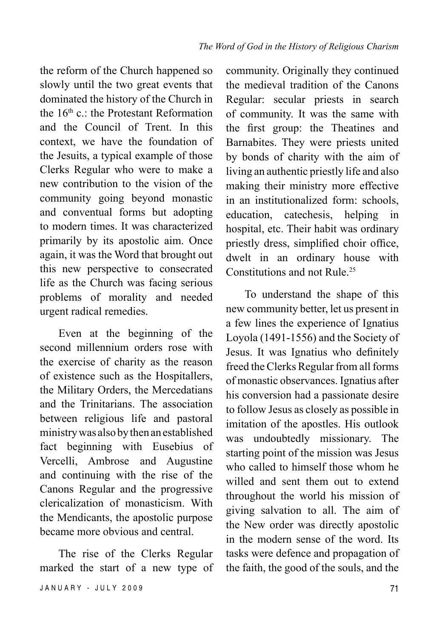the reform of the Church happened so slowly until the two great events that dominated the history of the Church in the  $16<sup>th</sup>$  c.: the Protestant Reformation and the Council of Trent. In this context, we have the foundation of the Jesuits, a typical example of those Clerks Regular who were to make a new contribution to the vision of the community going beyond monastic and conventual forms but adopting to modern times. It was characterized primarily by its apostolic aim. Once again, it was the Word that brought out this new perspective to consecrated life as the Church was facing serious problems of morality and needed urgent radical remedies.

Even at the beginning of the second millennium orders rose with the exercise of charity as the reason of existence such as the Hospitallers, the Military Orders, the Mercedatians and the Trinitarians. The association between religious life and pastoral ministry was also by then an established fact beginning with Eusebius of Vercelli, Ambrose and Augustine and continuing with the rise of the Canons Regular and the progressive clericalization of monasticism. With the Mendicants, the apostolic purpose became more obvious and central.

The rise of the Clerks Regular marked the start of a new type of community. Originally they continued the medieval tradition of the Canons Regular: secular priests in search of community. It was the same with the first group: the Theatines and Barnabites. They were priests united by bonds of charity with the aim of living an authentic priestly life and also making their ministry more effective in an institutionalized form: schools, education, catechesis, helping in hospital, etc. Their habit was ordinary priestly dress, simplified choir office, dwelt in an ordinary house with Constitutions and not Rule.<sup>25</sup>

To understand the shape of this new community better, let us present in a few lines the experience of Ignatius Loyola (1491-1556) and the Society of Jesus. It was Ignatius who definitely freed the Clerks Regular from all forms of monastic observances. Ignatius after his conversion had a passionate desire to follow Jesus as closely as possible in imitation of the apostles. His outlook was undoubtedly missionary. The starting point of the mission was Jesus who called to himself those whom he willed and sent them out to extend throughout the world his mission of giving salvation to all. The aim of the New order was directly apostolic in the modern sense of the word. Its tasks were defence and propagation of the faith, the good of the souls, and the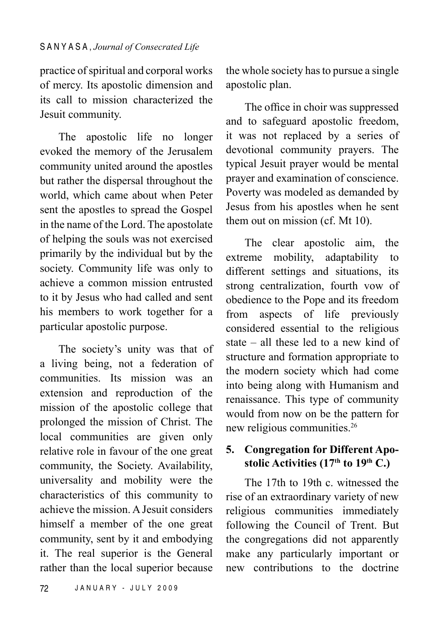practice of spiritual and corporal works of mercy. Its apostolic dimension and its call to mission characterized the Jesuit community.

The apostolic life no longer evoked the memory of the Jerusalem community united around the apostles but rather the dispersal throughout the world, which came about when Peter sent the apostles to spread the Gospel in the name of the Lord. The apostolate of helping the souls was not exercised primarily by the individual but by the society. Community life was only to achieve a common mission entrusted to it by Jesus who had called and sent his members to work together for a particular apostolic purpose.

The society's unity was that of a living being, not a federation of communities. Its mission was an extension and reproduction of the mission of the apostolic college that prolonged the mission of Christ. The local communities are given only relative role in favour of the one great community, the Society. Availability, universality and mobility were the characteristics of this community to achieve the mission. A Jesuit considers himself a member of the one great community, sent by it and embodying it. The real superior is the General rather than the local superior because

the whole society has to pursue a single apostolic plan.

The office in choir was suppressed and to safeguard apostolic freedom, it was not replaced by a series of devotional community prayers. The typical Jesuit prayer would be mental prayer and examination of conscience. Poverty was modeled as demanded by Jesus from his apostles when he sent them out on mission (cf. Mt 10).

The clear apostolic aim, the extreme mobility, adaptability to different settings and situations, its strong centralization, fourth vow of obedience to the Pope and its freedom from aspects of life previously considered essential to the religious state – all these led to a new kind of structure and formation appropriate to the modern society which had come into being along with Humanism and renaissance. This type of community would from now on be the pattern for new religious communities.26

## **5. Congregation for Different Apo**  stolic Activities (17<sup>th</sup> to 19<sup>th</sup> C.)

The 17th to 19th c. witnessed the rise of an extraordinary variety of new religious communities immediately following the Council of Trent. But the congregations did not apparently make any particularly important or new contributions to the doctrine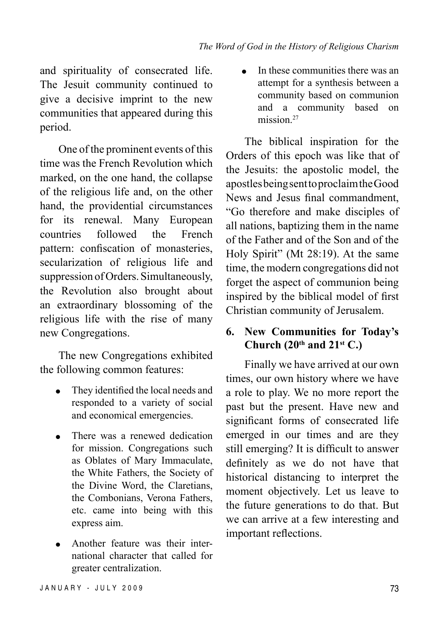and spirituality of consecrated life. The Jesuit community continued to give a decisive imprint to the new communities that appeared during this period.

One of the prominent events of this time was the French Revolution which marked, on the one hand, the collapse of the religious life and, on the other hand, the providential circumstances for its renewal. Many European countries followed the French pattern: confiscation of monasteries, secularization of religious life and suppression of Orders. Simultaneously, the Revolution also brought about an extraordinary blossoming of the religious life with the rise of many new Congregations.

The new Congregations exhibited the following common features:

- $\bullet$  They identified the local needs and responded to a variety of social and economical emergencies.
- There was a renewed dedication for mission. Congregations such as Oblates of Mary Immaculate, the White Fathers, the Society of the Divine Word, the Claretians, the Combonians, Verona Fathers, etc. came into being with this express aim.
- Another feature was their international character that called for greater centralization.

 $\bullet$  In these communities there was an attempt for a synthesis between a community based on communion and a community based on mission<sup>27</sup>

The biblical inspiration for the Orders of this epoch was like that of the Jesuits: the apostolic model, the apostles being sent to proclaim the Good News and Jesus final commandment, "Go therefore and make disciples of all nations, baptizing them in the name of the Father and of the Son and of the Holy Spirit" (Mt 28:19). At the same time, the modern congregations did not forget the aspect of communion being inspired by the biblical model of first Christian community of Jerusalem.

### **6. New Communities for Today's Church (20th and 21st C.)**

Finally we have arrived at our own times, our own history where we have a role to play. We no more report the past but the present. Have new and significant forms of consecrated life emerged in our times and are they still emerging? It is difficult to answer definitely as we do not have that historical distancing to interpret the moment objectively. Let us leave to the future generations to do that. But we can arrive at a few interesting and important reflections.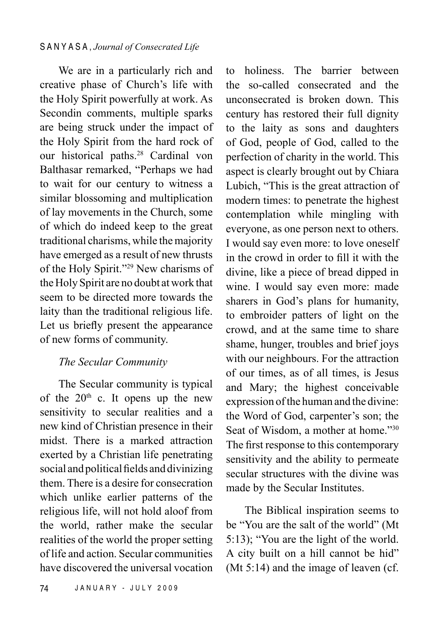#### S A N Y A S A , *Journal of Consecrated Life*

We are in a particularly rich and creative phase of Church's life with the Holy Spirit powerfully at work. As Secondin comments, multiple sparks are being struck under the impact of the Holy Spirit from the hard rock of our historical paths.28 Cardinal von Balthasar remarked, "Perhaps we had to wait for our century to witness a similar blossoming and multiplication of lay movements in the Church, some of which do indeed keep to the great traditional charisms, while the majority have emerged as a result of new thrusts of the Holy Spirit."29 New charisms of the Holy Spirit are no doubt at work that seem to be directed more towards the laity than the traditional religious life. Let us briefly present the appearance of new forms of community.

#### *The Secular Community*

The Secular community is typical of the  $20<sup>th</sup>$  c. It opens up the new sensitivity to secular realities and a new kind of Christian presence in their midst. There is a marked attraction exerted by a Christian life penetrating social and political fields and divinizing them. There is a desire for consecration which unlike earlier patterns of the religious life, will not hold aloof from the world, rather make the secular realities of the world the proper setting of life and action. Secular communities have discovered the universal vocation to holiness. The barrier between the so-called consecrated and the unconsecrated is broken down. This century has restored their full dignity to the laity as sons and daughters of God, people of God, called to the perfection of charity in the world. This aspect is clearly brought out by Chiara Lubich, "This is the great attraction of modern times: to penetrate the highest contemplation while mingling with everyone, as one person next to others. I would say even more: to love oneself in the crowd in order to fill it with the divine, like a piece of bread dipped in wine. I would say even more: made sharers in God's plans for humanity, to embroider patters of light on the crowd, and at the same time to share shame, hunger, troubles and brief joys with our neighbours. For the attraction of our times, as of all times, is Jesus and Mary; the highest conceivable expression of the human and the divine: the Word of God, carpenter's son; the Seat of Wisdom, a mother at home."30 The first response to this contemporary sensitivity and the ability to permeate secular structures with the divine was made by the Secular Institutes.

The Biblical inspiration seems to be "You are the salt of the world" (Mt 5:13); "You are the light of the world. A city built on a hill cannot be hid" (Mt 5:14) and the image of leaven (cf.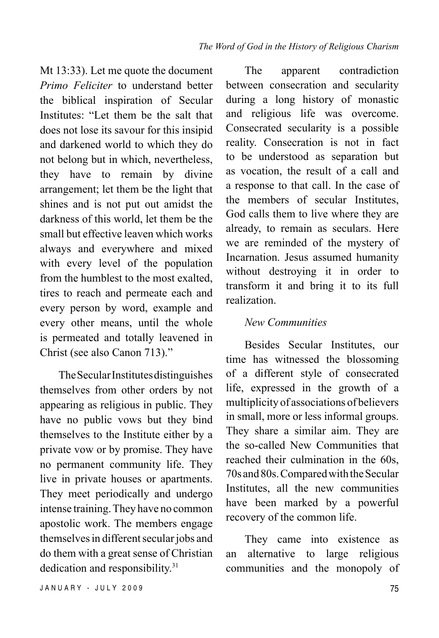Mt 13:33). Let me quote the document *Primo Feliciter* to understand better the biblical inspiration of Secular Institutes: "Let them be the salt that does not lose its savour for this insipid and darkened world to which they do not belong but in which, nevertheless, they have to remain by divine arrangement; let them be the light that shines and is not put out amidst the darkness of this world, let them be the small but effective leaven which works always and everywhere and mixed with every level of the population from the humblest to the most exalted, tires to reach and permeate each and every person by word, example and every other means, until the whole is permeated and totally leavened in Christ (see also Canon 713)."

The Secular Institutes distinguishes themselves from other orders by not appearing as religious in public. They have no public vows but they bind themselves to the Institute either by a private vow or by promise. They have no permanent community life. They live in private houses or apartments. They meet periodically and undergo intense training. They have no common apostolic work. The members engage themselves in different secular jobs and do them with a great sense of Christian dedication and responsibility.<sup>31</sup>

The apparent contradiction between consecration and secularity during a long history of monastic and religious life was overcome. Consecrated secularity is a possible reality. Consecration is not in fact to be understood as separation but as vocation, the result of a call and a response to that call. In the case of the members of secular Institutes, God calls them to live where they are already, to remain as seculars. Here we are reminded of the mystery of Incarnation. Jesus assumed humanity without destroying it in order to transform it and bring it to its full realization.

### *New Communities*

Besides Secular Institutes, our time has witnessed the blossoming of a different style of consecrated life, expressed in the growth of a multiplicity of associations of believers in small, more or less informal groups. They share a similar aim. They are the so-called New Communities that reached their culmination in the 60s, 70s and 80s. Compared with the Secular Institutes, all the new communities have been marked by a powerful recovery of the common life.

They came into existence as an alternative to large religious communities and the monopoly of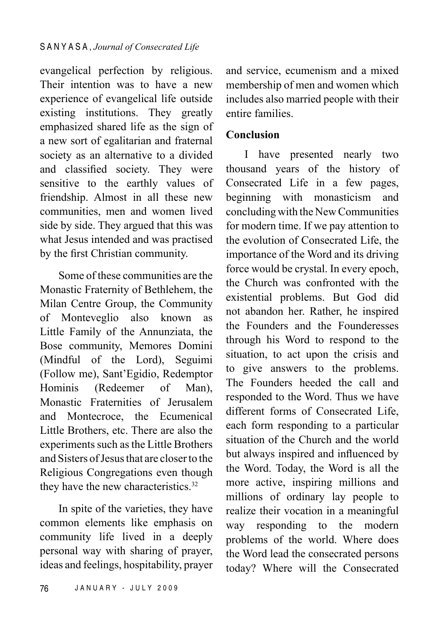evangelical perfection by religious. Their intention was to have a new experience of evangelical life outside existing institutions. They greatly emphasized shared life as the sign of a new sort of egalitarian and fraternal society as an alternative to a divided and classified society. They were sensitive to the earthly values of friendship. Almost in all these new communities, men and women lived side by side. They argued that this was what Jesus intended and was practised by the first Christian community.

Some of these communities are the Monastic Fraternity of Bethlehem, the Milan Centre Group, the Community of Monteveglio also known as Little Family of the Annunziata, the Bose community, Memores Domini (Mindful of the Lord), Seguimi (Follow me), Sant'Egidio, Redemptor Hominis (Redeemer of Man), Monastic Fraternities of Jerusalem and Montecroce, the Ecumenical Little Brothers, etc. There are also the experiments such as the Little Brothers and Sisters of Jesus that are closer to the Religious Congregations even though they have the new characteristics.<sup>32</sup>

In spite of the varieties, they have common elements like emphasis on community life lived in a deeply personal way with sharing of prayer, ideas and feelings, hospitability, prayer and service, ecumenism and a mixed membership of men and women which includes also married people with their entire families.

### **Conclusion**

I have presented nearly two thousand years of the history of Consecrated Life in a few pages, beginning with monasticism and concluding with the New Communities for modern time. If we pay attention to the evolution of Consecrated Life, the importance of the Word and its driving force would be crystal. In every epoch, the Church was confronted with the existential problems. But God did not abandon her. Rather, he inspired the Founders and the Founderesses through his Word to respond to the situation, to act upon the crisis and to give answers to the problems. The Founders heeded the call and responded to the Word. Thus we have different forms of Consecrated Life, each form responding to a particular situation of the Church and the world but always inspired and influenced by the Word. Today, the Word is all the more active, inspiring millions and millions of ordinary lay people to realize their vocation in a meaningful way responding to the modern problems of the world. Where does the Word lead the consecrated persons today? Where will the Consecrated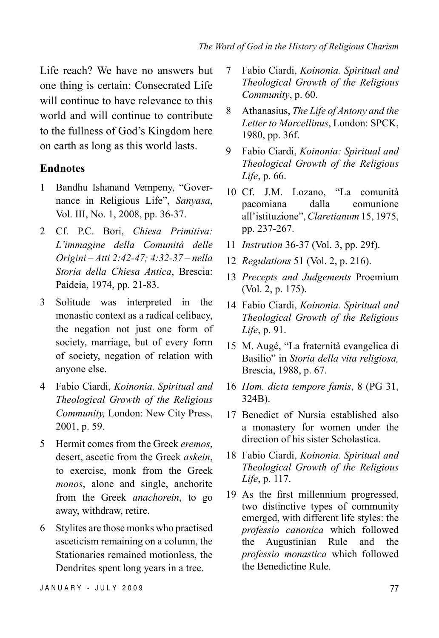Life reach? We have no answers but one thing is certain: Consecrated Life will continue to have relevance to this world and will continue to contribute to the fullness of God's Kingdom here on earth as long as this world lasts.

#### **Endnotes**

- 1 Bandhu Ishanand Vempeny, "Governance in Religious Life", *Sanyasa*, Vol. III, No. 1, 2008, pp. 36-37.
- 2 Cf. P.C. Bori, *Chiesa Primitiva: L'immagine della Comunità delle Origini – Atti 2:42-47; 4:32-37 – nella Storia della Chiesa Antica*, Brescia: Paideia, 1974, pp. 21-83.
- 3 Solitude was interpreted in the monastic context as a radical celibacy, the negation not just one form of society, marriage, but of every form of society, negation of relation with anyone else.
- 4 Fabio Ciardi, *Koinonia. Spiritual and Theological Growth of the Religious Community,* London: New City Press, 2001, p. 59.
- 5 Hermit comes from the Greek *eremos*, desert, ascetic from the Greek *askein*, to exercise, monk from the Greek *monos*, alone and single, anchorite from the Greek *anachorein*, to go away, withdraw, retire.
- 6 Stylites are those monks who practised asceticism remaining on a column, the Stationaries remained motionless, the Dendrites spent long years in a tree.
- 7 Fabio Ciardi, *Koinonia. Spiritual and Theological Growth of the Religious Community*, p. 60.
- 8 Athanasius, *The Life of Antony and the Letter to Marcellinus*, London: SPCK, 1980, pp. 36f.
- 9 Fabio Ciardi, *Koinonia: Spiritual and Theological Growth of the Religious Life*, p. 66.
- 10 Cf. J.M. Lozano, "La comunità pacomiana dalla comunione all'istituzione", *Claretianum* 15, 1975, pp. 237-267.
- 11 *Instrution* 36-37 (Vol. 3, pp. 29f).
- 12 *Regulations* 51 (Vol. 2, p. 216).
- 13 *Precepts and Judgements* Proemium (Vol. 2, p. 175).
- 14 Fabio Ciardi, *Koinonia. Spiritual and Theological Growth of the Religious Life*, p. 91.
- 15 M. Augé, "La fraternità evangelica di Basilio" in *Storia della vita religiosa,*  Brescia, 1988, p. 67.
- 16 *Hom. dicta tempore famis*, 8 (PG 31, 324B).
- 17 Benedict of Nursia established also a monastery for women under the direction of his sister Scholastica.
- 18 Fabio Ciardi, *Koinonia. Spiritual and Theological Growth of the Religious Life*, p. 117.
- 19 As the first millennium progressed, two distinctive types of community emerged, with different life styles: the *professio canonica* which followed the Augustinian Rule and the *professio monastica* which followed the Benedictine Rule.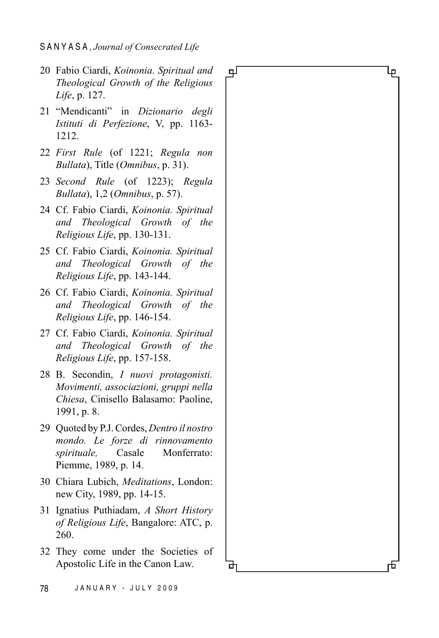- 20 Fabio Ciardi, *Koinonia. Spiritual and Theological Growth of the Religious Life*, p. 127.
- 21 "Mendicanti" in *Dizionario degli Istituti di Perfezione*, V, pp. 1163- 1212.
- 22 *First Rule* (of 1221; *Regula non Bullata*), Title (*Omnibus*, p. 31).
- 23 *Second Rule* (of 1223); *Regula Bullata*), 1,2 (*Omnibus*, p. 57).
- 24 Cf. Fabio Ciardi, *Koinonia. Spiritual and Theological Growth of the Religious Life*, pp. 130-131.
- 25 Cf. Fabio Ciardi, *Koinonia. Spiritual and Theological Growth of the Religious Life*, pp. 143-144.
- 26 Cf. Fabio Ciardi, *Koinonia. Spiritual and Theological Growth of the Religious Life*, pp. 146-154.
- 27 Cf. Fabio Ciardi, *Koinonia. Spiritual and Theological Growth of the Religious Life*, pp. 157-158.
- 28 B. Secondin, *I nuovi protagonisti. Movimenti, associazioni, gruppi nella Chiesa*, Cinisello Balasamo: Paoline, 1991, p. 8.
- 29 Quoted by P.J. Cordes, *Dentro il nostro mondo. Le forze di rinnovamento spirituale,* Casale Monferrato: Piemme, 1989, p. 14.
- 30 Chiara Lubich, *Meditations*, London: new City, 1989, pp. 14-15.
- 31 Ignatius Puthiadam, *A Short History of Religious Life*, Bangalore: ATC, p. 260.
- 32 They come under the Societies of Apostolic Life in the Canon Law.

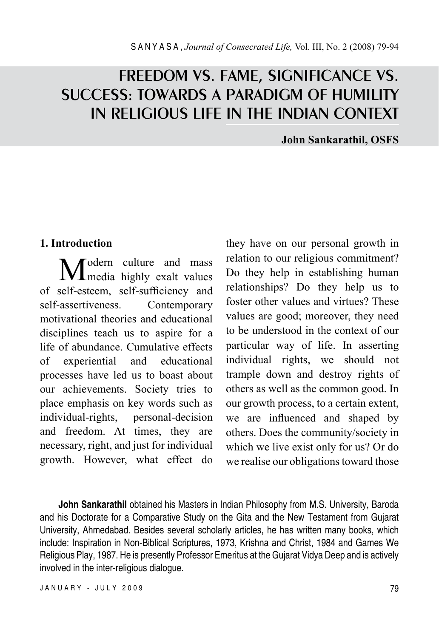## FREEDOM VS. FAME, SIGNIFICANCE VS. SUCCESS: TOWARDS A PARADIGM OF HUMILITY IN RELIGIOUS LIFE IN THE INDIAN CONTEXT

**John Sankarathil, OSFS**

#### **1. Introduction**

Modern culture and mass<br>
Media highly exalt values of self-esteem, self-sufficiency and self-assertiveness. Contemporary motivational theories and educational disciplines teach us to aspire for a life of abundance. Cumulative effects of experiential and educational processes have led us to boast about our achievements. Society tries to place emphasis on key words such as individual-rights, personal-decision and freedom. At times, they are necessary, right, and just for individual growth. However, what effect do

they have on our personal growth in relation to our religious commitment? Do they help in establishing human relationships? Do they help us to foster other values and virtues? These values are good; moreover, they need to be understood in the context of our particular way of life. In asserting individual rights, we should not trample down and destroy rights of others as well as the common good. In our growth process, to a certain extent, we are influenced and shaped by others. Does the community/society in which we live exist only for us? Or do we realise our obligations toward those

**John Sankarathil** obtained his Masters in Indian Philosophy from M.S. University, Baroda and his Doctorate for a Comparative Study on the Gita and the New Testament from Gujarat University, Ahmedabad. Besides several scholarly articles, he has written many books, which include: Inspiration in Non-Biblical Scriptures, 1973, Krishna and Christ, 1984 and Games We Religious Play, 1987. He is presently Professor Emeritus at the Gujarat Vidya Deep and is actively involved in the inter-religious dialogue.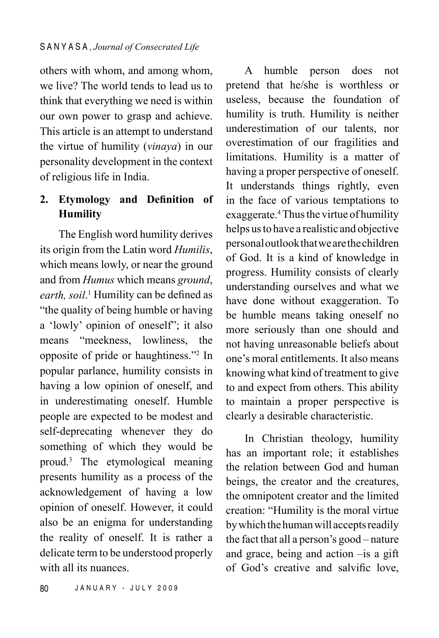others with whom, and among whom, we live? The world tends to lead us to think that everything we need is within our own power to grasp and achieve. This article is an attempt to understand the virtue of humility (*vinaya*) in our personality development in the context of religious life in India.

### **2. Etymology and Definition of Humility**

The English word humility derives its origin from the Latin word *Humilis*, which means lowly, or near the ground and from *Humus* which means *ground*, *earth, soil*. 1 Humility can be defined as "the quality of being humble or having a 'lowly' opinion of oneself"; it also means "meekness, lowliness, the opposite of pride or haughtiness."2 In popular parlance, humility consists in having a low opinion of oneself, and in underestimating oneself. Humble people are expected to be modest and self-deprecating whenever they do something of which they would be proud.3 The etymological meaning presents humility as a process of the acknowledgement of having a low opinion of oneself. However, it could also be an enigma for understanding the reality of oneself. It is rather a delicate term to be understood properly with all its nuances

A humble person does not pretend that he/she is worthless or useless, because the foundation of humility is truth. Humility is neither underestimation of our talents, nor overestimation of our fragilities and limitations. Humility is a matter of having a proper perspective of oneself. It understands things rightly, even in the face of various temptations to exaggerate.<sup>4</sup> Thus the virtue of humility helps us to have a realistic and objective personal outlook that we are the children of God. It is a kind of knowledge in progress. Humility consists of clearly understanding ourselves and what we have done without exaggeration. To be humble means taking oneself no more seriously than one should and not having unreasonable beliefs about one's moral entitlements. It also means knowing what kind of treatment to give to and expect from others. This ability to maintain a proper perspective is clearly a desirable characteristic.

In Christian theology, humility has an important role; it establishes the relation between God and human beings, the creator and the creatures, the omnipotent creator and the limited creation: "Humility is the moral virtue by which the human will accepts readily the fact that all a person's good – nature and grace, being and action –is a gift of God's creative and salvific love,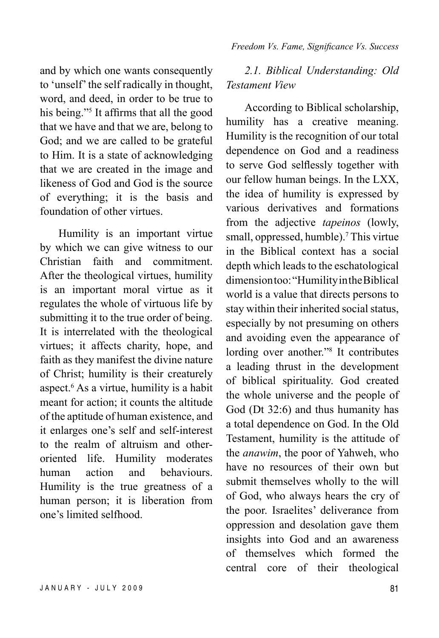and by which one wants consequently to 'unself' the self radically in thought, word, and deed, in order to be true to his being."5 It affirms that all the good that we have and that we are, belong to God; and we are called to be grateful to Him. It is a state of acknowledging that we are created in the image and likeness of God and God is the source of everything; it is the basis and foundation of other virtues.

Humility is an important virtue by which we can give witness to our Christian faith and commitment. After the theological virtues, humility is an important moral virtue as it regulates the whole of virtuous life by submitting it to the true order of being. It is interrelated with the theological virtues; it affects charity, hope, and faith as they manifest the divine nature of Christ; humility is their creaturely aspect.6 As a virtue, humility is a habit meant for action; it counts the altitude of the aptitude of human existence, and it enlarges one's self and self-interest to the realm of altruism and otheroriented life. Humility moderates human action and behaviours. Humility is the true greatness of a human person; it is liberation from one's limited selfhood.

### *2.1. Biblical Understanding: Old Testament View*

According to Biblical scholarship, humility has a creative meaning. Humility is the recognition of our total dependence on God and a readiness to serve God selflessly together with our fellow human beings. In the LXX, the idea of humility is expressed by various derivatives and formations from the adjective *tapeinos* (lowly, small, oppressed, humble).<sup>7</sup> This virtue in the Biblical context has a social depth which leads to the eschatological dimension too: "Humility in the Biblical world is a value that directs persons to stay within their inherited social status, especially by not presuming on others and avoiding even the appearance of lording over another."<sup>8</sup> It contributes a leading thrust in the development of biblical spirituality. God created the whole universe and the people of God (Dt 32:6) and thus humanity has a total dependence on God. In the Old Testament, humility is the attitude of the *anawim*, the poor of Yahweh, who have no resources of their own but submit themselves wholly to the will of God, who always hears the cry of the poor. Israelites' deliverance from oppression and desolation gave them insights into God and an awareness of themselves which formed the central core of their theological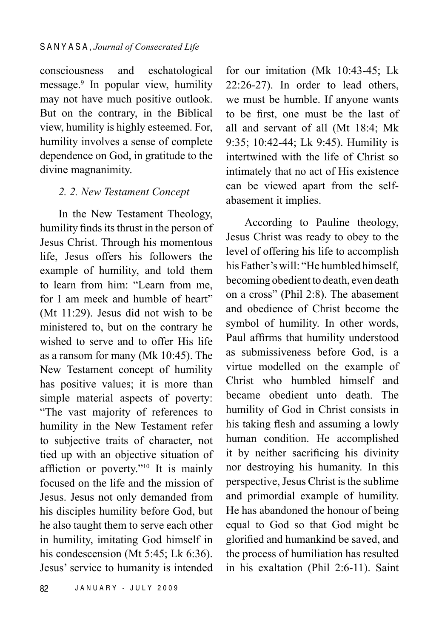consciousness and eschatological message.9 In popular view, humility may not have much positive outlook. But on the contrary, in the Biblical view, humility is highly esteemed. For, humility involves a sense of complete dependence on God, in gratitude to the divine magnanimity.

#### *2. 2. New Testament Concept*

In the New Testament Theology, humility finds its thrust in the person of Jesus Christ. Through his momentous life, Jesus offers his followers the example of humility, and told them to learn from him: "Learn from me, for I am meek and humble of heart" (Mt 11:29). Jesus did not wish to be ministered to, but on the contrary he wished to serve and to offer His life as a ransom for many (Mk 10:45). The New Testament concept of humility has positive values; it is more than simple material aspects of poverty: "The vast majority of references to humility in the New Testament refer to subjective traits of character, not tied up with an objective situation of affliction or poverty."10 It is mainly focused on the life and the mission of Jesus. Jesus not only demanded from his disciples humility before God, but he also taught them to serve each other in humility, imitating God himself in his condescension (Mt 5:45; Lk 6:36). Jesus' service to humanity is intended for our imitation (Mk 10:43-45; Lk 22:26-27). In order to lead others, we must be humble. If anyone wants to be first, one must be the last of all and servant of all (Mt 18:4; Mk 9:35; 10:42-44; Lk 9:45). Humility is intertwined with the life of Christ so intimately that no act of His existence can be viewed apart from the selfabasement it implies.

According to Pauline theology, Jesus Christ was ready to obey to the level of offering his life to accomplish his Father's will: "He humbled himself, becoming obedient to death, even death on a cross" (Phil 2:8). The abasement and obedience of Christ become the symbol of humility. In other words, Paul affirms that humility understood as submissiveness before God, is a virtue modelled on the example of Christ who humbled himself and became obedient unto death. The humility of God in Christ consists in his taking flesh and assuming a lowly human condition. He accomplished it by neither sacrificing his divinity nor destroying his humanity. In this perspective, Jesus Christ is the sublime and primordial example of humility. He has abandoned the honour of being equal to God so that God might be glorified and humankind be saved, and the process of humiliation has resulted in his exaltation (Phil 2:6-11). Saint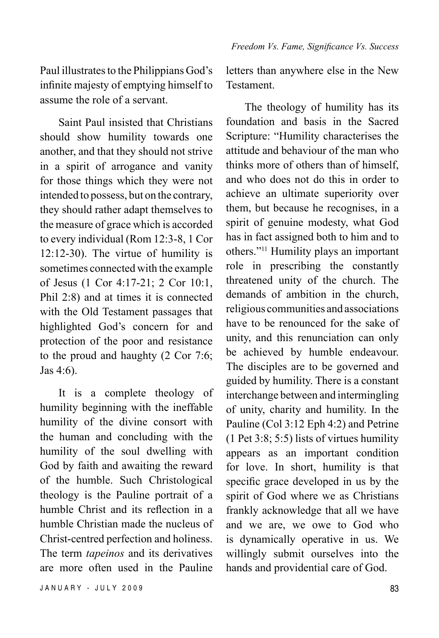Paul illustrates to the Philippians God's infinite majesty of emptying himself to assume the role of a servant.

Saint Paul insisted that Christians should show humility towards one another, and that they should not strive in a spirit of arrogance and vanity for those things which they were not intended to possess, but on the contrary, they should rather adapt themselves to the measure of grace which is accorded to every individual (Rom 12:3-8, 1 Cor 12:12-30). The virtue of humility is sometimes connected with the example of Jesus (1 Cor 4:17-21; 2 Cor 10:1, Phil 2:8) and at times it is connected with the Old Testament passages that highlighted God's concern for and protection of the poor and resistance to the proud and haughty (2 Cor 7:6; Jas 4:6).

It is a complete theology of humility beginning with the ineffable humility of the divine consort with the human and concluding with the humility of the soul dwelling with God by faith and awaiting the reward of the humble. Such Christological theology is the Pauline portrait of a humble Christ and its reflection in a humble Christian made the nucleus of Christ-centred perfection and holiness. The term *tapeinos* and its derivatives are more often used in the Pauline

letters than anywhere else in the New **Testament** 

The theology of humility has its foundation and basis in the Sacred Scripture: "Humility characterises the attitude and behaviour of the man who thinks more of others than of himself and who does not do this in order to achieve an ultimate superiority over them, but because he recognises, in a spirit of genuine modesty, what God has in fact assigned both to him and to others."11 Humility plays an important role in prescribing the constantly threatened unity of the church. The demands of ambition in the church, religious communities and associations have to be renounced for the sake of unity, and this renunciation can only be achieved by humble endeavour. The disciples are to be governed and guided by humility. There is a constant interchange between and intermingling of unity, charity and humility. In the Pauline (Col 3:12 Eph 4:2) and Petrine (1 Pet 3:8; 5:5) lists of virtues humility appears as an important condition for love. In short, humility is that specific grace developed in us by the spirit of God where we as Christians frankly acknowledge that all we have and we are, we owe to God who is dynamically operative in us. We willingly submit ourselves into the hands and providential care of God.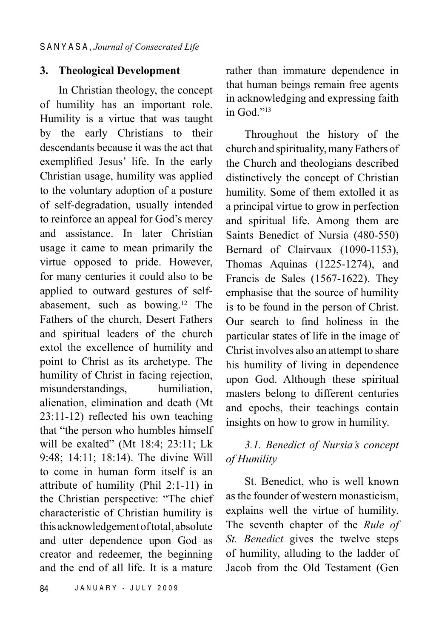### **3. Theological Development**

In Christian theology, the concept of humility has an important role. Humility is a virtue that was taught by the early Christians to their descendants because it was the act that exemplified Jesus' life. In the early Christian usage, humility was applied to the voluntary adoption of a posture of self-degradation, usually intended to reinforce an appeal for God's mercy and assistance. In later Christian usage it came to mean primarily the virtue opposed to pride. However, for many centuries it could also to be applied to outward gestures of selfabasement, such as bowing.12 The Fathers of the church, Desert Fathers and spiritual leaders of the church extol the excellence of humility and point to Christ as its archetype. The humility of Christ in facing rejection, misunderstandings, humiliation, alienation, elimination and death (Mt 23:11-12) reflected his own teaching that "the person who humbles himself will be exalted" (Mt 18:4; 23:11; Lk 9:48; 14:11; 18:14). The divine Will to come in human form itself is an attribute of humility (Phil 2:1-11) in the Christian perspective: "The chief characteristic of Christian humility is this acknowledgement of total, absolute and utter dependence upon God as creator and redeemer, the beginning and the end of all life. It is a mature

rather than immature dependence in that human beings remain free agents in acknowledging and expressing faith in God<sup>"13</sup>

Throughout the history of the church and spirituality, many Fathers of the Church and theologians described distinctively the concept of Christian humility. Some of them extolled it as a principal virtue to grow in perfection and spiritual life. Among them are Saints Benedict of Nursia (480-550) Bernard of Clairvaux (1090-1153), Thomas Aquinas (1225-1274), and Francis de Sales (1567-1622). They emphasise that the source of humility is to be found in the person of Christ. Our search to find holiness in the particular states of life in the image of Christ involves also an attempt to share his humility of living in dependence upon God. Although these spiritual masters belong to different centuries and epochs, their teachings contain insights on how to grow in humility.

### *3.1. Benedict of Nursia's concept of Humility*

St. Benedict, who is well known as the founder of western monasticism, explains well the virtue of humility. The seventh chapter of the *Rule of St. Benedict* gives the twelve steps of humility, alluding to the ladder of Jacob from the Old Testament (Gen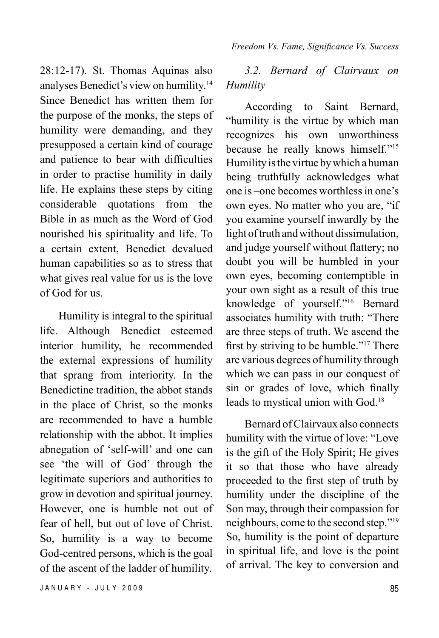28:12-17). St. Thomas Aquinas also analyses Benedict's view on humility.14 Since Benedict has written them for the purpose of the monks, the steps of humility were demanding, and they presupposed a certain kind of courage and patience to bear with difficulties in order to practise humility in daily life. He explains these steps by citing considerable quotations from the Bible in as much as the Word of God nourished his spirituality and life. To a certain extent, Benedict devalued human capabilities so as to stress that what gives real value for us is the love of God for us.

Humility is integral to the spiritual life. Although Benedict esteemed interior humility, he recommended the external expressions of humility that sprang from interiority. In the Benedictine tradition, the abbot stands in the place of Christ, so the monks are recommended to have a humble relationship with the abbot. It implies abnegation of 'self-will' and one can see 'the will of God' through the legitimate superiors and authorities to grow in devotion and spiritual journey. However, one is humble not out of fear of hell, but out of love of Christ. So, humility is a way to become God-centred persons, which is the goal of the ascent of the ladder of humility.

*3.2. Bernard of Clairvaux on Humility*

According to Saint Bernard, "humility is the virtue by which man recognizes his own unworthiness because he really knows himself."15 Humility is the virtue by which a human being truthfully acknowledges what one is –one becomes worthless in one's own eyes. No matter who you are, "if you examine yourself inwardly by the light of truth and without dissimulation, and judge yourself without flattery; no doubt you will be humbled in your own eyes, becoming contemptible in your own sight as a result of this true knowledge of yourself."16 Bernard associates humility with truth: "There are three steps of truth. We ascend the first by striving to be humble."17 There are various degrees of humility through which we can pass in our conquest of sin or grades of love, which finally leads to mystical union with God.18

Bernard of Clairvaux also connects humility with the virtue of love: "Love is the gift of the Holy Spirit; He gives it so that those who have already proceeded to the first step of truth by humility under the discipline of the Son may, through their compassion for neighbours, come to the second step."19 So, humility is the point of departure in spiritual life, and love is the point of arrival. The key to conversion and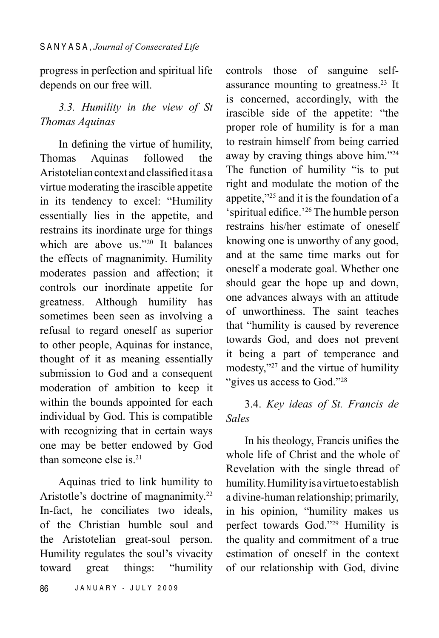progress in perfection and spiritual life depends on our free will.

### *3.3. Humility in the view of St Thomas Aquinas*

In defining the virtue of humility, Thomas Aquinas followed the Aristotelian context and classified it as a virtue moderating the irascible appetite in its tendency to excel: "Humility essentially lies in the appetite, and restrains its inordinate urge for things which are above us."<sup>20</sup> It balances the effects of magnanimity. Humility moderates passion and affection; it controls our inordinate appetite for greatness. Although humility has sometimes been seen as involving a refusal to regard oneself as superior to other people, Aquinas for instance, thought of it as meaning essentially submission to God and a consequent moderation of ambition to keep it within the bounds appointed for each individual by God. This is compatible with recognizing that in certain ways one may be better endowed by God than someone else is  $21$ 

Aquinas tried to link humility to Aristotle's doctrine of magnanimity.<sup>22</sup> In-fact, he conciliates two ideals, of the Christian humble soul and the Aristotelian great-soul person. Humility regulates the soul's vivacity toward great things: "humility

86 JANUARY - JULY 2009

controls those of sanguine selfassurance mounting to greatness. $23$  It is concerned, accordingly, with the irascible side of the appetite: "the proper role of humility is for a man to restrain himself from being carried away by craving things above him."24 The function of humility "is to put right and modulate the motion of the appetite,"25 and it is the foundation of a 'spiritual edifice.'26 The humble person restrains his/her estimate of oneself knowing one is unworthy of any good, and at the same time marks out for oneself a moderate goal. Whether one should gear the hope up and down, one advances always with an attitude of unworthiness. The saint teaches that "humility is caused by reverence towards God, and does not prevent it being a part of temperance and modesty,"27 and the virtue of humility "gives us access to God."28

### 3.4. *Key ideas of St. Francis de Sales*

In his theology, Francis unifies the whole life of Christ and the whole of Revelation with the single thread of humility. Humility is a virtue to establish a divine-human relationship; primarily, in his opinion, "humility makes us perfect towards God."29 Humility is the quality and commitment of a true estimation of oneself in the context of our relationship with God, divine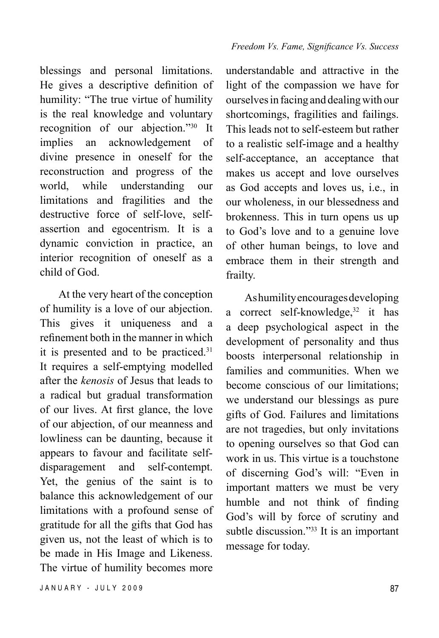blessings and personal limitations. He gives a descriptive definition of humility: "The true virtue of humility is the real knowledge and voluntary recognition of our abjection."30 It implies an acknowledgement of divine presence in oneself for the reconstruction and progress of the world, while understanding our limitations and fragilities and the destructive force of self-love, selfassertion and egocentrism. It is a dynamic conviction in practice, an interior recognition of oneself as a child of God.

At the very heart of the conception of humility is a love of our abjection. This gives it uniqueness and a refinement both in the manner in which it is presented and to be practiced.<sup>31</sup> It requires a self-emptying modelled after the *kenosis* of Jesus that leads to a radical but gradual transformation of our lives. At first glance, the love of our abjection, of our meanness and lowliness can be daunting, because it appears to favour and facilitate selfdisparagement and self-contempt. Yet, the genius of the saint is to balance this acknowledgement of our limitations with a profound sense of gratitude for all the gifts that God has given us, not the least of which is to be made in His Image and Likeness. The virtue of humility becomes more

understandable and attractive in the light of the compassion we have for ourselves in facing and dealing with our shortcomings, fragilities and failings. This leads not to self-esteem but rather to a realistic self-image and a healthy self-acceptance, an acceptance that makes us accept and love ourselves as God accepts and loves us, i.e., in our wholeness, in our blessedness and brokenness. This in turn opens us up to God's love and to a genuine love of other human beings, to love and embrace them in their strength and frailty.

As humility encourages developing a correct self-knowledge,<sup>32</sup> it has a deep psychological aspect in the development of personality and thus boosts interpersonal relationship in families and communities. When we become conscious of our limitations; we understand our blessings as pure gifts of God. Failures and limitations are not tragedies, but only invitations to opening ourselves so that God can work in us. This virtue is a touchstone of discerning God's will: "Even in important matters we must be very humble and not think of finding God's will by force of scrutiny and subtle discussion."<sup>33</sup> It is an important message for today.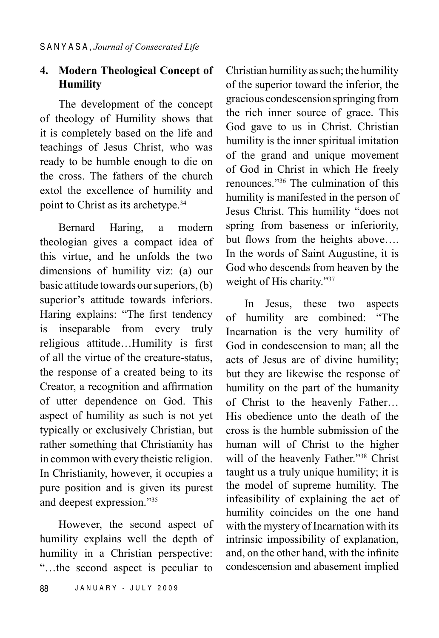### **4. Modern Theological Concept of Humility**

The development of the concept of theology of Humility shows that it is completely based on the life and teachings of Jesus Christ, who was ready to be humble enough to die on the cross. The fathers of the church extol the excellence of humility and point to Christ as its archetype.<sup>34</sup>

Bernard Haring, a modern theologian gives a compact idea of this virtue, and he unfolds the two dimensions of humility viz: (a) our basic attitude towards our superiors, (b) superior's attitude towards inferiors. Haring explains: "The first tendency is inseparable from every truly religious attitude…Humility is first of all the virtue of the creature-status, the response of a created being to its Creator, a recognition and affirmation of utter dependence on God. This aspect of humility as such is not yet typically or exclusively Christian, but rather something that Christianity has in common with every theistic religion. In Christianity, however, it occupies a pure position and is given its purest and deepest expression."<sup>35</sup>

However, the second aspect of humility explains well the depth of humility in a Christian perspective: "…the second aspect is peculiar to

Christian humility as such; the humility of the superior toward the inferior, the gracious condescension springing from the rich inner source of grace. This God gave to us in Christ. Christian humility is the inner spiritual imitation of the grand and unique movement of God in Christ in which He freely renounces."36 The culmination of this humility is manifested in the person of Jesus Christ. This humility "does not spring from baseness or inferiority, but flows from the heights above…. In the words of Saint Augustine, it is God who descends from heaven by the weight of His charity."37

In Jesus, these two aspects of humility are combined: "The Incarnation is the very humility of God in condescension to man; all the acts of Jesus are of divine humility; but they are likewise the response of humility on the part of the humanity of Christ to the heavenly Father… His obedience unto the death of the cross is the humble submission of the human will of Christ to the higher will of the heavenly Father."38 Christ taught us a truly unique humility; it is the model of supreme humility. The infeasibility of explaining the act of humility coincides on the one hand with the mystery of Incarnation with its intrinsic impossibility of explanation, and, on the other hand, with the infinite condescension and abasement implied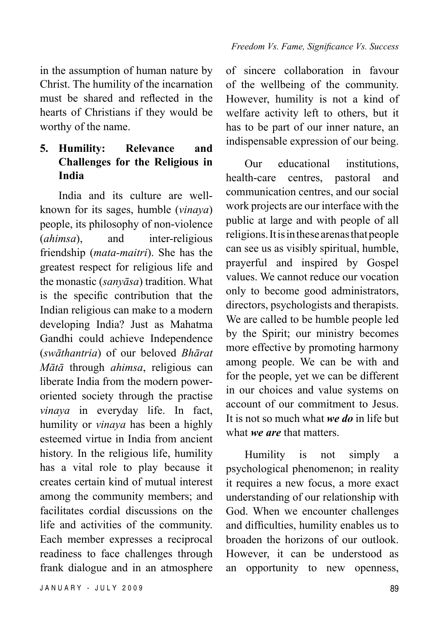in the assumption of human nature by Christ. The humility of the incarnation must be shared and reflected in the hearts of Christians if they would be worthy of the name.

### **5. Humility: Relevance and Challenges for the Religious in India**

India and its culture are wellknown for its sages, humble (*vinaya*) people, its philosophy of non-violence (*ahimsa*), and inter-religious friendship (*mata-maitri*). She has the greatest respect for religious life and the monastic (*sanyāsa*) tradition. What is the specific contribution that the Indian religious can make to a modern developing India? Just as Mahatma Gandhi could achieve Independence (*swāthantria*) of our beloved *Bhārat Mātā* through *ahimsa*, religious can liberate India from the modern poweroriented society through the practise *vinaya* in everyday life. In fact, humility or *vinaya* has been a highly esteemed virtue in India from ancient history. In the religious life, humility has a vital role to play because it creates certain kind of mutual interest among the community members; and facilitates cordial discussions on the life and activities of the community. Each member expresses a reciprocal readiness to face challenges through frank dialogue and in an atmosphere

of sincere collaboration in favour of the wellbeing of the community. However, humility is not a kind of welfare activity left to others, but it has to be part of our inner nature, an indispensable expression of our being.

Our educational institutions, health-care centres, pastoral and communication centres, and our social work projects are our interface with the public at large and with people of all religions. It is in these arenas that people can see us as visibly spiritual, humble, prayerful and inspired by Gospel values. We cannot reduce our vocation only to become good administrators, directors, psychologists and therapists. We are called to be humble people led by the Spirit; our ministry becomes more effective by promoting harmony among people. We can be with and for the people, yet we can be different in our choices and value systems on account of our commitment to Jesus. It is not so much what *we do* in life but what *we are* that matters.

Humility is not simply a psychological phenomenon; in reality it requires a new focus, a more exact understanding of our relationship with God. When we encounter challenges and difficulties, humility enables us to broaden the horizons of our outlook. However, it can be understood as an opportunity to new openness,

JANUARY - JULY 2009 89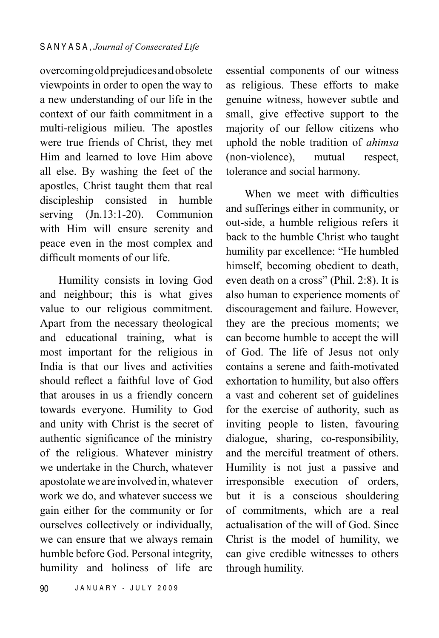overcoming old prejudices and obsolete viewpoints in order to open the way to a new understanding of our life in the context of our faith commitment in a multi-religious milieu. The apostles were true friends of Christ, they met Him and learned to love Him above all else. By washing the feet of the apostles, Christ taught them that real discipleship consisted in humble serving (Jn.13:1-20). Communion with Him will ensure serenity and peace even in the most complex and difficult moments of our life.

Humility consists in loving God and neighbour; this is what gives value to our religious commitment. Apart from the necessary theological and educational training, what is most important for the religious in India is that our lives and activities should reflect a faithful love of God that arouses in us a friendly concern towards everyone. Humility to God and unity with Christ is the secret of authentic significance of the ministry of the religious. Whatever ministry we undertake in the Church, whatever apostolate we are involved in, whatever work we do, and whatever success we gain either for the community or for ourselves collectively or individually, we can ensure that we always remain humble before God. Personal integrity, humility and holiness of life are

essential components of our witness as religious. These efforts to make genuine witness, however subtle and small, give effective support to the majority of our fellow citizens who uphold the noble tradition of *ahimsa* (non-violence), mutual respect, tolerance and social harmony.

When we meet with difficulties and sufferings either in community, or out-side, a humble religious refers it back to the humble Christ who taught humility par excellence: "He humbled himself, becoming obedient to death, even death on a cross" (Phil. 2:8). It is also human to experience moments of discouragement and failure. However, they are the precious moments; we can become humble to accept the will of God. The life of Jesus not only contains a serene and faith-motivated exhortation to humility, but also offers a vast and coherent set of guidelines for the exercise of authority, such as inviting people to listen, favouring dialogue, sharing, co-responsibility, and the merciful treatment of others. Humility is not just a passive and irresponsible execution of orders, but it is a conscious shouldering of commitments, which are a real actualisation of the will of God. Since Christ is the model of humility, we can give credible witnesses to others through humility.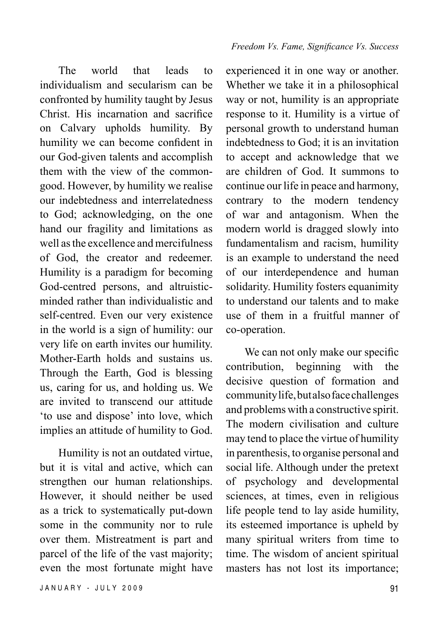The world that leads to individualism and secularism can be confronted by humility taught by Jesus Christ. His incarnation and sacrifice on Calvary upholds humility. By humility we can become confident in our God-given talents and accomplish them with the view of the commongood. However, by humility we realise our indebtedness and interrelatedness to God; acknowledging, on the one hand our fragility and limitations as well as the excellence and mercifulness of God, the creator and redeemer. Humility is a paradigm for becoming God-centred persons, and altruisticminded rather than individualistic and self-centred. Even our very existence in the world is a sign of humility: our very life on earth invites our humility. Mother-Earth holds and sustains us. Through the Earth, God is blessing us, caring for us, and holding us. We are invited to transcend our attitude 'to use and dispose' into love, which implies an attitude of humility to God.

Humility is not an outdated virtue, but it is vital and active, which can strengthen our human relationships. However, it should neither be used as a trick to systematically put-down some in the community nor to rule over them. Mistreatment is part and parcel of the life of the vast majority; even the most fortunate might have

JANUARY - JULY 2009 91

experienced it in one way or another. Whether we take it in a philosophical way or not, humility is an appropriate response to it. Humility is a virtue of personal growth to understand human indebtedness to God; it is an invitation to accept and acknowledge that we are children of God. It summons to continue our life in peace and harmony, contrary to the modern tendency of war and antagonism. When the modern world is dragged slowly into fundamentalism and racism, humility is an example to understand the need of our interdependence and human solidarity. Humility fosters equanimity to understand our talents and to make use of them in a fruitful manner of co-operation.

We can not only make our specific contribution, beginning with the decisive question of formation and community life, but also face challenges and problems with a constructive spirit. The modern civilisation and culture may tend to place the virtue of humility in parenthesis, to organise personal and social life. Although under the pretext of psychology and developmental sciences, at times, even in religious life people tend to lay aside humility, its esteemed importance is upheld by many spiritual writers from time to time. The wisdom of ancient spiritual masters has not lost its importance;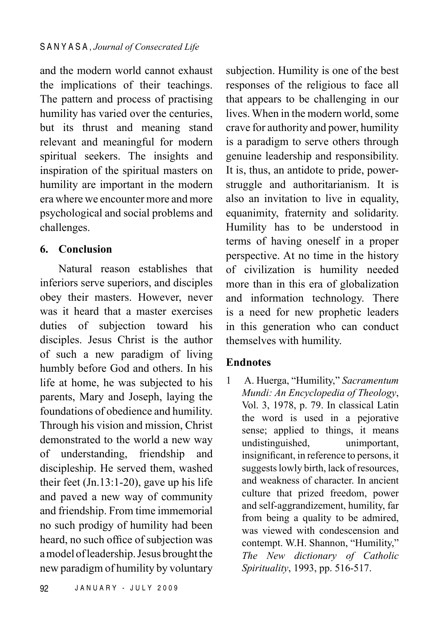and the modern world cannot exhaust the implications of their teachings. The pattern and process of practising humility has varied over the centuries, but its thrust and meaning stand relevant and meaningful for modern spiritual seekers. The insights and inspiration of the spiritual masters on humility are important in the modern era where we encounter more and more psychological and social problems and challenges.

### **6. Conclusion**

Natural reason establishes that inferiors serve superiors, and disciples obey their masters. However, never was it heard that a master exercises duties of subjection toward his disciples. Jesus Christ is the author of such a new paradigm of living humbly before God and others. In his life at home, he was subjected to his parents, Mary and Joseph, laying the foundations of obedience and humility. Through his vision and mission, Christ demonstrated to the world a new way of understanding, friendship and discipleship. He served them, washed their feet  $(In.13:1-20)$ , gave up his life and paved a new way of community and friendship. From time immemorial no such prodigy of humility had been heard, no such office of subjection was a model of leadership. Jesus brought the new paradigm of humility by voluntary subjection. Humility is one of the best responses of the religious to face all that appears to be challenging in our lives. When in the modern world, some crave for authority and power, humility is a paradigm to serve others through genuine leadership and responsibility. It is, thus, an antidote to pride, powerstruggle and authoritarianism. It is also an invitation to live in equality, equanimity, fraternity and solidarity. Humility has to be understood in terms of having oneself in a proper perspective. At no time in the history of civilization is humility needed more than in this era of globalization and information technology. There is a need for new prophetic leaders in this generation who can conduct themselves with humility.

### **Endnotes**

1 A. Huerga, "Humility," *Sacramentum Mundi: An Encyclopedia of Theology*, Vol. 3, 1978, p. 79. In classical Latin the word is used in a pejorative sense; applied to things, it means undistinguished, unimportant, insignificant, in reference to persons, it suggests lowly birth, lack of resources, and weakness of character. In ancient culture that prized freedom, power and self-aggrandizement, humility, far from being a quality to be admired, was viewed with condescension and contempt. W.H. Shannon, "Humility," *The New dictionary of Catholic Spirituality*, 1993, pp. 516-517.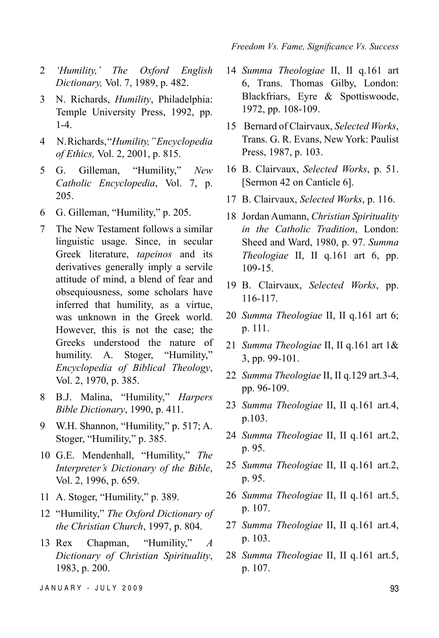*Freedom Vs. Fame, Significance Vs. Success*

- 2 *'Humility,' The Oxford English Dictionary,* Vol. 7, 1989, p. 482.
- 3 N. Richards, *Humility*, Philadelphia: Temple University Press, 1992, pp. 1-4.
- 4 N. Richards, "*Humility,"Encyclopedia of Ethics,* Vol. 2, 2001, p. 815.
- 5 G. Gilleman, "Humility," *New Catholic Encyclopedia*, Vol. 7, p. 205.
- 6 G. Gilleman, "Humility," p. 205.
- 7 The New Testament follows a similar linguistic usage. Since, in secular Greek literature, *tapeinos* and its derivatives generally imply a servile attitude of mind, a blend of fear and obsequiousness, some scholars have inferred that humility, as a virtue, was unknown in the Greek world. However, this is not the case; the Greeks understood the nature of humility. A. Stoger, "Humility," *Encyclopedia of Biblical Theology*, Vol. 2, 1970, p. 385.
- 8 B.J. Malina, "Humility," *Harpers Bible Dictionary*, 1990, p. 411.
- 9 W.H. Shannon, "Humility," p. 517; A. Stoger, "Humility," p. 385.
- 10 G.E. Mendenhall, "Humility," *The Interpreter's Dictionary of the Bible*, Vol. 2, 1996, p. 659.
- 11 A. Stoger, "Humility," p. 389.
- 12 "Humility," *The Oxford Dictionary of the Christian Church*, 1997, p. 804.
- 13 Rex Chapman, "Humility," *A Dictionary of Christian Spirituality*, 1983, p. 200.
- 14 *Summa Theologiae* II, II q.161 art 6, Trans. Thomas Gilby, London: Blackfriars, Eyre & Spottiswoode, 1972, pp. 108-109.
- 15 Bernard of Clairvaux, *Selected Works*, Trans. G. R. Evans, New York: Paulist Press, 1987, p. 103.
- 16 B. Clairvaux, *Selected Works*, p. 51. [Sermon 42 on Canticle 6].
- 17 B. Clairvaux, *Selected Works*, p. 116.
- 18 Jordan Aumann, *Christian Spirituality in the Catholic Tradition*, London: Sheed and Ward, 1980, p. 97. *Summa Theologiae* II, II q.161 art 6, pp. 109-15.
- 19 B. Clairvaux, *Selected Works*, pp. 116-117.
- 20 *Summa Theologiae* II, II q.161 art 6; p. 111.
- 21 *Summa Theologiae* II, II q.161 art 1& 3, pp. 99-101.
- 22 *Summa Theologiae* II, II q.129 art.3-4, pp. 96-109.
- 23 *Summa Theologiae* II, II q.161 art.4, p.103.
- 24 *Summa Theologiae* II, II q.161 art.2, p. 95.
- 25 *Summa Theologiae* II, II q.161 art.2, p. 95.
- 26 *Summa Theologiae* II, II q.161 art.5, p. 107.
- 27 *Summa Theologiae* II, II q.161 art.4, p. 103.
- 28 *Summa Theologiae* II, II q.161 art.5, p. 107.

JANUARY - JULY 2009 93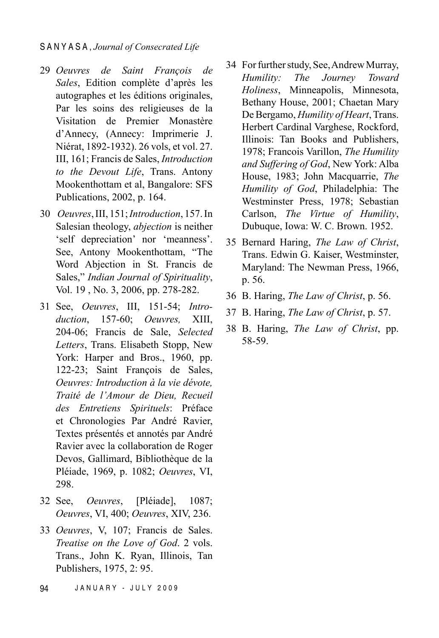#### S A N Y A S A , *Journal of Consecrated Life*

- 29 *Oeuvres de Saint François de Sales*, Edition complète d'après les autographes et les éditions originales, Par les soins des religieuses de la Visitation de Premier Monastère d'Annecy, (Annecy: Imprimerie J. Niérat, 1892-1932). 26 vols, et vol. 27. III, 161; Francis de Sales, *Introduction to the Devout Life*, Trans. Antony Mookenthottam et al, Bangalore: SFS Publications, 2002, p. 164.
- 30 *Oeuvres*, III, 151; *Introduction*, 157. In Salesian theology, *abjection* is neither 'self depreciation' nor 'meanness'. See, Antony Mookenthottam, "The Word Abjection in St. Francis de Sales," *Indian Journal of Spirituality*, Vol. 19 , No. 3, 2006, pp. 278-282.
- 31 See, *Oeuvres*, III, 151-54; *Introduction*, 157-60; *Oeuvres,* XIII, 204-06; Francis de Sale, *Selected Letters*, Trans. Elisabeth Stopp, New York: Harper and Bros., 1960, pp. 122-23; Saint François de Sales, *Oeuvres: Introduction à la vie dévote, Traité de l'Amour de Dieu, Recueil des Entretiens Spirituels*: Préface et Chronologies Par André Ravier, Textes présentés et annotés par André Ravier avec la collaboration de Roger Devos, Gallimard, Bibliothèque de la Pléiade, 1969, p. 1082; *Oeuvres*, VI, 298.
- 32 See, *Oeuvres*, [Pléiade], 1087; *Oeuvres*, VI, 400; *Oeuvres*, XIV, 236.
- 33 *Oeuvres*, V, 107; Francis de Sales. *Treatise on the Love of God*. 2 vols. Trans., John K. Ryan, Illinois, Tan Publishers, 1975, 2: 95.
- 34 For further study, See, Andrew Murray, *Humility: The Journey Toward Holiness*, Minneapolis, Minnesota, Bethany House, 2001; Chaetan Mary De Bergamo, *Humility of Heart*, Trans. Herbert Cardinal Varghese, Rockford, Illinois: Tan Books and Publishers, 1978; Francois Varillon, *The Humility and Suffering of God*, New York: Alba House, 1983; John Macquarrie, *The Humility of God*, Philadelphia: The Westminster Press, 1978; Sebastian Carlson, *The Virtue of Humility*, Dubuque, Iowa: W. C. Brown. 1952.
- 35 Bernard Haring, *The Law of Christ*, Trans. Edwin G. Kaiser, Westminster, Maryland: The Newman Press, 1966, p. 56.
- 36 B. Haring, *The Law of Christ*, p. 56.
- 37 B. Haring, *The Law of Christ*, p. 57.
- 38 B. Haring, *The Law of Christ*, pp. 58-59.

94 JANUARY - JULY 2009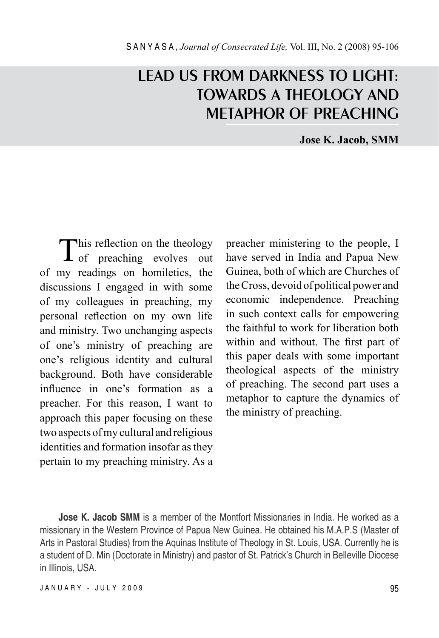## LEAD US FROM DARKNESS TO LIGHT: TOWARDS A THEOLOGY AND METAPHOR OF PREACHING

**Jose K. Jacob, SMM**

This reflection on the theology<br>of preaching evolves out of my readings on homiletics, the discussions I engaged in with some of my colleagues in preaching, my personal reflection on my own life and ministry. Two unchanging aspects of one's ministry of preaching are one's religious identity and cultural background. Both have considerable influence in one's formation as a preacher. For this reason, I want to approach this paper focusing on these two aspects of my cultural and religious identities and formation insofar as they pertain to my preaching ministry. As a

preacher ministering to the people, I have served in India and Papua New Guinea, both of which are Churches of the Cross, devoid of political power and economic independence. Preaching in such context calls for empowering the faithful to work for liberation both within and without. The first part of this paper deals with some important theological aspects of the ministry of preaching. The second part uses a metaphor to capture the dynamics of the ministry of preaching.

**Jose K. Jacob SMM** is a member of the Montfort Missionaries in India. He worked as a missionary in the Western Province of Papua New Guinea. He obtained his M.A.P.S (Master of Arts in Pastoral Studies) from the Aquinas Institute of Theology in St. Louis, USA. Currently he is a student of D. Min (Doctorate in Ministry) and pastor of St. Patrick's Church in Belleville Diocese in Illinois, USA.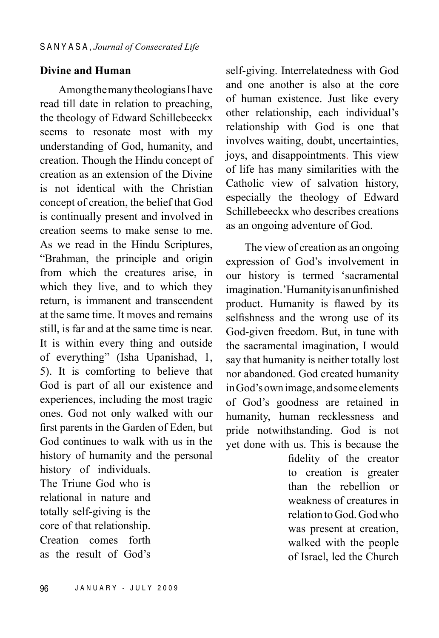#### **Divine and Human**

Among the many theologians I have read till date in relation to preaching, the theology of Edward Schillebeeckx seems to resonate most with my understanding of God, humanity, and creation. Though the Hindu concept of creation as an extension of the Divine is not identical with the Christian concept of creation, the belief that God is continually present and involved in creation seems to make sense to me. As we read in the Hindu Scriptures, "Brahman, the principle and origin from which the creatures arise, in which they live, and to which they return, is immanent and transcendent at the same time. It moves and remains still, is far and at the same time is near. It is within every thing and outside of everything" (Isha Upanishad, 1, 5). It is comforting to believe that God is part of all our existence and experiences, including the most tragic ones. God not only walked with our first parents in the Garden of Eden, but God continues to walk with us in the history of humanity and the personal history of individuals. The Triune God who is relational in nature and

totally self-giving is the core of that relationship. Creation comes forth as the result of God's

self-giving. Interrelatedness with God and one another is also at the core of human existence. Just like every other relationship, each individual's relationship with God is one that involves waiting, doubt, uncertainties, joys, and disappointments. This view of life has many similarities with the Catholic view of salvation history, especially the theology of Edward Schillebeeckx who describes creations as an ongoing adventure of God.

The view of creation as an ongoing expression of God's involvement in our history is termed 'sacramental imagination.' Humanity is an unfinished product. Humanity is flawed by its selfishness and the wrong use of its God-given freedom. But, in tune with the sacramental imagination, I would say that humanity is neither totally lost nor abandoned. God created humanity in God's own image, and some elements of God's goodness are retained in humanity, human recklessness and pride notwithstanding. God is not yet done with us. This is because the

> fidelity of the creator to creation is greater than the rebellion or weakness of creatures in relation to God. God who was present at creation, walked with the people of Israel, led the Church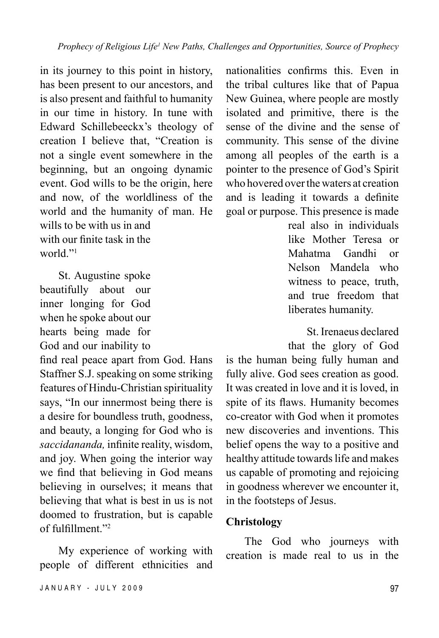in its journey to this point in history, has been present to our ancestors, and is also present and faithful to humanity in our time in history. In tune with Edward Schillebeeckx's theology of creation I believe that, "Creation is not a single event somewhere in the beginning, but an ongoing dynamic event. God wills to be the origin, here and now, of the worldliness of the world and the humanity of man. He wills to be with us in and

with our finite task in the world<sup>"1</sup>

St. Augustine spoke beautifully about our inner longing for God when he spoke about our hearts being made for God and our inability to

find real peace apart from God. Hans Staffner S.J. speaking on some striking features of Hindu-Christian spirituality says, "In our innermost being there is a desire for boundless truth, goodness, and beauty, a longing for God who is *saccidananda,* infinite reality, wisdom, and joy. When going the interior way we find that believing in God means believing in ourselves; it means that believing that what is best in us is not doomed to frustration, but is capable of fulfillment."<sup>2</sup>

My experience of working with people of different ethnicities and nationalities confirms this. Even in the tribal cultures like that of Papua New Guinea, where people are mostly isolated and primitive, there is the sense of the divine and the sense of community. This sense of the divine among all peoples of the earth is a pointer to the presence of God's Spirit who hovered over the waters at creation and is leading it towards a definite goal or purpose. This presence is made

> real also in individuals like Mother Teresa or Mahatma Gandhi or Nelson Mandela who witness to peace, truth, and true freedom that liberates humanity.

St. Irenaeus declared that the glory of God

is the human being fully human and fully alive. God sees creation as good. It was created in love and it is loved, in spite of its flaws. Humanity becomes co-creator with God when it promotes new discoveries and inventions. This belief opens the way to a positive and healthy attitude towards life and makes us capable of promoting and rejoicing in goodness wherever we encounter it, in the footsteps of Jesus.

#### **Christology**

The God who journeys with creation is made real to us in the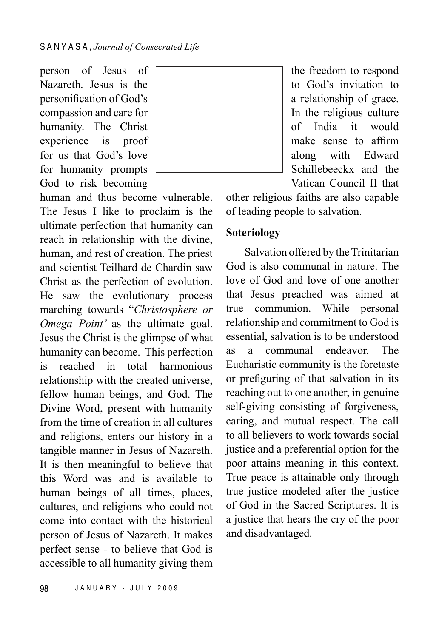person of Jesus of Nazareth. Jesus is the personification of God's compassion and care for humanity. The Christ experience is proof for us that God's love for humanity prompts God to risk becoming

human and thus become vulnerable. The Jesus I like to proclaim is the ultimate perfection that humanity can reach in relationship with the divine, human, and rest of creation. The priest and scientist Teilhard de Chardin saw Christ as the perfection of evolution. He saw the evolutionary process marching towards "*Christosphere or Omega Point'* as the ultimate goal. Jesus the Christ is the glimpse of what humanity can become. This perfection is reached in total harmonious relationship with the created universe, fellow human beings, and God. The Divine Word, present with humanity from the time of creation in all cultures and religions, enters our history in a tangible manner in Jesus of Nazareth. It is then meaningful to believe that this Word was and is available to human beings of all times, places, cultures, and religions who could not come into contact with the historical person of Jesus of Nazareth. It makes perfect sense - to believe that God is accessible to all humanity giving them



the freedom to respond to God's invitation to a relationship of grace. In the religious culture of India it would make sense to affirm along with Edward Schillebeeckx and the Vatican Council II that

other religious faiths are also capable of leading people to salvation.

#### **Soteriology**

Salvation offered by the Trinitarian God is also communal in nature. The love of God and love of one another that Jesus preached was aimed at true communion. While personal relationship and commitment to God is essential, salvation is to be understood as a communal endeavor. The Eucharistic community is the foretaste or prefiguring of that salvation in its reaching out to one another, in genuine self-giving consisting of forgiveness, caring, and mutual respect. The call to all believers to work towards social justice and a preferential option for the poor attains meaning in this context. True peace is attainable only through true justice modeled after the justice of God in the Sacred Scriptures. It is a justice that hears the cry of the poor and disadvantaged.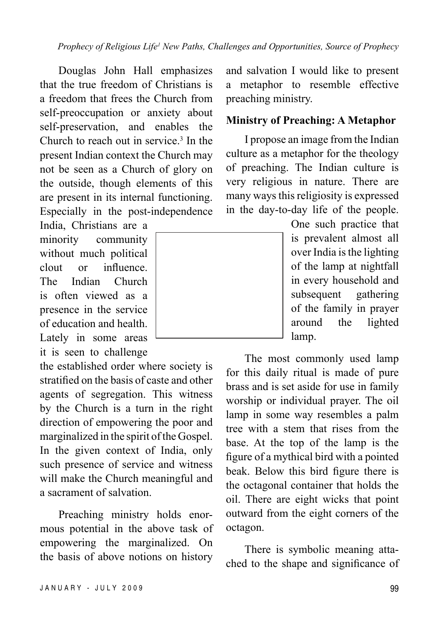Douglas John Hall emphasizes that the true freedom of Christians is a freedom that frees the Church from self-preoccupation or anxiety about self-preservation, and enables the Church to reach out in service. $3$  In the present Indian context the Church may not be seen as a Church of glory on the outside, though elements of this are present in its internal functioning. Especially in the post-independence

India, Christians are a minority community without much political clout or influence. The Indian Church is often viewed as a presence in the service of education and health. Lately in some areas it is seen to challenge

the established order where society is stratified on the basis of caste and other agents of segregation. This witness by the Church is a turn in the right direction of empowering the poor and marginalized in the spirit of the Gospel. In the given context of India, only such presence of service and witness will make the Church meaningful and a sacrament of salvation.

Preaching ministry holds enormous potential in the above task of empowering the marginalized. On the basis of above notions on history and salvation I would like to present a metaphor to resemble effective preaching ministry.

### **Ministry of Preaching: A Metaphor**

I propose an image from the Indian culture as a metaphor for the theology of preaching. The Indian culture is very religious in nature. There are many ways this religiosity is expressed in the day-to-day life of the people.

> One such practice that is prevalent almost all over India is the lighting of the lamp at nightfall in every household and subsequent gathering of the family in prayer around the lighted lamp.

The most commonly used lamp for this daily ritual is made of pure brass and is set aside for use in family worship or individual prayer. The oil lamp in some way resembles a palm tree with a stem that rises from the base. At the top of the lamp is the figure of a mythical bird with a pointed beak. Below this bird figure there is the octagonal container that holds the oil. There are eight wicks that point outward from the eight corners of the octagon.

There is symbolic meaning attached to the shape and significance of

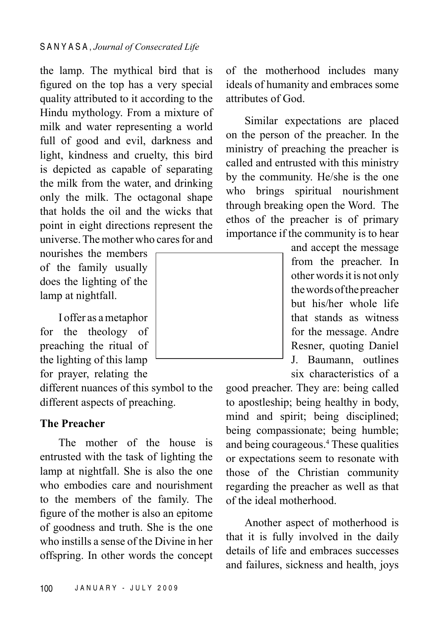### S A N Y A S A , *Journal of Consecrated Life*

the lamp. The mythical bird that is figured on the top has a very special quality attributed to it according to the Hindu mythology. From a mixture of milk and water representing a world full of good and evil, darkness and light, kindness and cruelty, this bird is depicted as capable of separating the milk from the water, and drinking only the milk. The octagonal shape that holds the oil and the wicks that point in eight directions represent the universe. The mother who cares for and

nourishes the members of the family usually does the lighting of the lamp at nightfall.

I offer as a metaphor for the theology of preaching the ritual of the lighting of this lamp for prayer, relating the

different nuances of this symbol to the different aspects of preaching.

#### **The Preacher**

The mother of the house is entrusted with the task of lighting the lamp at nightfall. She is also the one who embodies care and nourishment to the members of the family. The figure of the mother is also an epitome of goodness and truth. She is the one who instills a sense of the Divine in her offspring. In other words the concept of the motherhood includes many ideals of humanity and embraces some attributes of God.

Similar expectations are placed on the person of the preacher. In the ministry of preaching the preacher is called and entrusted with this ministry by the community. He/she is the one who brings spiritual nourishment through breaking open the Word. The ethos of the preacher is of primary importance if the community is to hear

> and accept the message from the preacher. In other words it is not only the words of the preacher but his/her whole life that stands as witness for the message. Andre Resner, quoting Daniel J. Baumann, outlines six characteristics of a

good preacher. They are: being called to apostleship; being healthy in body, mind and spirit; being disciplined; being compassionate; being humble; and being courageous.4 These qualities or expectations seem to resonate with those of the Christian community regarding the preacher as well as that of the ideal motherhood.

Another aspect of motherhood is that it is fully involved in the daily details of life and embraces successes and failures, sickness and health, joys

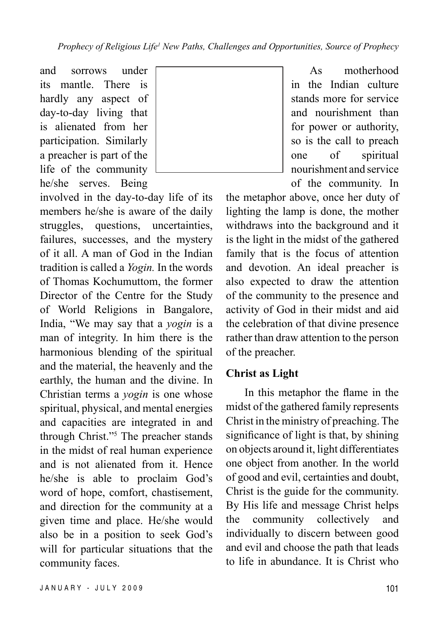and sorrows under its mantle. There is hardly any aspect of day-to-day living that is alienated from her participation. Similarly a preacher is part of the life of the community he/she serves. Being

involved in the day-to-day life of its members he/she is aware of the daily struggles, questions, uncertainties, failures, successes, and the mystery of it all. A man of God in the Indian tradition is called a *Yogin.* In the words of Thomas Kochumuttom, the former Director of the Centre for the Study of World Religions in Bangalore, India, "We may say that a *yogin* is a man of integrity. In him there is the harmonious blending of the spiritual and the material, the heavenly and the earthly, the human and the divine. In Christian terms a *yogin* is one whose spiritual, physical, and mental energies and capacities are integrated in and through Christ."5 The preacher stands in the midst of real human experience and is not alienated from it. Hence he/she is able to proclaim God's word of hope, comfort, chastisement, and direction for the community at a given time and place. He/she would also be in a position to seek God's will for particular situations that the community faces.



As motherhood in the Indian culture stands more for service and nourishment than for power or authority, so is the call to preach one of spiritual nourishment and service of the community. In

the metaphor above, once her duty of lighting the lamp is done, the mother withdraws into the background and it is the light in the midst of the gathered family that is the focus of attention and devotion. An ideal preacher is also expected to draw the attention of the community to the presence and activity of God in their midst and aid the celebration of that divine presence rather than draw attention to the person of the preacher.

#### **Christ as Light**

In this metaphor the flame in the midst of the gathered family represents Christ in the ministry of preaching. The significance of light is that, by shining on objects around it, light differentiates one object from another. In the world of good and evil, certainties and doubt, Christ is the guide for the community. By His life and message Christ helps the community collectively and individually to discern between good and evil and choose the path that leads to life in abundance. It is Christ who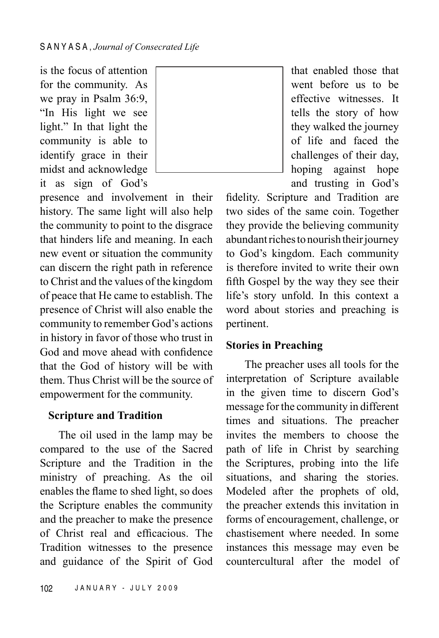is the focus of attention for the community. As we pray in Psalm 36:9, "In His light we see light." In that light the community is able to identify grace in their midst and acknowledge it as sign of God's

presence and involvement in their history. The same light will also help the community to point to the disgrace that hinders life and meaning. In each new event or situation the community can discern the right path in reference to Christ and the values of the kingdom of peace that He came to establish. The presence of Christ will also enable the community to remember God's actions in history in favor of those who trust in God and move ahead with confidence that the God of history will be with them. Thus Christ will be the source of empowerment for the community.

### **Scripture and Tradition**

The oil used in the lamp may be compared to the use of the Sacred Scripture and the Tradition in the ministry of preaching. As the oil enables the flame to shed light, so does the Scripture enables the community and the preacher to make the presence of Christ real and efficacious. The Tradition witnesses to the presence and guidance of the Spirit of God



that enabled those that went before us to be effective witnesses. It tells the story of how they walked the journey of life and faced the challenges of their day, hoping against hope and trusting in God's

fidelity. Scripture and Tradition are two sides of the same coin. Together they provide the believing community abundant riches to nourish their journey to God's kingdom. Each community is therefore invited to write their own fifth Gospel by the way they see their life's story unfold. In this context a word about stories and preaching is pertinent.

#### **Stories in Preaching**

The preacher uses all tools for the interpretation of Scripture available in the given time to discern God's message for the community in different times and situations. The preacher invites the members to choose the path of life in Christ by searching the Scriptures, probing into the life situations, and sharing the stories. Modeled after the prophets of old, the preacher extends this invitation in forms of encouragement, challenge, or chastisement where needed. In some instances this message may even be countercultural after the model of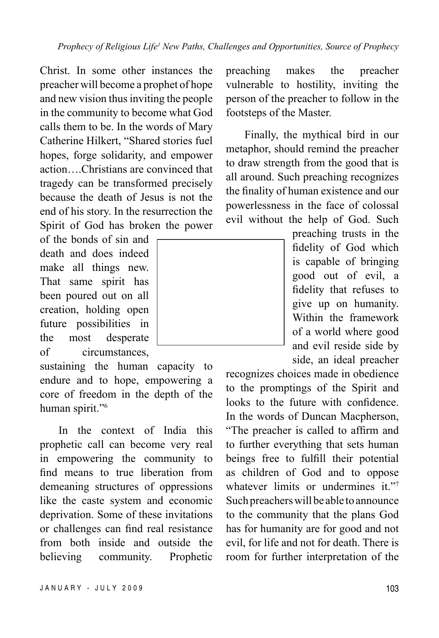Christ. In some other instances the preacher will become a prophet of hope and new vision thus inviting the people in the community to become what God calls them to be. In the words of Mary Catherine Hilkert, "Shared stories fuel hopes, forge solidarity, and empower action Christians are convinced that tragedy can be transformed precisely because the death of Jesus is not the end of his story. In the resurrection the Spirit of God has broken the power

of the bonds of sin and death and does indeed make all things new. That same spirit has been poured out on all creation, holding open future possibilities in the most desperate of circumstances,

sustaining the human capacity to endure and to hope, empowering a core of freedom in the depth of the human spirit."6

In the context of India this prophetic call can become very real in empowering the community to find means to true liberation from demeaning structures of oppressions like the caste system and economic deprivation. Some of these invitations or challenges can find real resistance from both inside and outside the believing community. Prophetic preaching makes the preacher vulnerable to hostility, inviting the person of the preacher to follow in the footsteps of the Master.

Finally, the mythical bird in our metaphor, should remind the preacher to draw strength from the good that is all around. Such preaching recognizes the finality of human existence and our powerlessness in the face of colossal evil without the help of God. Such

> preaching trusts in the fidelity of God which is capable of bringing good out of evil, a fidelity that refuses to give up on humanity. Within the framework of a world where good and evil reside side by side, an ideal preacher

recognizes choices made in obedience to the promptings of the Spirit and looks to the future with confidence. In the words of Duncan Macpherson, "The preacher is called to affirm and to further everything that sets human beings free to fulfill their potential as children of God and to oppose whatever limits or undermines it."7 Such preachers will be able to announce to the community that the plans God has for humanity are for good and not evil, for life and not for death. There is room for further interpretation of the

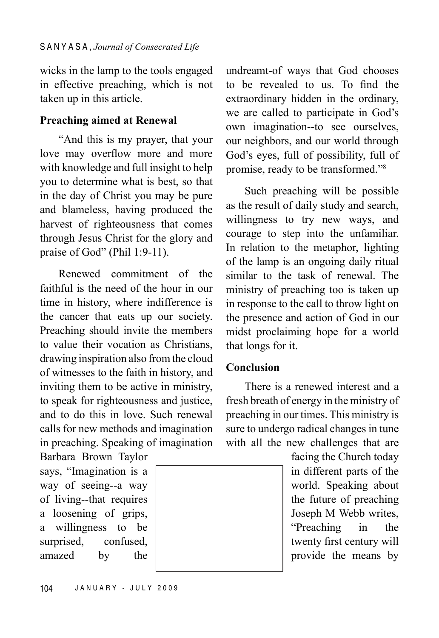wicks in the lamp to the tools engaged in effective preaching, which is not taken up in this article.

#### **Preaching aimed at Renewal**

"And this is my prayer, that your love may overflow more and more with knowledge and full insight to help you to determine what is best, so that in the day of Christ you may be pure and blameless, having produced the harvest of righteousness that comes through Jesus Christ for the glory and praise of God" (Phil 1:9-11).

Renewed commitment of the faithful is the need of the hour in our time in history, where indifference is the cancer that eats up our society. Preaching should invite the members to value their vocation as Christians, drawing inspiration also from the cloud of witnesses to the faith in history, and inviting them to be active in ministry, to speak for righteousness and justice, and to do this in love. Such renewal calls for new methods and imagination in preaching. Speaking of imagination

Barbara Brown Taylor says, "Imagination is a way of seeing--a way of living--that requires a loosening of grips, a willingness to be surprised, confused, amazed by the

undreamt-of ways that God chooses to be revealed to us. To find the extraordinary hidden in the ordinary, we are called to participate in God's own imagination--to see ourselves, our neighbors, and our world through God's eyes, full of possibility, full of promise, ready to be transformed."8

Such preaching will be possible as the result of daily study and search, willingness to try new ways, and courage to step into the unfamiliar. In relation to the metaphor, lighting of the lamp is an ongoing daily ritual similar to the task of renewal. The ministry of preaching too is taken up in response to the call to throw light on the presence and action of God in our midst proclaiming hope for a world that longs for it.

#### **Conclusion**

There is a renewed interest and a fresh breath of energy in the ministry of preaching in our times. This ministry is sure to undergo radical changes in tune with all the new challenges that are

> facing the Church today in different parts of the world. Speaking about the future of preaching Joseph M Webb writes, "Preaching in the twenty first century will provide the means by

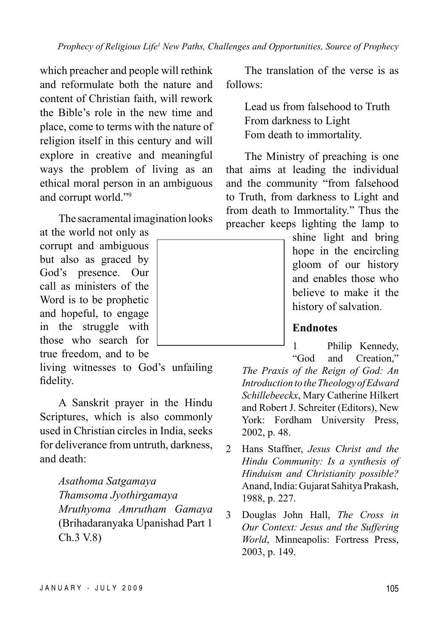which preacher and people will rethink and reformulate both the nature and content of Christian faith, will rework the Bible's role in the new time and place, come to terms with the nature of religion itself in this century and will explore in creative and meaningful ways the problem of living as an ethical moral person in an ambiguous and corrupt world."9

The sacramental imagination looks

at the world not only as corrupt and ambiguous but also as graced by God's presence. Our call as ministers of the Word is to be prophetic and hopeful, to engage in the struggle with those who search for true freedom, and to be

living witnesses to God's unfailing fidelity.

A Sanskrit prayer in the Hindu Scriptures, which is also commonly used in Christian circles in India, seeks for deliverance from untruth, darkness, and death:

> *Asathoma Satgamaya Thamsoma Jyothirgamaya Mruthyoma Amrutham Gamaya* (Brihadaranyaka Upanishad Part 1 Ch.3 V.8)

The translation of the verse is as follows:

> Lead us from falsehood to Truth From darkness to Light Fom death to immortality.

The Ministry of preaching is one that aims at leading the individual and the community "from falsehood to Truth, from darkness to Light and from death to Immortality." Thus the preacher keeps lighting the lamp to

> shine light and bring hope in the encircling gloom of our history and enables those who believe to make it the history of salvation.

#### **Endnotes**

1 Philip Kennedy, "God and Creation,"

*The Praxis of the Reign of God: An Introduction to the Theology of Edward Schillebeeckx*, Mary Catherine Hilkert and Robert J. Schreiter (Editors), New York: Fordham University Press, 2002, p. 48.

- 2 Hans Staffner, *Jesus Christ and the Hindu Community: Is a synthesis of Hinduism and Christianity possible?* Anand, India: Gujarat Sahitya Prakash, 1988, p. 227.
- 3 Douglas John Hall, *The Cross in Our Context: Jesus and the Suffering World*, Minneapolis: Fortress Press, 2003, p. 149.

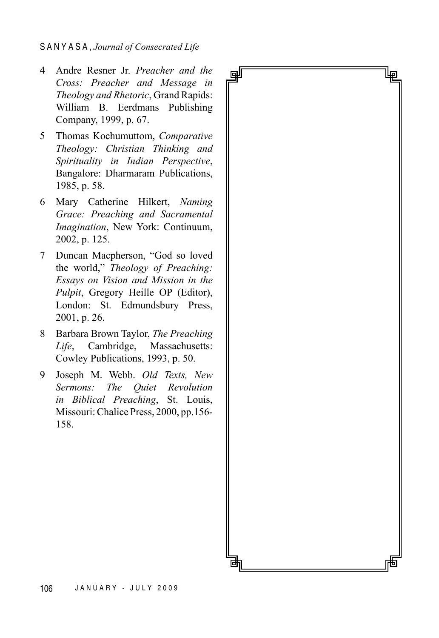- 4 Andre Resner Jr. *Preacher and the Cross: Preacher and Message in Theology and Rhetoric*, Grand Rapids: William B. Eerdmans Publishing Company, 1999, p. 67.
- 5 Thomas Kochumuttom, *Comparative Theology: Christian Thinking and Spirituality in Indian Perspective*, Bangalore: Dharmaram Publications, 1985, p. 58.
- 6 Mary Catherine Hilkert, *Naming Grace: Preaching and Sacramental Imagination*, New York: Continuum, 2002, p. 125.
- 7 Duncan Macpherson, "God so loved the world," *Theology of Preaching: Essays on Vision and Mission in the Pulpit*, Gregory Heille OP (Editor), London: St. Edmundsbury Press, 2001, p. 26.
- 8 Barbara Brown Taylor, *The Preaching Life*, Cambridge, Massachusetts: Cowley Publications, 1993, p. 50.
- 9 Joseph M. Webb. *Old Texts, New Sermons: The Quiet Revolution in Biblical Preaching*, St. Louis, Missouri: Chalice Press, 2000, pp.156- 158.

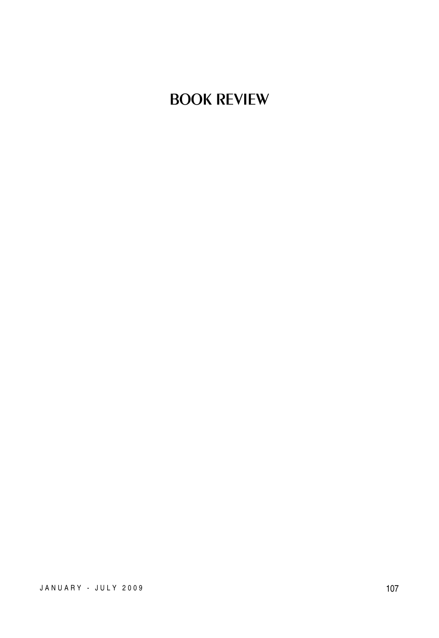# BOOK REVIEW

JANUARY - JULY 2009 107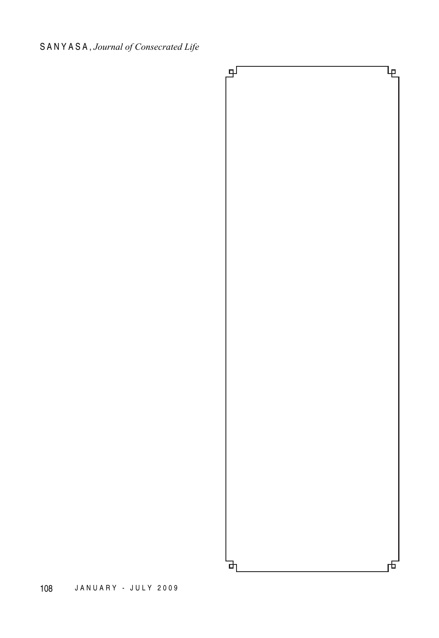S A N Y A S A , *Journal of Consecrated Life*

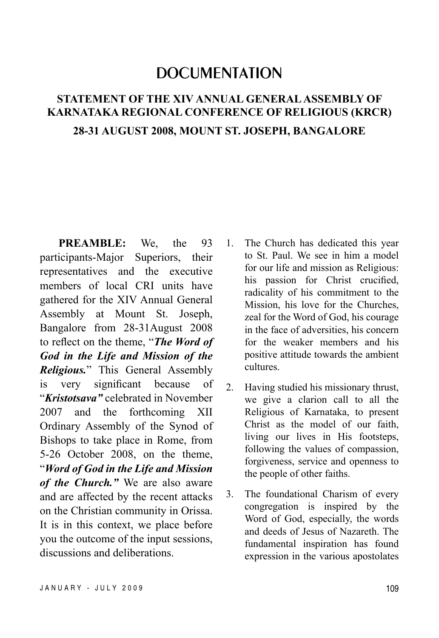## DOCUMENTATION

### **STATEMENT OF THE XIV ANNUAL GENERAL ASSEMBLY OF KARNATAKA REGIONAL CONFERENCE OF RELIGIOUS (KRCR) 28-31 AUGUST 2008, MOUNT ST. JOSEPH, BANGALORE**

**PREAMBLE:** We, the 93 participants-Major Superiors, their representatives and the executive members of local CRI units have gathered for the XIV Annual General Assembly at Mount St. Joseph, Bangalore from 28-31August 2008 to reflect on the theme, "*The Word of God in the Life and Mission of the Religious.*" This General Assembly is very significant because of "*Kristotsava"* celebrated in November 2007 and the forthcoming XII Ordinary Assembly of the Synod of Bishops to take place in Rome, from 5-26 October 2008, on the theme, "*Word of God in the Life and Mission of the Church."* We are also aware and are affected by the recent attacks on the Christian community in Orissa. It is in this context, we place before you the outcome of the input sessions, discussions and deliberations.

- 1. The Church has dedicated this year to St. Paul. We see in him a model for our life and mission as Religious: his passion for Christ crucified, radicality of his commitment to the Mission, his love for the Churches, zeal for the Word of God, his courage in the face of adversities, his concern for the weaker members and his positive attitude towards the ambient cultures.
- 2. Having studied his missionary thrust, we give a clarion call to all the Religious of Karnataka, to present Christ as the model of our faith, living our lives in His footsteps, following the values of compassion, forgiveness, service and openness to the people of other faiths.
- 3. The foundational Charism of every congregation is inspired by the Word of God, especially, the words and deeds of Jesus of Nazareth. The fundamental inspiration has found expression in the various apostolates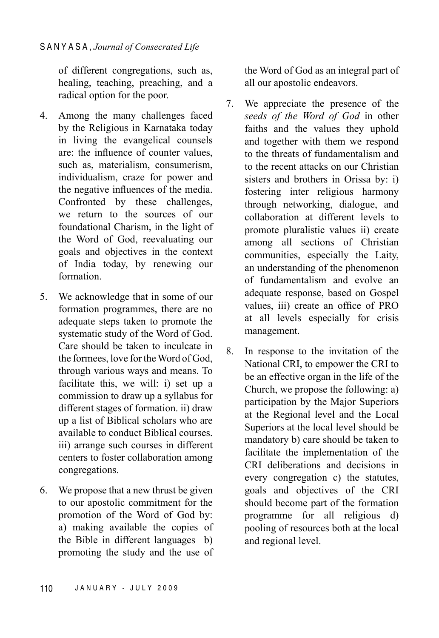of different congregations, such as, healing, teaching, preaching, and a radical option for the poor.

- 4. Among the many challenges faced by the Religious in Karnataka today in living the evangelical counsels are: the influence of counter values, such as, materialism, consumerism, individualism, craze for power and the negative influences of the media. Confronted by these challenges, we return to the sources of our foundational Charism, in the light of the Word of God, reevaluating our goals and objectives in the context of India today, by renewing our formation.
- 5. We acknowledge that in some of our formation programmes, there are no adequate steps taken to promote the systematic study of the Word of God. Care should be taken to inculcate in the formees, love for the Word of God, through various ways and means. To facilitate this, we will: i) set up a commission to draw up a syllabus for different stages of formation. ii) draw up a list of Biblical scholars who are available to conduct Biblical courses. iii) arrange such courses in different centers to foster collaboration among congregations.
- 6. We propose that a new thrust be given to our apostolic commitment for the promotion of the Word of God by: a) making available the copies of the Bible in different languages b) promoting the study and the use of

the Word of God as an integral part of all our apostolic endeavors.

- 7. We appreciate the presence of the *seeds of the Word of God* in other faiths and the values they uphold and together with them we respond to the threats of fundamentalism and to the recent attacks on our Christian sisters and brothers in Orissa by: i) fostering inter religious harmony through networking, dialogue, and collaboration at different levels to promote pluralistic values ii) create among all sections of Christian communities, especially the Laity, an understanding of the phenomenon of fundamentalism and evolve an adequate response, based on Gospel values, iii) create an office of PRO at all levels especially for crisis management.
- 8. In response to the invitation of the National CRI, to empower the CRI to be an effective organ in the life of the Church, we propose the following: a) participation by the Major Superiors at the Regional level and the Local Superiors at the local level should be mandatory b) care should be taken to facilitate the implementation of the CRI deliberations and decisions in every congregation c) the statutes, goals and objectives of the CRI should become part of the formation programme for all religious d) pooling of resources both at the local and regional level.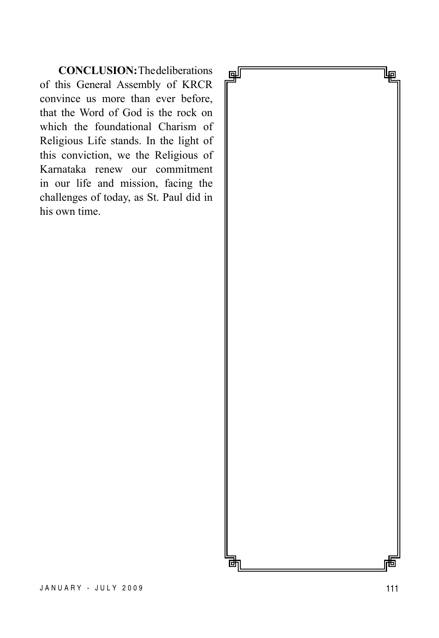**CONCLUSION:** The deliberations of this General Assembly of KRCR convince us more than ever before, that the Word of God is the rock on which the foundational Charism of Religious Life stands. In the light of this conviction, we the Religious of Karnataka renew our commitment in our life and mission, facing the challenges of today, as St. Paul did in his own time.